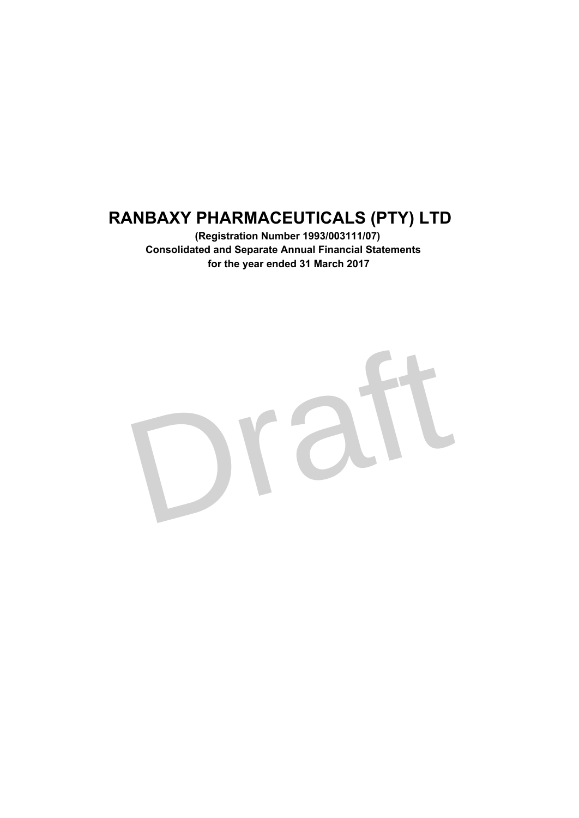**(Registration Number 1993/003111/07) Consolidated and Separate Annual Financial Statements for the year ended 31 March 2017**

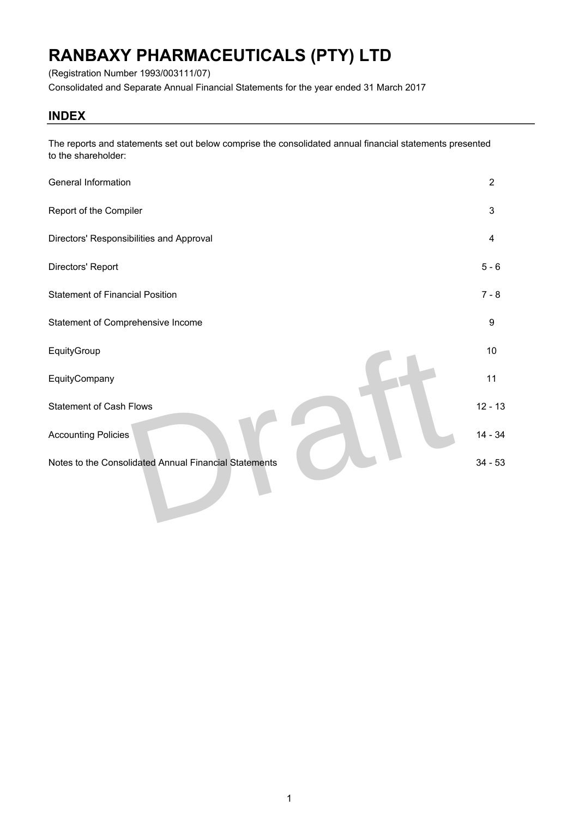(Registration Number 1993/003111/07)

Consolidated and Separate Annual Financial Statements for the year ended 31 March 2017

### **INDEX**

The reports and statements set out below comprise the consolidated annual financial statements presented to the shareholder:

| General Information                                   | $\overline{2}$ |
|-------------------------------------------------------|----------------|
| Report of the Compiler                                | 3              |
| Directors' Responsibilities and Approval              | 4              |
| Directors' Report                                     | $5 - 6$        |
| <b>Statement of Financial Position</b>                | $7 - 8$        |
| Statement of Comprehensive Income                     | 9              |
| EquityGroup                                           | 10             |
| EquityCompany                                         | 11             |
| <b>Statement of Cash Flows</b>                        | $12 - 13$      |
| <b>Accounting Policies</b>                            | $14 - 34$      |
| Notes to the Consolidated Annual Financial Statements | $34 - 53$      |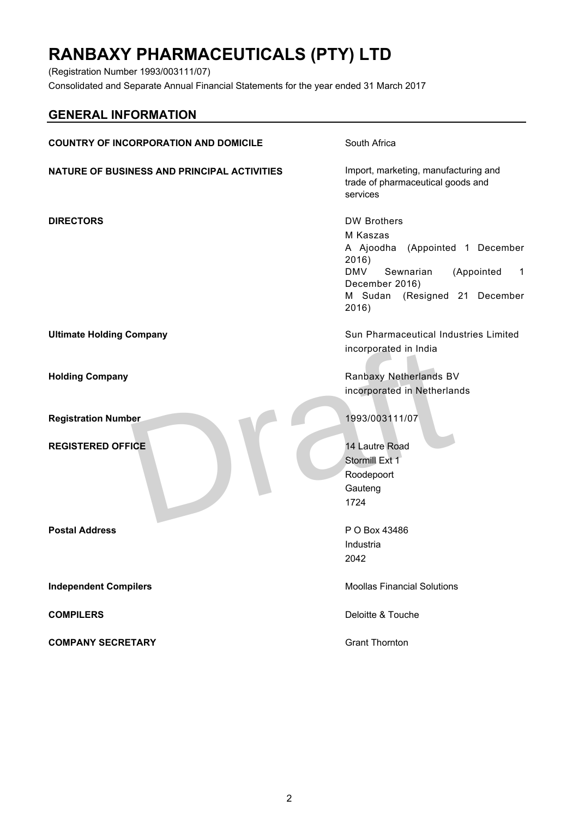(Registration Number 1993/003111/07)

Consolidated and Separate Annual Financial Statements for the year ended 31 March 2017

## **GENERAL INFORMATION**

| <b>COUNTRY OF INCORPORATION AND DOMICILE</b>           | South Africa                                                                                                                                                                                   |
|--------------------------------------------------------|------------------------------------------------------------------------------------------------------------------------------------------------------------------------------------------------|
| NATURE OF BUSINESS AND PRINCIPAL ACTIVITIES            | Import, marketing, manufacturing and<br>trade of pharmaceutical goods and<br>services                                                                                                          |
| <b>DIRECTORS</b>                                       | <b>DW Brothers</b><br>M Kaszas<br>A Ajoodha (Appointed 1 December<br>2016)<br><b>DMV</b><br>Sewnarian<br>(Appointed<br>$\mathbf 1$<br>December 2016)<br>M Sudan (Resigned 21 December<br>2016) |
| <b>Ultimate Holding Company</b>                        | Sun Pharmaceutical Industries Limited<br>incorporated in India                                                                                                                                 |
| <b>Holding Company</b>                                 | Ranbaxy Netherlands BV<br>incorporated in Netherlands                                                                                                                                          |
| <b>Registration Number</b><br><b>REGISTERED OFFICE</b> | 1993/003111/07<br>14 Lautre Road<br>Stormill Ext 1<br>Roodepoort<br>Gauteng<br>1724                                                                                                            |
| <b>Postal Address</b>                                  | P O Box 43486<br>Industria<br>2042                                                                                                                                                             |
| <b>Independent Compilers</b>                           | <b>Moollas Financial Solutions</b>                                                                                                                                                             |
| <b>COMPILERS</b>                                       | Deloitte & Touche                                                                                                                                                                              |
| <b>COMPANY SECRETARY</b>                               | <b>Grant Thornton</b>                                                                                                                                                                          |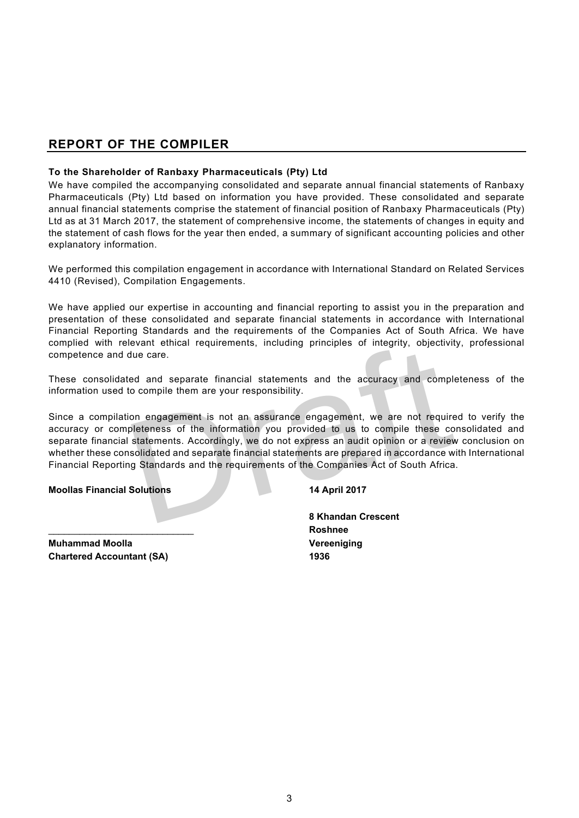## **REPORT OF THE COMPILER**

#### **To the Shareholder of Ranbaxy Pharmaceuticals (Pty) Ltd**

We have compiled the accompanying consolidated and separate annual financial statements of Ranbaxy Pharmaceuticals (Pty) Ltd based on information you have provided. These consolidated and separate annual financial statements comprise the statement of financial position of Ranbaxy Pharmaceuticals (Pty) Ltd as at 31 March 2017, the statement of comprehensive income, the statements of changes in equity and the statement of cash flows for the year then ended, a summary of significant accounting policies and other explanatory information.

We performed this compilation engagement in accordance with International Standard on Related Services 4410 (Revised), Compilation Engagements.

We have applied our expertise in accounting and financial reporting to assist you in the preparation and presentation of these consolidated and separate financial statements in accordance with International Financial Reporting Standards and the requirements of the Companies Act of South Africa. We have complied with relevant ethical requirements, including principles of integrity, objectivity, professional competence and due care.

These consolidated and separate financial statements and the accuracy and completeness of the information used to compile them are your responsibility.

due care.<br>
Example and separate financial statements and the accuracy and comple<br>
o compile them are your responsibility.<br>
On engagement is not an assurance engagement, we are not require<br>
bleteness of the information you Since a compilation engagement is not an assurance engagement, we are not required to verify the accuracy or completeness of the information you provided to us to compile these consolidated and separate financial statements. Accordingly, we do not express an audit opinion or a review conclusion on whether these consolidated and separate financial statements are prepared in accordance with International Financial Reporting Standards and the requirements of the Companies Act of South Africa.

#### **Moollas Financial Solutions 14 April 2017**

\_\_\_\_\_\_\_\_\_\_\_\_\_\_\_\_\_\_\_\_\_\_\_\_\_\_\_\_ **Roshnee Muhammad Moolla Vereeniging**

**Chartered Accountant (SA) 1936**

**8 Khandan Crescent**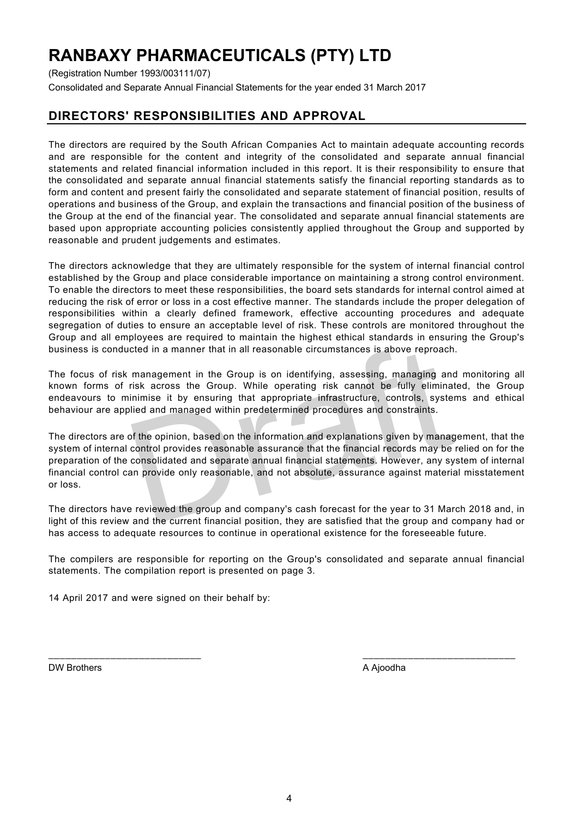(Registration Number 1993/003111/07)

Consolidated and Separate Annual Financial Statements for the year ended 31 March 2017

## **DIRECTORS' RESPONSIBILITIES AND APPROVAL**

The directors are required by the South African Companies Act to maintain adequate accounting records and are responsible for the content and integrity of the consolidated and separate annual financial statements and related financial information included in this report. It is their responsibility to ensure that the consolidated and separate annual financial statements satisfy the financial reporting standards as to form and content and present fairly the consolidated and separate statement of financial position, results of operations and business of the Group, and explain the transactions and financial position of the business of the Group at the end of the financial year. The consolidated and separate annual financial statements are based upon appropriate accounting policies consistently applied throughout the Group and supported by reasonable and prudent judgements and estimates.

The directors acknowledge that they are ultimately responsible for the system of internal financial control established by the Group and place considerable importance on maintaining a strong control environment. To enable the directors to meet these responsibilities, the board sets standards for internal control aimed at reducing the risk of error or loss in a cost effective manner. The standards include the proper delegation of responsibilities within a clearly defined framework, effective accounting procedures and adequate segregation of duties to ensure an acceptable level of risk. These controls are monitored throughout the Group and all employees are required to maintain the highest ethical standards in ensuring the Group's business is conducted in a manner that in all reasonable circumstances is above reproach.

The focus of risk management in the Group is on identifying, assessing, managing and monitoring all known forms of risk across the Group. While operating risk cannot be fully eliminated, the Group endeavours to minimise it by ensuring that appropriate infrastructure, controls, systems and ethical behaviour are applied and managed within predetermined procedures and constraints.

cted in a manner that in all reasonable circumstances is above reproach.<br>
management in the Group is on identifying, assessing, managing and<br>
risk across the Group. While operating risk cannot be fully eliminate<br>
inimise i The directors are of the opinion, based on the information and explanations given by management, that the system of internal control provides reasonable assurance that the financial records may be relied on for the preparation of the consolidated and separate annual financial statements. However, any system of internal financial control can provide only reasonable, and not absolute, assurance against material misstatement or loss.

The directors have reviewed the group and company's cash forecast for the year to 31 March 2018 and, in light of this review and the current financial position, they are satisfied that the group and company had or has access to adequate resources to continue in operational existence for the foreseeable future.

The compilers are responsible for reporting on the Group's consolidated and separate annual financial statements. The compilation report is presented on page 3.

 $\mathcal{L}_\text{max}$  , and the contribution of the contribution of the contribution of the contribution of the contribution of the contribution of the contribution of the contribution of the contribution of the contribution of t

14 April 2017 and were signed on their behalf by:

DW Brothers A Ajoodha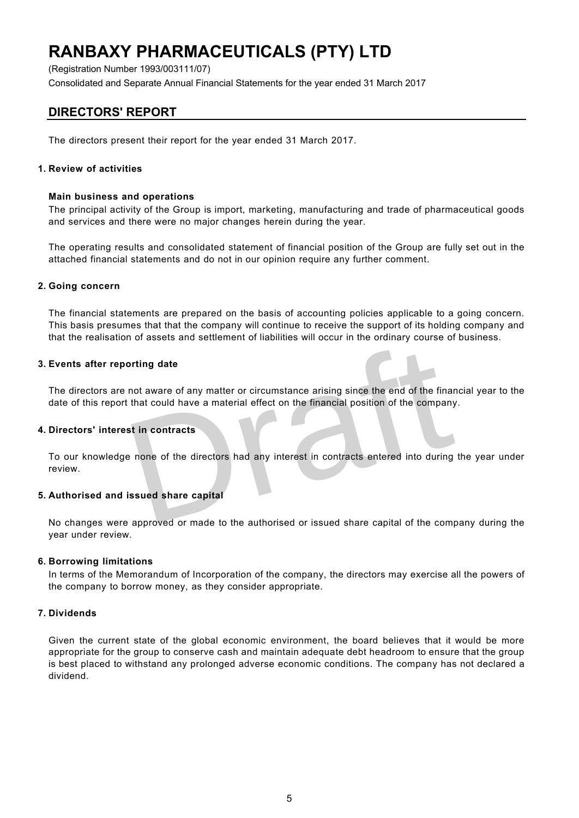(Registration Number 1993/003111/07)

Consolidated and Separate Annual Financial Statements for the year ended 31 March 2017

## **DIRECTORS' REPORT**

The directors present their report for the year ended 31 March 2017.

#### **1. Review of activities**

#### **Main business and operations**

The principal activity of the Group is import, marketing, manufacturing and trade of pharmaceutical goods and services and there were no major changes herein during the year.

The operating results and consolidated statement of financial position of the Group are fully set out in the attached financial statements and do not in our opinion require any further comment.

#### **2. Going concern**

The financial statements are prepared on the basis of accounting policies applicable to a going concern. This basis presumes that that the company will continue to receive the support of its holding company and that the realisation of assets and settlement of liabilities will occur in the ordinary course of business.

#### **3. Events after reporting date**

orting date<br>
mot aware of any matter or circumstance arising since the end of the finant<br>
that could have a material effect on the financial position of the company<br>
it in contracts<br>
the contracts<br>
proceed of the directors The directors are not aware of any matter or circumstance arising since the end of the financial year to the date of this report that could have a material effect on the financial position of the company.

#### **4. Directors' interest in contracts**

To our knowledge none of the directors had any interest in contracts entered into during the year under review.

#### **5. Authorised and issued share capital**

No changes were approved or made to the authorised or issued share capital of the company during the year under review.

#### **6. Borrowing limitations**

In terms of the Memorandum of Incorporation of the company, the directors may exercise all the powers of the company to borrow money, as they consider appropriate.

#### **7. Dividends**

Given the current state of the global economic environment, the board believes that it would be more appropriate for the group to conserve cash and maintain adequate debt headroom to ensure that the group is best placed to withstand any prolonged adverse economic conditions. The company has not declared a dividend.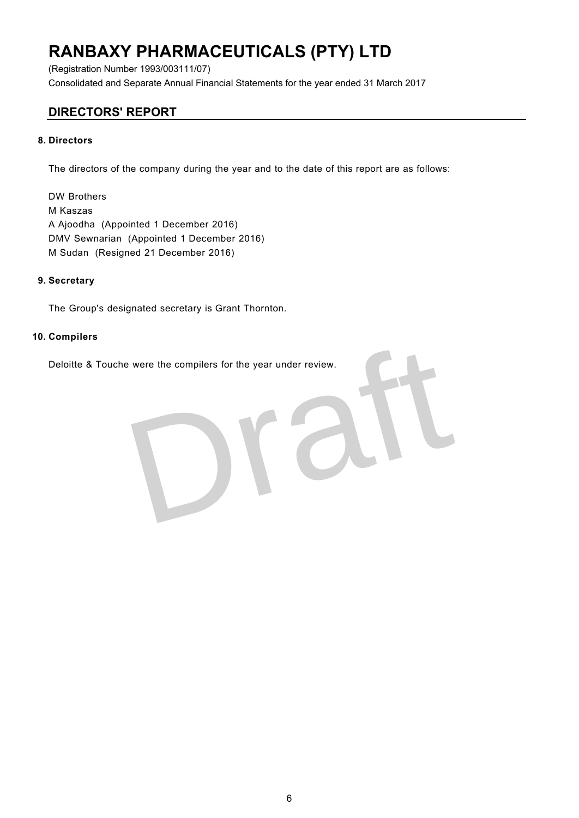(Registration Number 1993/003111/07) Consolidated and Separate Annual Financial Statements for the year ended 31 March 2017

## **DIRECTORS' REPORT**

### **8. Directors**

The directors of the company during the year and to the date of this report are as follows:

DW Brothers M Kaszas A Ajoodha (Appointed 1 December 2016) DMV Sewnarian (Appointed 1 December 2016) M Sudan (Resigned 21 December 2016)

### **9. Secretary**

The Group's designated secretary is Grant Thornton.

#### **10. Compilers**

Deloitte & Touche were the compilers for the year under review.

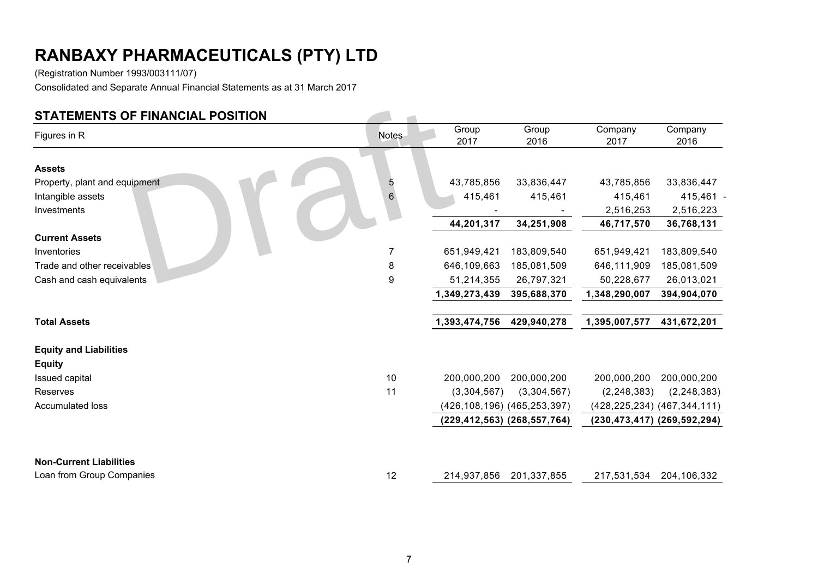(Registration Number 1993/003111/07)

Consolidated and Separate Annual Financial Statements as at 31 March 2017

## **STATEMENTS OF FINANCIAL POSITION**

| <b>Notes</b>   | Group<br>2017 | Group<br>2016                | Company<br>2017                                                                           | Company<br>2016                                                                     |
|----------------|---------------|------------------------------|-------------------------------------------------------------------------------------------|-------------------------------------------------------------------------------------|
|                |               |                              |                                                                                           |                                                                                     |
| 5              | 43,785,856    | 33,836,447                   | 43,785,856                                                                                | 33,836,447                                                                          |
| $6\phantom{1}$ | 415,461       | 415,461                      | 415,461                                                                                   | 415,461 -                                                                           |
|                |               |                              | 2,516,253                                                                                 | 2,516,223                                                                           |
|                | 44,201,317    | 34,251,908                   | 46,717,570                                                                                | 36,768,131                                                                          |
|                |               |                              |                                                                                           |                                                                                     |
| 7              | 651,949,421   |                              | 651,949,421                                                                               | 183,809,540                                                                         |
| 8              | 646,109,663   | 185,081,509                  | 646,111,909                                                                               | 185,081,509                                                                         |
| 9              | 51,214,355    | 26,797,321                   | 50,228,677                                                                                | 26,013,021                                                                          |
|                |               | 395,688,370                  | 1,348,290,007                                                                             | 394,904,070                                                                         |
|                | 1,393,474,756 | 429,940,278                  | 1,395,007,577                                                                             | 431,672,201                                                                         |
|                |               |                              |                                                                                           |                                                                                     |
|                |               |                              |                                                                                           |                                                                                     |
| 10             | 200,000,200   | 200,000,200                  | 200,000,200                                                                               | 200,000,200                                                                         |
| 11             |               | (3,304,567)                  |                                                                                           | (2, 248, 383)                                                                       |
|                |               |                              |                                                                                           |                                                                                     |
|                |               |                              |                                                                                           |                                                                                     |
|                |               |                              |                                                                                           |                                                                                     |
| 12             | 214,937,856   | 201,337,855                  | 217,531,534                                                                               | 204,106,332                                                                         |
|                |               | 1,349,273,439<br>(3,304,567) | 183,809,540<br>$(426, 108, 196)$ $(465, 253, 397)$<br>$(229, 412, 563)$ $(268, 557, 764)$ | (2, 248, 383)<br>$(428, 225, 234)$ $(467, 344, 111)$<br>(230,473,417) (269,592,294) |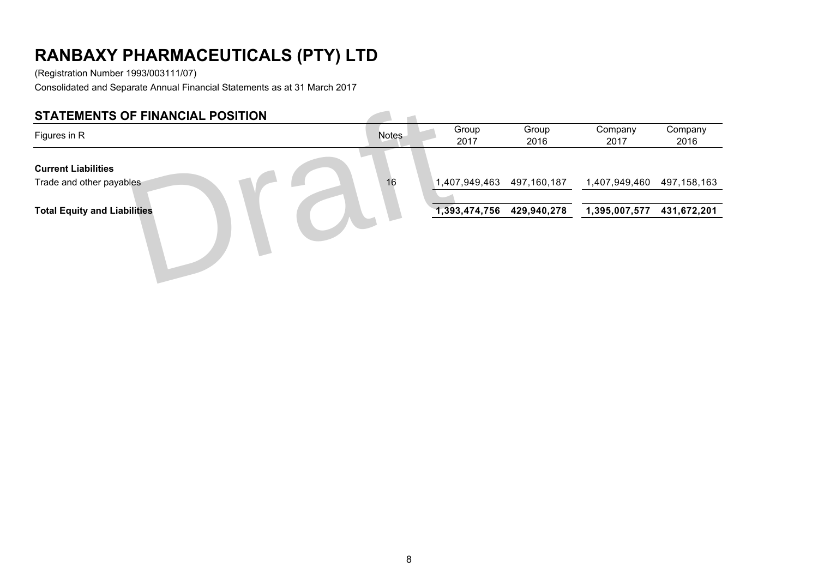(Registration Number 1993/003111/07)

Consolidated and Separate Annual Financial Statements as at 31 March 2017

## **STATEMENTS OF FINANCIAL POSITION**

| <b>STATEMENTS OF FINANCIAL POSITION</b> |              |               |               |                 |                 |
|-----------------------------------------|--------------|---------------|---------------|-----------------|-----------------|
| Figures in R                            | <b>Notes</b> | Group<br>2017 | Group<br>2016 | Company<br>2017 | Company<br>2016 |
| <b>Current Liabilities</b>              |              |               |               |                 |                 |
| Trade and other payables                | 16           | 1,407,949,463 | 497,160,187   | 1,407,949,460   | 497,158,163     |
|                                         |              |               |               |                 |                 |
| <b>Total Equity and Liabilities</b>     |              | 1,393,474,756 | 429,940,278   | 1,395,007,577   | 431,672,201     |
|                                         |              |               |               |                 |                 |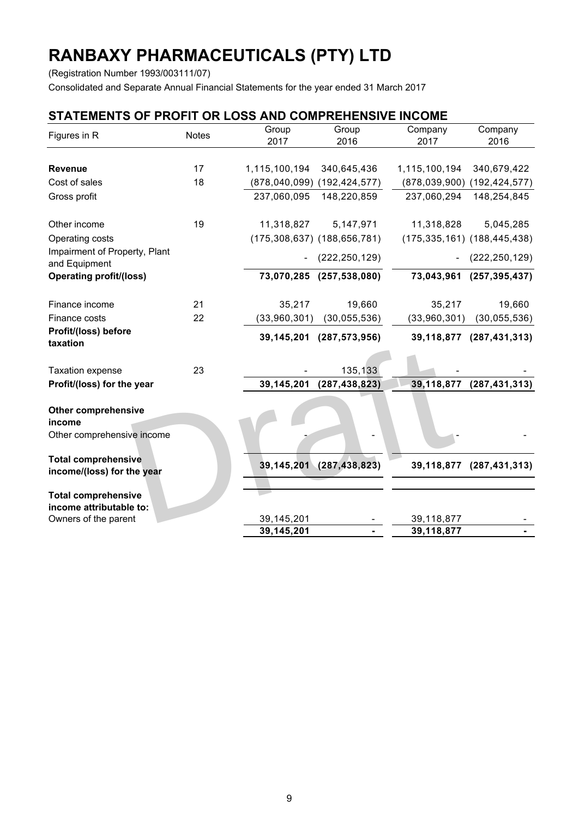(Registration Number 1993/003111/07)

Consolidated and Separate Annual Financial Statements for the year ended 31 March 2017

## **STATEMENTS OF PROFIT OR LOSS AND COMPREHENSIVE INCOME**

| Figures in R                                             | <b>Notes</b> | Group         | Group                               | Company       | Company                             |
|----------------------------------------------------------|--------------|---------------|-------------------------------------|---------------|-------------------------------------|
|                                                          |              | 2017          | 2016                                | 2017          | 2016                                |
|                                                          |              |               |                                     |               |                                     |
| <b>Revenue</b>                                           | 17           | 1,115,100,194 | 340,645,436                         | 1,115,100,194 | 340,679,422                         |
| Cost of sales                                            | 18           |               | (878,040,099) (192,424,577)         |               | (878,039,900) (192,424,577)         |
| Gross profit                                             |              | 237,060,095   | 148,220,859                         | 237,060,294   | 148,254,845                         |
| Other income                                             | 19           | 11,318,827    | 5,147,971                           | 11,318,828    | 5,045,285                           |
| Operating costs                                          |              |               | $(175, 308, 637)$ $(188, 656, 781)$ |               | $(175, 335, 161)$ $(188, 445, 438)$ |
| Impairment of Property, Plant<br>and Equipment           |              |               | (222, 250, 129)                     |               | (222, 250, 129)                     |
| <b>Operating profit/(loss)</b>                           |              |               | 73,070,285 (257,538,080)            | 73,043,961    | (257, 395, 437)                     |
|                                                          |              |               |                                     |               |                                     |
| Finance income                                           | 21           | 35,217        | 19,660                              | 35,217        | 19,660                              |
| Finance costs                                            | 22           | (33,960,301)  | (30, 055, 536)                      | (33,960,301)  | (30, 055, 536)                      |
| Profit/(loss) before<br>taxation                         |              |               | 39,145,201 (287,573,956)            |               | 39,118,877 (287,431,313)            |
|                                                          |              |               |                                     |               |                                     |
| Taxation expense                                         | 23           |               | 135,133                             |               |                                     |
| Profit/(loss) for the year                               |              | 39,145,201    | (287, 438, 823)                     | 39,118,877    | (287, 431, 313)                     |
| <b>Other comprehensive</b>                               |              |               |                                     |               |                                     |
| income                                                   |              |               |                                     |               |                                     |
| Other comprehensive income                               |              |               |                                     |               |                                     |
| <b>Total comprehensive</b><br>income/(loss) for the year |              |               | 39,145,201 (287,438,823)            | 39,118,877    | (287, 431, 313)                     |
|                                                          |              |               |                                     |               |                                     |
| <b>Total comprehensive</b><br>income attributable to:    |              |               |                                     |               |                                     |
| Owners of the parent                                     |              | 39,145,201    |                                     | 39,118,877    |                                     |
|                                                          |              | 39,145,201    |                                     | 39,118,877    |                                     |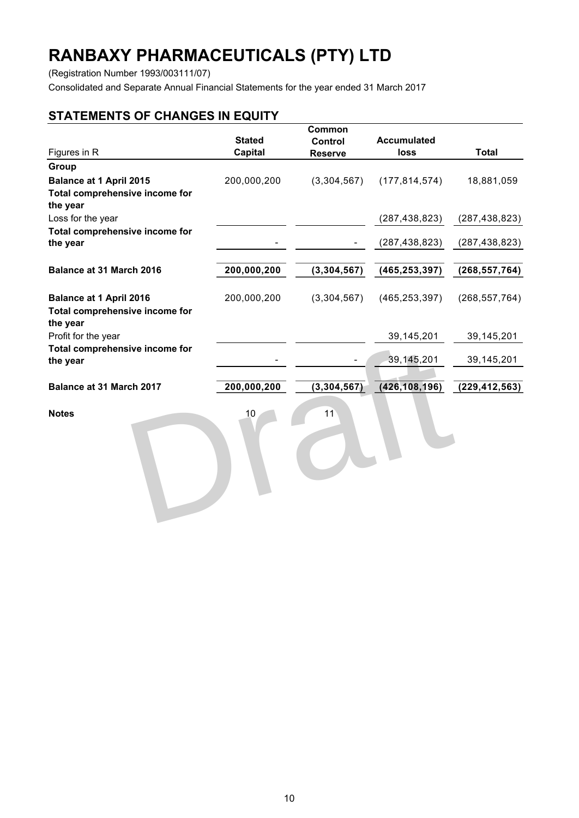(Registration Number 1993/003111/07)

Consolidated and Separate Annual Financial Statements for the year ended 31 March 2017

## **STATEMENTS OF CHANGES IN EQUITY**

|                                                                              | <b>Stated</b>  | Common<br><b>Control</b> | <b>Accumulated</b> |                 |
|------------------------------------------------------------------------------|----------------|--------------------------|--------------------|-----------------|
| Figures in R                                                                 | <b>Capital</b> | <b>Reserve</b>           | loss               | <b>Total</b>    |
| Group<br><b>Balance at 1 April 2015</b><br>Total comprehensive income for    | 200,000,200    | (3,304,567)              | (177, 814, 574)    | 18,881,059      |
| the year<br>Loss for the year                                                |                |                          | (287, 438, 823)    | (287, 438, 823) |
| Total comprehensive income for<br>the year                                   |                |                          | (287,438,823)      | (287, 438, 823) |
| Balance at 31 March 2016                                                     | 200,000,200    | (3, 304, 567)            | (465, 253, 397)    | (268, 557, 764) |
| <b>Balance at 1 April 2016</b><br>Total comprehensive income for<br>the year | 200,000,200    | (3,304,567)              | (465, 253, 397)    | (268, 557, 764) |
| Profit for the year                                                          |                |                          | 39,145,201         | 39,145,201      |
| Total comprehensive income for<br>the year                                   |                |                          | 39,145,201         | 39,145,201      |
| Balance at 31 March 2017                                                     | 200,000,200    | (3, 304, 567)            | (426, 108, 196)    | (229, 412, 563) |
| <b>Notes</b>                                                                 | 10             | 11                       |                    |                 |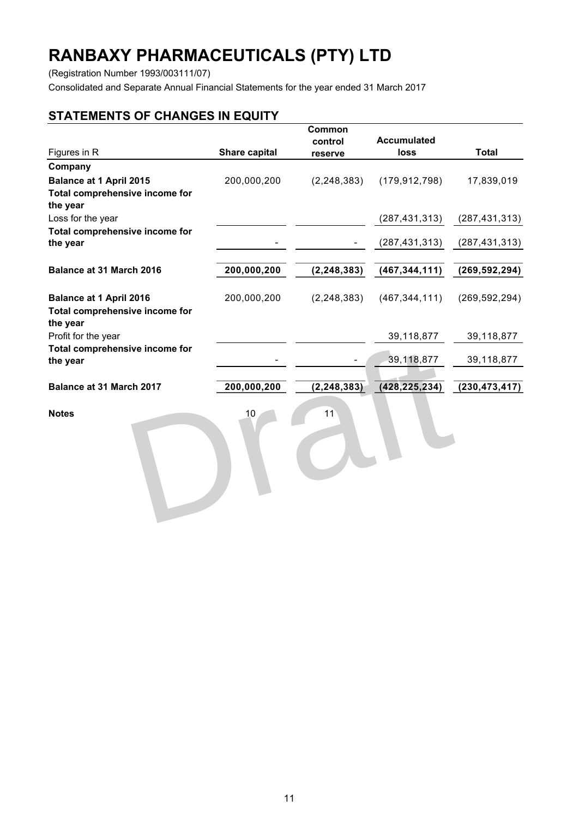(Registration Number 1993/003111/07)

Consolidated and Separate Annual Financial Statements for the year ended 31 March 2017

## **STATEMENTS OF CHANGES IN EQUITY**

| Figures in R                                                                 | Share capital | Common<br>control<br>reserve | <b>Accumulated</b><br>loss | <b>Total</b>    |
|------------------------------------------------------------------------------|---------------|------------------------------|----------------------------|-----------------|
| Company                                                                      |               |                              |                            |                 |
| <b>Balance at 1 April 2015</b><br>Total comprehensive income for             | 200,000,200   | (2, 248, 383)                | (179, 912, 798)            | 17,839,019      |
| the year<br>Loss for the year                                                |               |                              | (287, 431, 313)            | (287, 431, 313) |
| Total comprehensive income for<br>the year                                   |               |                              | (287,431,313)              | (287, 431, 313) |
| Balance at 31 March 2016                                                     | 200,000,200   | (2, 248, 383)                | (467, 344, 111)            | (269, 592, 294) |
| <b>Balance at 1 April 2016</b><br>Total comprehensive income for<br>the year | 200,000,200   | (2, 248, 383)                | (467, 344, 111)            | (269, 592, 294) |
| Profit for the year                                                          |               |                              | 39,118,877                 | 39,118,877      |
| Total comprehensive income for<br>the year                                   |               |                              | 39,118,877                 | 39,118,877      |
| Balance at 31 March 2017                                                     | 200,000,200   | (2, 248, 383)                | (428, 225, 234)            | (230, 473, 417) |
| <b>Notes</b>                                                                 | 10            | 11                           |                            |                 |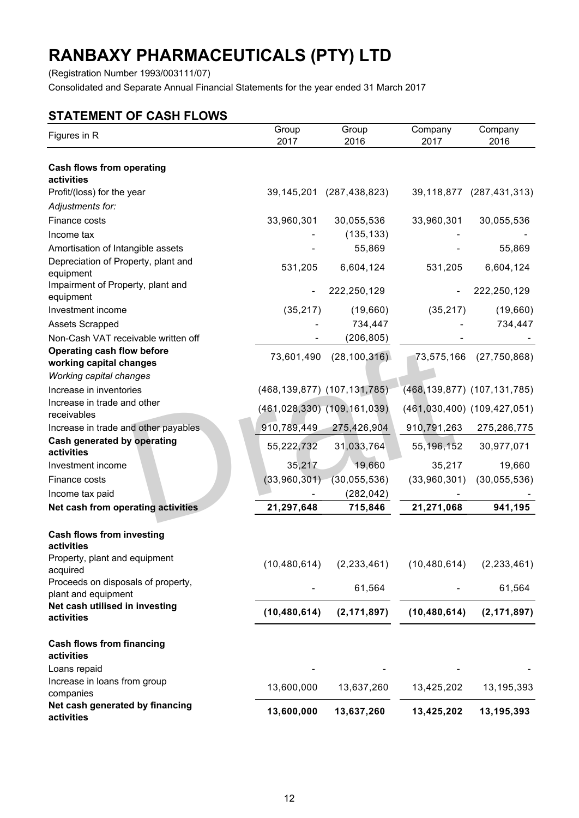(Registration Number 1993/003111/07)

Consolidated and Separate Annual Financial Statements for the year ended 31 March 2017

## **STATEMENT OF CASH FLOWS**

| Figures in R                                              | Group<br>2017  | Group<br>2016                       | Company<br>2017 | Company<br>2016                     |
|-----------------------------------------------------------|----------------|-------------------------------------|-----------------|-------------------------------------|
|                                                           |                |                                     |                 |                                     |
| <b>Cash flows from operating</b><br>activities            |                |                                     |                 |                                     |
| Profit/(loss) for the year                                |                | 39, 145, 201 (287, 438, 823)        |                 | 39,118,877 (287,431,313)            |
| Adjustments for:                                          |                |                                     |                 |                                     |
| Finance costs                                             | 33,960,301     | 30,055,536                          | 33,960,301      | 30,055,536                          |
| Income tax                                                |                | (135, 133)                          |                 |                                     |
| Amortisation of Intangible assets                         |                | 55,869                              |                 | 55,869                              |
| Depreciation of Property, plant and<br>equipment          | 531,205        | 6,604,124                           | 531,205         | 6,604,124                           |
| Impairment of Property, plant and<br>equipment            |                | 222,250,129                         |                 | 222,250,129                         |
| Investment income                                         | (35, 217)      | (19,660)                            | (35, 217)       | (19,660)                            |
| <b>Assets Scrapped</b>                                    |                | 734,447                             |                 | 734,447                             |
| Non-Cash VAT receivable written off                       |                | (206, 805)                          |                 |                                     |
| Operating cash flow before<br>working capital changes     | 73,601,490     | (28, 100, 316)                      | 73,575,166      | (27, 750, 868)                      |
| Working capital changes                                   |                |                                     |                 |                                     |
| Increase in inventories<br>Increase in trade and other    |                | (468, 139, 877) (107, 131, 785)     |                 | (468, 139, 877) (107, 131, 785)     |
| receivables                                               |                | $(461, 028, 330)$ $(109, 161, 039)$ |                 | $(461, 030, 400)$ $(109, 427, 051)$ |
| Increase in trade and other payables                      | 910,789,449    | 275,426,904                         | 910,791,263     | 275,286,775                         |
| <b>Cash generated by operating</b>                        | 55,222,732     | 31,033,764                          | 55,196,152      | 30,977,071                          |
| activities                                                |                |                                     |                 |                                     |
| Investment income                                         | 35,217         | 19,660                              | 35,217          | 19,660                              |
| Finance costs                                             | (33,960,301)   | (30, 055, 536)                      | (33,960,301)    | (30, 055, 536)                      |
| Income tax paid<br>Net cash from operating activities     | 21,297,648     | (282, 042)<br>715,846               | 21,271,068      | 941,195                             |
|                                                           |                |                                     |                 |                                     |
| <b>Cash flows from investing</b><br>activities            |                |                                     |                 |                                     |
| Property, plant and equipment<br>acquired                 | (10, 480, 614) | (2, 233, 461)                       | (10, 480, 614)  | (2, 233, 461)                       |
| Proceeds on disposals of property,<br>plant and equipment |                | 61,564                              |                 | 61,564                              |
| Net cash utilised in investing<br>activities              | (10, 480, 614) | (2, 171, 897)                       | (10, 480, 614)  | (2, 171, 897)                       |
| <b>Cash flows from financing</b>                          |                |                                     |                 |                                     |
| activities                                                |                |                                     |                 |                                     |
| Loans repaid<br>Increase in loans from group              | 13,600,000     | 13,637,260                          | 13,425,202      | 13,195,393                          |
| companies                                                 |                |                                     |                 |                                     |
| Net cash generated by financing<br>activities             | 13,600,000     | 13,637,260                          | 13,425,202      | 13,195,393                          |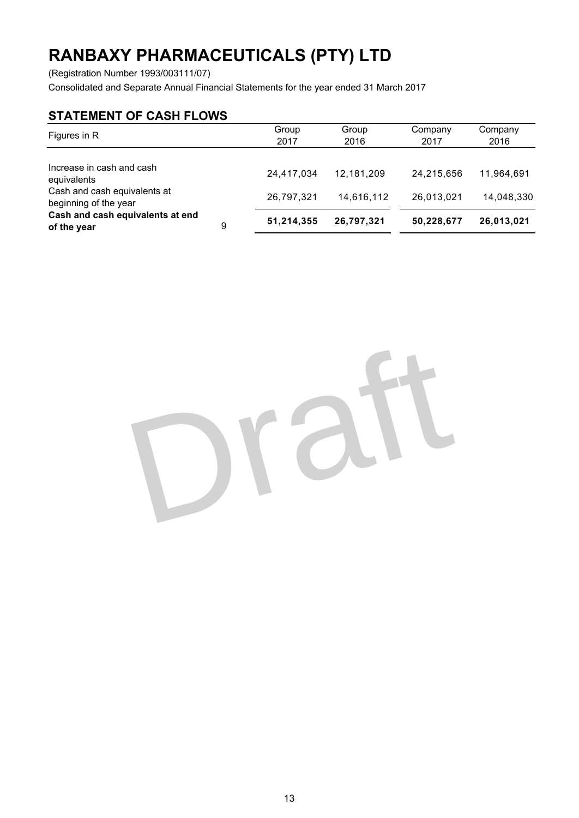(Registration Number 1993/003111/07)

Consolidated and Separate Annual Financial Statements for the year ended 31 March 2017

## **STATEMENT OF CASH FLOWS**

| Figures in R                                                                                      |   | Group<br>2017            | Group<br>2016            | Company<br>2017          | Company<br>2016          |
|---------------------------------------------------------------------------------------------------|---|--------------------------|--------------------------|--------------------------|--------------------------|
| Increase in cash and cash<br>equivalents<br>Cash and cash equivalents at<br>beginning of the year |   | 24,417,034<br>26,797,321 | 12.181.209<br>14,616,112 | 24,215,656<br>26,013,021 | 11.964.691<br>14,048,330 |
| Cash and cash equivalents at end<br>of the year                                                   | 9 | 51,214,355               | 26,797,321               | 50,228,677               | 26,013,021               |

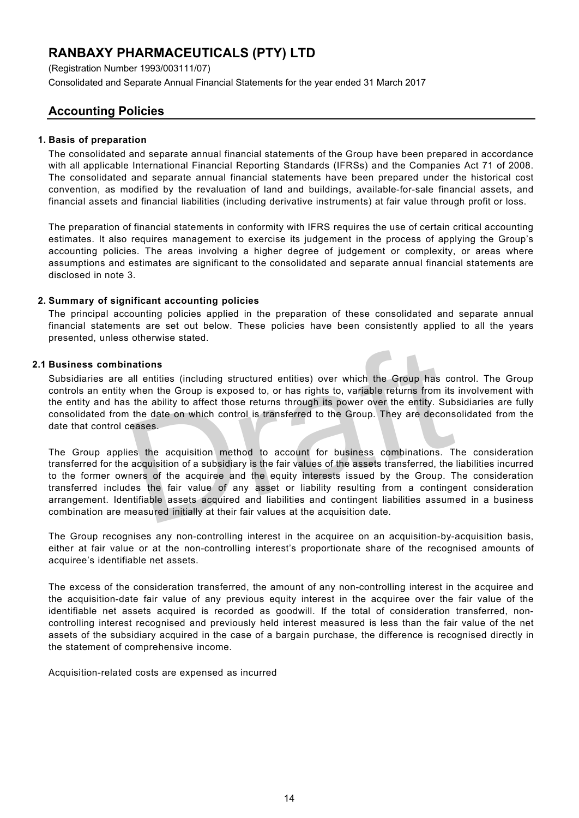(Registration Number 1993/003111/07) Consolidated and Separate Annual Financial Statements for the year ended 31 March 2017

### **Accounting Policies**

#### **1. Basis of preparation**

The consolidated and separate annual financial statements of the Group have been prepared in accordance with all applicable International Financial Reporting Standards (IFRSs) and the Companies Act 71 of 2008. The consolidated and separate annual financial statements have been prepared under the historical cost convention, as modified by the revaluation of land and buildings, available-for-sale financial assets, and financial assets and financial liabilities (including derivative instruments) at fair value through profit or loss.

The preparation of financial statements in conformity with IFRS requires the use of certain critical accounting estimates. It also requires management to exercise its judgement in the process of applying the Group's accounting policies. The areas involving a higher degree of judgement or complexity, or areas where assumptions and estimates are significant to the consolidated and separate annual financial statements are disclosed in note 3.

#### **2. Summary of significant accounting policies**

The principal accounting policies applied in the preparation of these consolidated and separate annual financial statements are set out below. These policies have been consistently applied to all the years presented, unless otherwise stated.

#### **2.1 Business combinations**

Subsidiaries are all entities (including structured entities) over which the Group has control. The Group controls an entity when the Group is exposed to, or has rights to, variable returns from its involvement with the entity and has the ability to affect those returns through its power over the entity. Subsidiaries are fully consolidated from the date on which control is transferred to the Group. They are deconsolidated from the date that control ceases.

nations<br>all entities (including structured entities) over which the Group has cont<br>when the Group is exposed to, or has rights to, variable returns from its<br>the ability to affect those returns through its power over the en The Group applies the acquisition method to account for business combinations. The consideration transferred for the acquisition of a subsidiary is the fair values of the assets transferred, the liabilities incurred to the former owners of the acquiree and the equity interests issued by the Group. The consideration transferred includes the fair value of any asset or liability resulting from a contingent consideration arrangement. Identifiable assets acquired and liabilities and contingent liabilities assumed in a business combination are measured initially at their fair values at the acquisition date.

The Group recognises any non-controlling interest in the acquiree on an acquisition-by-acquisition basis, either at fair value or at the non-controlling interest's proportionate share of the recognised amounts of acquiree's identifiable net assets.

The excess of the consideration transferred, the amount of any non-controlling interest in the acquiree and the acquisition-date fair value of any previous equity interest in the acquiree over the fair value of the identifiable net assets acquired is recorded as goodwill. If the total of consideration transferred, noncontrolling interest recognised and previously held interest measured is less than the fair value of the net assets of the subsidiary acquired in the case of a bargain purchase, the difference is recognised directly in the statement of comprehensive income.

Acquisition-related costs are expensed as incurred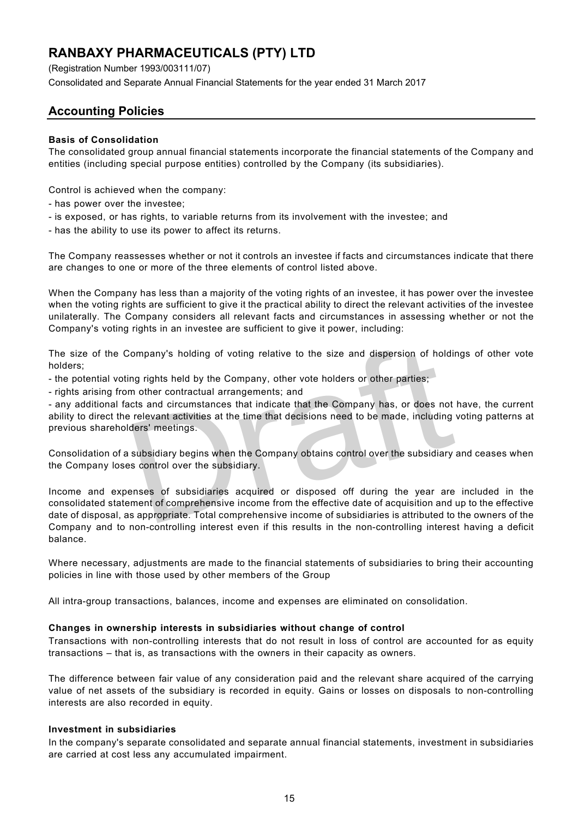(Registration Number 1993/003111/07)

Consolidated and Separate Annual Financial Statements for the year ended 31 March 2017

### **Accounting Policies**

#### **Basis of Consolidation**

The consolidated group annual financial statements incorporate the financial statements of the Company and entities (including special purpose entities) controlled by the Company (its subsidiaries).

Control is achieved when the company:

- has power over the investee;
- is exposed, or has rights, to variable returns from its involvement with the investee; and
- has the ability to use its power to affect its returns.

The Company reassesses whether or not it controls an investee if facts and circumstances indicate that there are changes to one or more of the three elements of control listed above.

When the Company has less than a majority of the voting rights of an investee, it has power over the investee when the voting rights are sufficient to give it the practical ability to direct the relevant activities of the investee unilaterally. The Company considers all relevant facts and circumstances in assessing whether or not the Company's voting rights in an investee are sufficient to give it power, including:

The size of the Company's holding of voting relative to the size and dispersion of holdings of other vote holders;

- the potential voting rights held by the Company, other vote holders or other parties;

- rights arising from other contractual arrangements; and

- any additional facts and circumstances that indicate that the Company has, or does not have, the current ability to direct the relevant activities at the time that decisions need to be made, including voting patterns at previous shareholders' meetings.

Consolidation of a subsidiary begins when the Company obtains control over the subsidiary and ceases when the Company loses control over the subsidiary.

ompany's holding of voting relative to the size and dispersion of holdin<br>that in the meta-strangence is and dispersion of holding rights held by the Company, other vote holders or other parties;<br>in other contractual arrang Income and expenses of subsidiaries acquired or disposed off during the year are included in the consolidated statement of comprehensive income from the effective date of acquisition and up to the effective date of disposal, as appropriate. Total comprehensive income of subsidiaries is attributed to the owners of the Company and to non-controlling interest even if this results in the non-controlling interest having a deficit balance.

Where necessary, adjustments are made to the financial statements of subsidiaries to bring their accounting policies in line with those used by other members of the Group

All intra-group transactions, balances, income and expenses are eliminated on consolidation.

#### **2.1.1 Changes in ownership interests in subsidiaries without change of control**

Transactions with non-controlling interests that do not result in loss of control are accounted for as equity transactions – that is, as transactions with the owners in their capacity as owners.

The difference between fair value of any consideration paid and the relevant share acquired of the carrying value of net assets of the subsidiary is recorded in equity. Gains or losses on disposals to non-controlling interests are also recorded in equity.

#### **Investment in subsidiaries**

In the company's separate consolidated and separate annual financial statements, investment in subsidiaries are carried at cost less any accumulated impairment.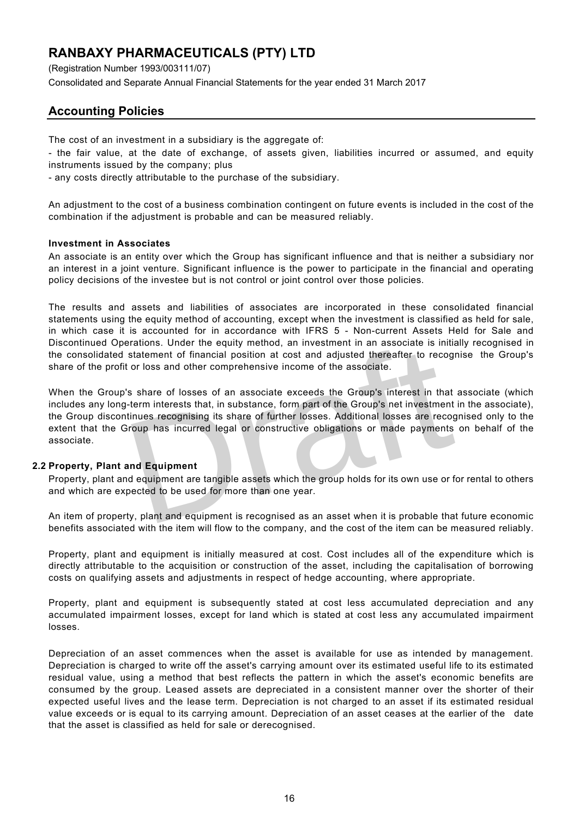(Registration Number 1993/003111/07)

Consolidated and Separate Annual Financial Statements for the year ended 31 March 2017

### **Accounting Policies**

The cost of an investment in a subsidiary is the aggregate of:

- the fair value, at the date of exchange, of assets given, liabilities incurred or assumed, and equity instruments issued by the company; plus

- any costs directly attributable to the purchase of the subsidiary.

An adjustment to the cost of a business combination contingent on future events is included in the cost of the combination if the adjustment is probable and can be measured reliably.

#### **2.1.2 Investment in Associates**

An associate is an entity over which the Group has significant influence and that is neither a subsidiary nor an interest in a joint venture. Significant influence is the power to participate in the financial and operating policy decisions of the investee but is not control or joint control over those policies.

The results and assets and liabilities of associates are incorporated in these consolidated financial statements using the equity method of accounting, except when the investment is classified as held for sale, in which case it is accounted for in accordance with IFRS 5 - Non-current Assets Held for Sale and Discontinued Operations. Under the equity method, an investment in an associate is initially recognised in the consolidated statement of financial position at cost and adjusted thereafter to recognise the Group's share of the profit or loss and other comprehensive income of the associate.

statement of financial position at cost and adjusted thereafter to recogr<br>or loss and other comprehensive income of the associate.<br>
S share of losses of an associate exceeds the Group's interest in that<br>
term interests tha When the Group's share of losses of an associate exceeds the Group's interest in that associate (which includes any long-term interests that, in substance, form part of the Group's net investment in the associate), the Group discontinues recognising its share of further losses. Additional losses are recognised only to the extent that the Group has incurred legal or constructive obligations or made payments on behalf of the associate.

#### **2.2 Property, Plant and Equipment**

Property, plant and equipment are tangible assets which the group holds for its own use or for rental to others and which are expected to be used for more than one year.

An item of property, plant and equipment is recognised as an asset when it is probable that future economic benefits associated with the item will flow to the company, and the cost of the item can be measured reliably.

Property, plant and equipment is initially measured at cost. Cost includes all of the expenditure which is directly attributable to the acquisition or construction of the asset, including the capitalisation of borrowing costs on qualifying assets and adjustments in respect of hedge accounting, where appropriate.

Property, plant and equipment is subsequently stated at cost less accumulated depreciation and any accumulated impairment losses, except for land which is stated at cost less any accumulated impairment losses.

Depreciation of an asset commences when the asset is available for use as intended by management. Depreciation is charged to write off the asset's carrying amount over its estimated useful life to its estimated residual value, using a method that best reflects the pattern in which the asset's economic benefits are consumed by the group. Leased assets are depreciated in a consistent manner over the shorter of their expected useful lives and the lease term. Depreciation is not charged to an asset if its estimated residual value exceeds or is equal to its carrying amount. Depreciation of an asset ceases at the earlier of the date that the asset is classified as held for sale or derecognised.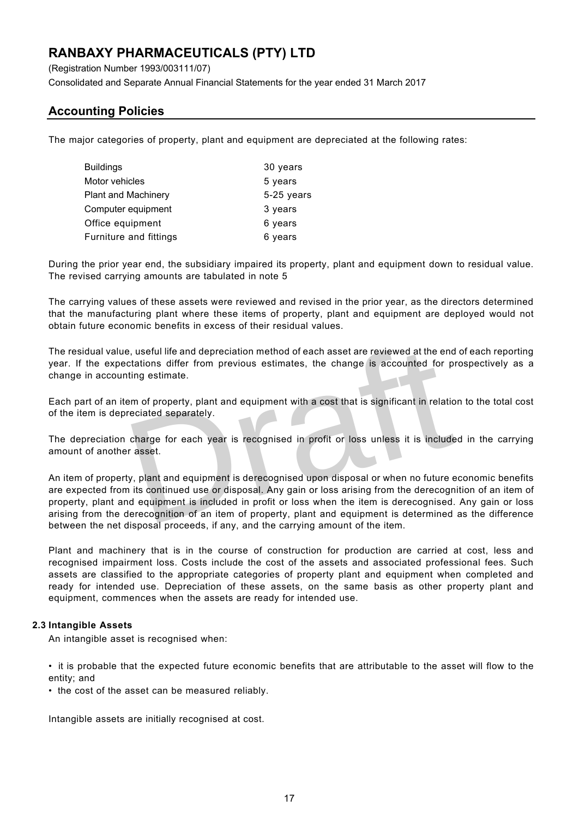(Registration Number 1993/003111/07) Consolidated and Separate Annual Financial Statements for the year ended 31 March 2017

## **Accounting Policies**

The major categories of property, plant and equipment are depreciated at the following rates:

| <b>Buildings</b>           | 30 years   |
|----------------------------|------------|
| Motor vehicles             | 5 years    |
| <b>Plant and Machinery</b> | 5-25 years |
| Computer equipment         | 3 years    |
| Office equipment           | 6 years    |
| Furniture and fittings     | 6 years    |
|                            |            |

During the prior year end, the subsidiary impaired its property, plant and equipment down to residual value. The revised carrying amounts are tabulated in note 5

The carrying values of these assets were reviewed and revised in the prior year, as the directors determined that the manufacturing plant where these items of property, plant and equipment are deployed would not obtain future economic benefits in excess of their residual values.

The residual value, useful life and depreciation method of each asset are reviewed at the end of each reporting year. If the expectations differ from previous estimates, the change is accounted for prospectively as a change in accounting estimate.

Each part of an item of property, plant and equipment with a cost that is significant in relation to the total cost of the item is depreciated separately.

The depreciation charge for each year is recognised in profit or loss unless it is included in the carrying amount of another asset.

is useful life and depreciation method of each asset are reviewed at the end<br>tations differ from previous estimates, the change is accounted for pr<br>ing estimate.<br>m of property, plant and equipment with a cost that is signi An item of property, plant and equipment is derecognised upon disposal or when no future economic benefits are expected from its continued use or disposal. Any gain or loss arising from the derecognition of an item of property, plant and equipment is included in profit or loss when the item is derecognised. Any gain or loss arising from the derecognition of an item of property, plant and equipment is determined as the difference between the net disposal proceeds, if any, and the carrying amount of the item.

Plant and machinery that is in the course of construction for production are carried at cost, less and recognised impairment loss. Costs include the cost of the assets and associated professional fees. Such assets are classified to the appropriate categories of property plant and equipment when completed and ready for intended use. Depreciation of these assets, on the same basis as other property plant and equipment, commences when the assets are ready for intended use.

#### **2.3 Intangible Assets**

An intangible asset is recognised when:

• it is probable that the expected future economic benefits that are attributable to the asset will flow to the entity; and

• the cost of the asset can be measured reliably.

Intangible assets are initially recognised at cost.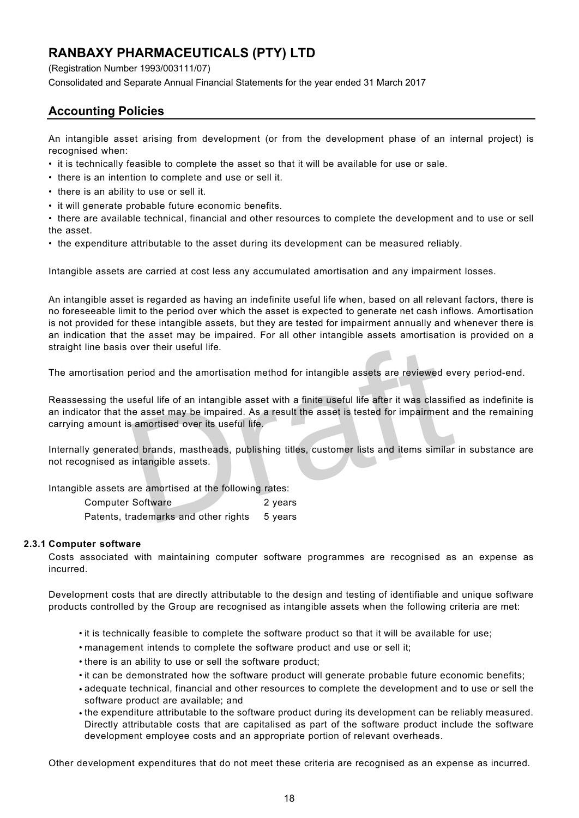(Registration Number 1993/003111/07)

Consolidated and Separate Annual Financial Statements for the year ended 31 March 2017

## **Accounting Policies**

An intangible asset arising from development (or from the development phase of an internal project) is recognised when:

- it is technically feasible to complete the asset so that it will be available for use or sale.
- there is an intention to complete and use or sell it.
- there is an ability to use or sell it.
- it will generate probable future economic benefits.

• there are available technical, financial and other resources to complete the development and to use or sell the asset.

• the expenditure attributable to the asset during its development can be measured reliably.

Intangible assets are carried at cost less any accumulated amortisation and any impairment losses.

An intangible asset is regarded as having an indefinite useful life when, based on all relevant factors, there is no foreseeable limit to the period over which the asset is expected to generate net cash inflows. Amortisation is not provided for these intangible assets, but they are tested for impairment annually and whenever there is an indication that the asset may be impaired. For all other intangible assets amortisation is provided on a straight line basis over their useful life.

The amortisation period and the amortisation method for intangible assets are reviewed every period-end.

berial different distribution method for intangible assets are reviewed evidential life of an intangible asset with a finite useful life after it was classified asset may be impaired. As a result the asset is tested for im Reassessing the useful life of an intangible asset with a finite useful life after it was classified as indefinite is an indicator that the asset may be impaired. As a result the asset is tested for impairment and the remaining carrying amount is amortised over its useful life.

Internally generated brands, mastheads, publishing titles, customer lists and items similar in substance are not recognised as intangible assets.

Intangible assets are amortised at the following rates:

| <b>Computer Software</b>             | 2 years |
|--------------------------------------|---------|
| Patents, trademarks and other rights | 5 vears |

#### **2.3.1 Computer software**

Costs associated with maintaining computer software programmes are recognised as an expense as incurred.

Development costs that are directly attributable to the design and testing of identifiable and unique software products controlled by the Group are recognised as intangible assets when the following criteria are met:

- it is technically feasible to complete the software product so that it will be available for use;
- management intends to complete the software product and use or sell it;
- there is an ability to use or sell the software product;
- it can be demonstrated how the software product will generate probable future economic benefits;
- adequate technical, financial and other resources to complete the development and to use or sell the software product are available; and
- the expenditure attributable to the software product during its development can be reliably measured. Directly attributable costs that are capitalised as part of the software product include the software development employee costs and an appropriate portion of relevant overheads.

Other development expenditures that do not meet these criteria are recognised as an expense as incurred.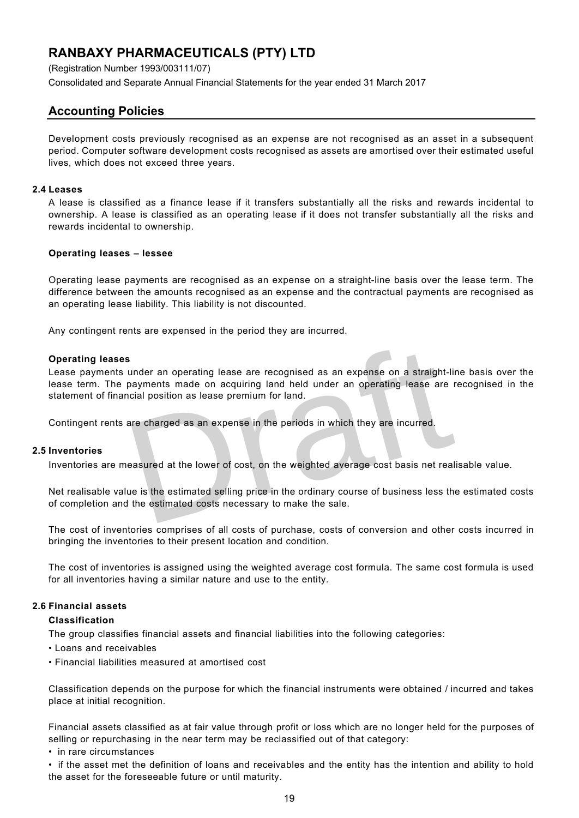(Registration Number 1993/003111/07) Consolidated and Separate Annual Financial Statements for the year ended 31 March 2017

## **Accounting Policies**

Development costs previously recognised as an expense are not recognised as an asset in a subsequent period. Computer software development costs recognised as assets are amortised over their estimated useful lives, which does not exceed three years.

#### **2.4 Leases**

A lease is classified as a finance lease if it transfers substantially all the risks and rewards incidental to ownership. A lease is classified as an operating lease if it does not transfer substantially all the risks and rewards incidental to ownership.

#### **Operating leases – lessee**

Operating lease payments are recognised as an expense on a straight-line basis over the lease term. The difference between the amounts recognised as an expense and the contractual payments are recognised as an operating lease liability. This liability is not discounted.

Any contingent rents are expensed in the period they are incurred.

#### **Operating leases**

under an operating lease are recognised as an expense on a straight-line<br>ayments made on acquiring land held under an operating lease are r<br>cial position as lease premium for land.<br>are charged as an expense in the periods Lease payments under an operating lease are recognised as an expense on a straight-line basis over the lease term. The payments made on acquiring land held under an operating lease are recognised in the statement of financial position as lease premium for land.

Contingent rents are charged as an expense in the periods in which they are incurred.

#### **2.5 Inventories**

Inventories are measured at the lower of cost, on the weighted average cost basis net realisable value.

Net realisable value is the estimated selling price in the ordinary course of business less the estimated costs of completion and the estimated costs necessary to make the sale.

The cost of inventories comprises of all costs of purchase, costs of conversion and other costs incurred in bringing the inventories to their present location and condition.

The cost of inventories is assigned using the weighted average cost formula. The same cost formula is used for all inventories having a similar nature and use to the entity.

#### **2.6 Financial assets**

#### **Classification**

The group classifies financial assets and financial liabilities into the following categories:

- Loans and receivables
- Financial liabilities measured at amortised cost

Classification depends on the purpose for which the financial instruments were obtained / incurred and takes place at initial recognition.

Financial assets classified as at fair value through profit or loss which are no longer held for the purposes of selling or repurchasing in the near term may be reclassified out of that category:

• in rare circumstances

• if the asset met the definition of loans and receivables and the entity has the intention and ability to hold the asset for the foreseeable future or until maturity.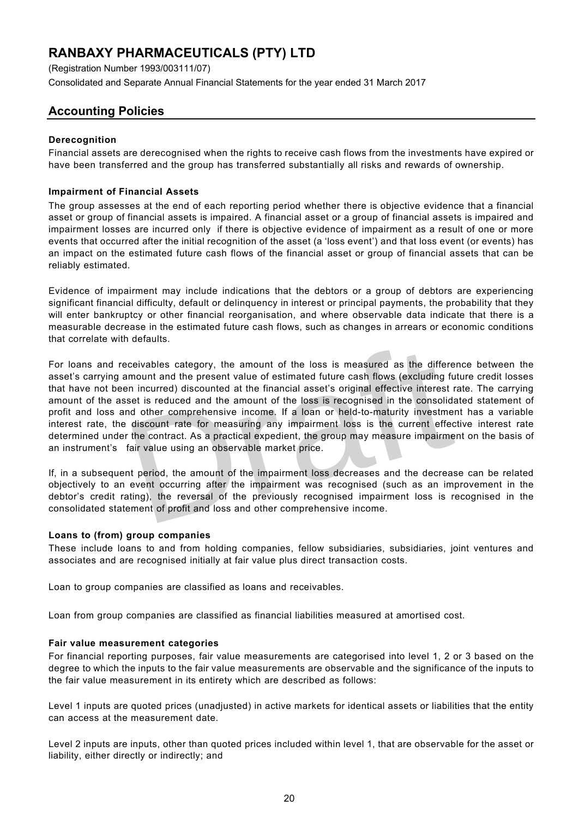(Registration Number 1993/003111/07) Consolidated and Separate Annual Financial Statements for the year ended 31 March 2017

## **Accounting Policies**

#### **Derecognition**

Financial assets are derecognised when the rights to receive cash flows from the investments have expired or have been transferred and the group has transferred substantially all risks and rewards of ownership.

#### **Impairment of Financial Assets**

The group assesses at the end of each reporting period whether there is objective evidence that a financial asset or group of financial assets is impaired. A financial asset or a group of financial assets is impaired and impairment losses are incurred only if there is objective evidence of impairment as a result of one or more events that occurred after the initial recognition of the asset (a 'loss event') and that loss event (or events) has an impact on the estimated future cash flows of the financial asset or group of financial assets that can be reliably estimated.

Evidence of impairment may include indications that the debtors or a group of debtors are experiencing significant financial difficulty, default or delinquency in interest or principal payments, the probability that they will enter bankruptcy or other financial reorganisation, and where observable data indicate that there is a measurable decrease in the estimated future cash flows, such as changes in arrears or economic conditions that correlate with defaults.

ceivables category, the amount of the loss is measured as the differem<br>mount and the present value of estimated future cash flows (excluding fut<br>n incurred) discounted at the financial asset's original effective interest r For loans and receivables category, the amount of the loss is measured as the difference between the asset's carrying amount and the present value of estimated future cash flows (excluding future credit losses that have not been incurred) discounted at the financial asset's original effective interest rate. The carrying amount of the asset is reduced and the amount of the loss is recognised in the consolidated statement of profit and loss and other comprehensive income. If a loan or held-to-maturity investment has a variable interest rate, the discount rate for measuring any impairment loss is the current effective interest rate determined under the contract. As a practical expedient, the group may measure impairment on the basis of an instrument's fair value using an observable market price.

If, in a subsequent period, the amount of the impairment loss decreases and the decrease can be related objectively to an event occurring after the impairment was recognised (such as an improvement in the debtor's credit rating), the reversal of the previously recognised impairment loss is recognised in the consolidated statement of profit and loss and other comprehensive income.

#### **Loans to (from) group companies**

These include loans to and from holding companies, fellow subsidiaries, subsidiaries, joint ventures and associates and are recognised initially at fair value plus direct transaction costs.

Loan to group companies are classified as loans and receivables.

Loan from group companies are classified as financial liabilities measured at amortised cost.

#### **Fair value measurement categories**

For financial reporting purposes, fair value measurements are categorised into level 1, 2 or 3 based on the degree to which the inputs to the fair value measurements are observable and the significance of the inputs to the fair value measurement in its entirety which are described as follows:

Level 1 inputs are quoted prices (unadjusted) in active markets for identical assets or liabilities that the entity can access at the measurement date.

Level 2 inputs are inputs, other than quoted prices included within level 1, that are observable for the asset or liability, either directly or indirectly; and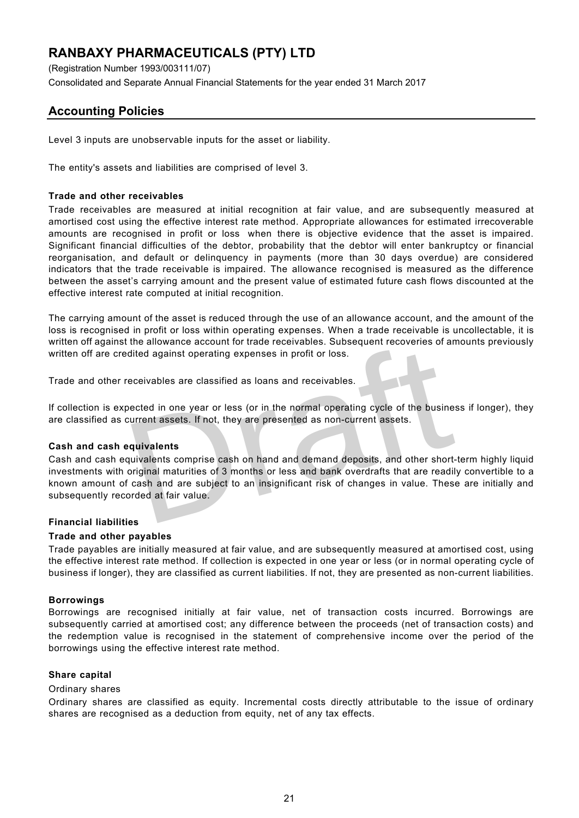(Registration Number 1993/003111/07) Consolidated and Separate Annual Financial Statements for the year ended 31 March 2017

## **Accounting Policies**

Level 3 inputs are unobservable inputs for the asset or liability.

The entity's assets and liabilities are comprised of level 3.

#### **Trade and other receivables**

Trade receivables are measured at initial recognition at fair value, and are subsequently measured at amortised cost using the effective interest rate method. Appropriate allowances for estimated irrecoverable amounts are recognised in profit or loss when there is objective evidence that the asset is impaired. Significant financial difficulties of the debtor, probability that the debtor will enter bankruptcy or financial reorganisation, and default or delinquency in payments (more than 30 days overdue) are considered indicators that the trade receivable is impaired. The allowance recognised is measured as the difference between the asset's carrying amount and the present value of estimated future cash flows discounted at the effective interest rate computed at initial recognition.

The carrying amount of the asset is reduced through the use of an allowance account, and the amount of the loss is recognised in profit or loss within operating expenses. When a trade receivable is uncollectable, it is written off against the allowance account for trade receivables. Subsequent recoveries of amounts previously written off are credited against operating expenses in profit or loss.

Trade and other receivables are classified as loans and receivables.

If collection is expected in one year or less (or in the normal operating cycle of the business if longer), they are classified as current assets. If not, they are presented as non-current assets.

#### **Cash and cash equivalents**

dited against operating expenses in profit or loss.<br>
eceivables are classified as loans and receivables.<br>
ected in one year or less (or in the normal operating cycle of the busines<br>
urrent assets. If not, they are presente Cash and cash equivalents comprise cash on hand and demand deposits, and other short-term highly liquid investments with original maturities of 3 months or less and bank overdrafts that are readily convertible to a known amount of cash and are subject to an insignificant risk of changes in value. These are initially and subsequently recorded at fair value.

#### **Financial liabilities**

#### **Trade and other payables**

Trade payables are initially measured at fair value, and are subsequently measured at amortised cost, using the effective interest rate method. If collection is expected in one year or less (or in normal operating cycle of business if longer), they are classified as current liabilities. If not, they are presented as non-current liabilities.

#### **Borrowings**

Borrowings are recognised initially at fair value, net of transaction costs incurred. Borrowings are subsequently carried at amortised cost; any difference between the proceeds (net of transaction costs) and the redemption value is recognised in the statement of comprehensive income over the period of the borrowings using the effective interest rate method.

#### **Share capital**

#### Ordinary shares

Ordinary shares are classified as equity. Incremental costs directly attributable to the issue of ordinary shares are recognised as a deduction from equity, net of any tax effects.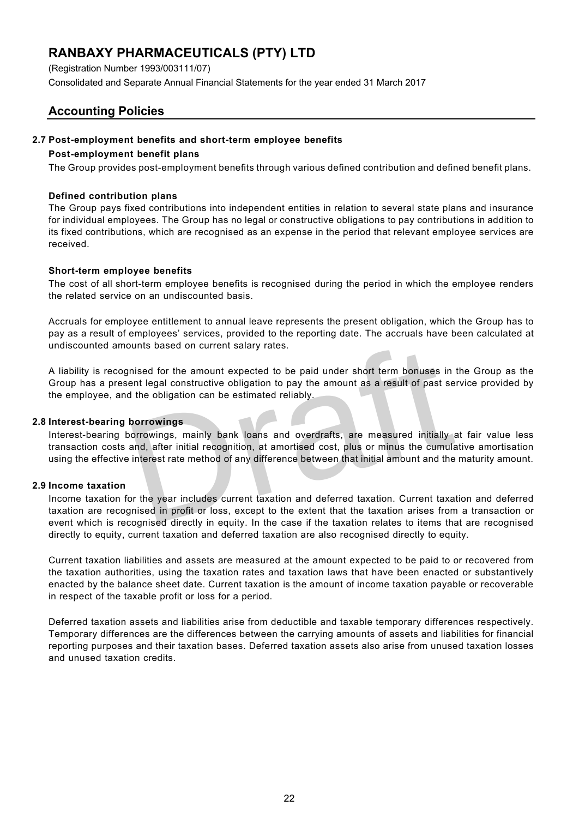(Registration Number 1993/003111/07) Consolidated and Separate Annual Financial Statements for the year ended 31 March 2017

## **Accounting Policies**

#### **2.7 Post-employment benefits and short-term employee benefits**

#### **Post-employment benefit plans**

The Group provides post-employment benefits through various defined contribution and defined benefit plans.

#### **Defined contribution plans**

The Group pays fixed contributions into independent entities in relation to several state plans and insurance for individual employees. The Group has no legal or constructive obligations to pay contributions in addition to its fixed contributions, which are recognised as an expense in the period that relevant employee services are received.

#### **2.7.1 Short-term employee benefits**

The cost of all short-term employee benefits is recognised during the period in which the employee renders the related service on an undiscounted basis.

Accruals for employee entitlement to annual leave represents the present obligation, which the Group has to pay as a result of employees' services, provided to the reporting date. The accruals have been calculated at undiscounted amounts based on current salary rates.

mised for the amount expected to be paid under short term bonuses in the digal constructive obligation to pay the amount as a result of past set the obligation can be estimated reliably.<br> **borrowings**<br> **borrowings**<br> **borro** A liability is recognised for the amount expected to be paid under short term bonuses in the Group as the Group has a present legal constructive obligation to pay the amount as a result of past service provided by the employee, and the obligation can be estimated reliably.

#### **2.8 Interest-bearing borrowings**

Interest-bearing borrowings, mainly bank loans and overdrafts, are measured initially at fair value less transaction costs and, after initial recognition, at amortised cost, plus or minus the cumulative amortisation using the effective interest rate method of any difference between that initial amount and the maturity amount.

#### **2.9 Income taxation**

Income taxation for the year includes current taxation and deferred taxation. Current taxation and deferred taxation are recognised in profit or loss, except to the extent that the taxation arises from a transaction or event which is recognised directly in equity. In the case if the taxation relates to items that are recognised directly to equity, current taxation and deferred taxation are also recognised directly to equity.

Current taxation liabilities and assets are measured at the amount expected to be paid to or recovered from the taxation authorities, using the taxation rates and taxation laws that have been enacted or substantively enacted by the balance sheet date. Current taxation is the amount of income taxation payable or recoverable in respect of the taxable profit or loss for a period.

Deferred taxation assets and liabilities arise from deductible and taxable temporary differences respectively. Temporary differences are the differences between the carrying amounts of assets and liabilities for financial reporting purposes and their taxation bases. Deferred taxation assets also arise from unused taxation losses and unused taxation credits.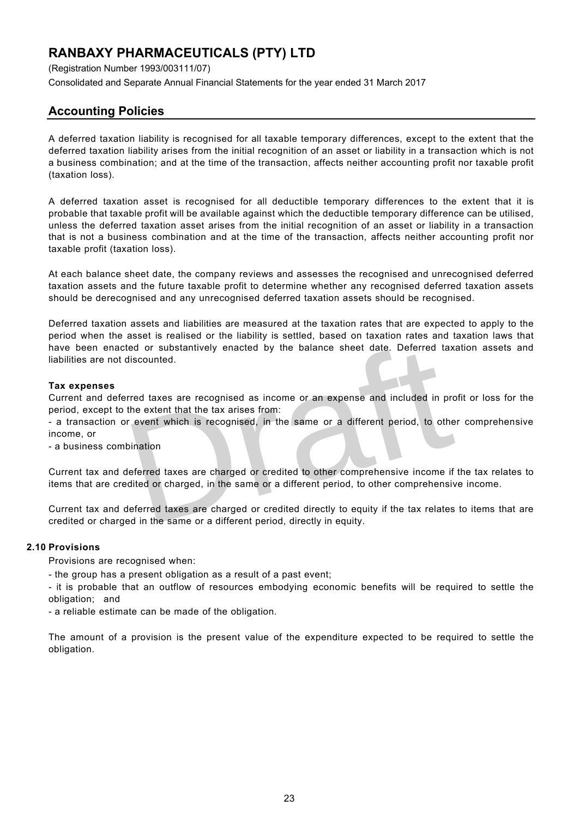(Registration Number 1993/003111/07) Consolidated and Separate Annual Financial Statements for the year ended 31 March 2017

## **Accounting Policies**

A deferred taxation liability is recognised for all taxable temporary differences, except to the extent that the deferred taxation liability arises from the initial recognition of an asset or liability in a transaction which is not a business combination; and at the time of the transaction, affects neither accounting profit nor taxable profit (taxation loss).

A deferred taxation asset is recognised for all deductible temporary differences to the extent that it is probable that taxable profit will be available against which the deductible temporary difference can be utilised, unless the deferred taxation asset arises from the initial recognition of an asset or liability in a transaction that is not a business combination and at the time of the transaction, affects neither accounting profit nor taxable profit (taxation loss).

At each balance sheet date, the company reviews and assesses the recognised and unrecognised deferred taxation assets and the future taxable profit to determine whether any recognised deferred taxation assets should be derecognised and any unrecognised deferred taxation assets should be recognised.

Deferred taxation assets and liabilities are measured at the taxation rates that are expected to apply to the period when the asset is realised or the liability is settled, based on taxation rates and taxation laws that have been enacted or substantively enacted by the balance sheet date. Deferred taxation assets and liabilities are not discounted.

#### **Tax expenses**

Current and deferred taxes are recognised as income or an expense and included in profit or loss for the period, except to the extent that the tax arises from:

iscounted.<br>
Intervalse are recognised as income or an expense and included in pro<br>
the extent that the tax arises from:<br>
event which is recognised, in the same or a different period, to other<br>
ination<br>
eferred taxes are ch - a transaction or event which is recognised, in the same or a different period, to other comprehensive income, or

- a business combination

Current tax and deferred taxes are charged or credited to other comprehensive income if the tax relates to items that are credited or charged, in the same or a different period, to other comprehensive income.

Current tax and deferred taxes are charged or credited directly to equity if the tax relates to items that are credited or charged in the same or a different period, directly in equity.

#### **2.10 Provisions**

Provisions are recognised when:

- the group has a present obligation as a result of a past event;

- it is probable that an outflow of resources embodying economic benefits will be required to settle the obligation; and

- a reliable estimate can be made of the obligation.

The amount of a provision is the present value of the expenditure expected to be required to settle the obligation.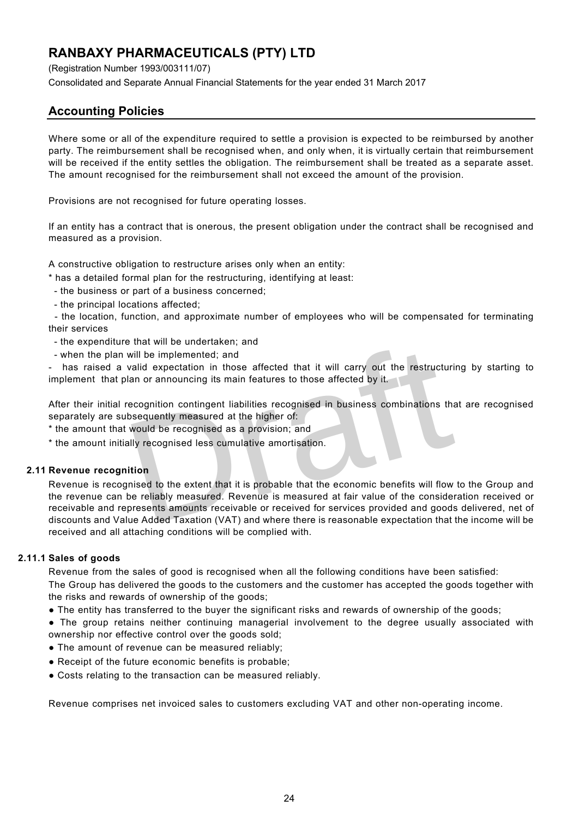(Registration Number 1993/003111/07)

Consolidated and Separate Annual Financial Statements for the year ended 31 March 2017

## **Accounting Policies**

Where some or all of the expenditure required to settle a provision is expected to be reimbursed by another party. The reimbursement shall be recognised when, and only when, it is virtually certain that reimbursement will be received if the entity settles the obligation. The reimbursement shall be treated as a separate asset. The amount recognised for the reimbursement shall not exceed the amount of the provision.

Provisions are not recognised for future operating losses.

If an entity has a contract that is onerous, the present obligation under the contract shall be recognised and measured as a provision.

A constructive obligation to restructure arises only when an entity:

\* has a detailed formal plan for the restructuring, identifying at least:

- the business or part of a business concerned;
- the principal locations affected;

 - the location, function, and approximate number of employees who will be compensated for terminating their services

- the expenditure that will be undertaken; and
- when the plan will be implemented; and

- has raised a valid expectation in those affected that it will carry out the restructuring by starting to implement that plan or announcing its main features to those affected by it.

After their initial recognition contingent liabilities recognised in business combinations that are recognised separately are subsequently measured at the higher of:

- \* the amount that would be recognised as a provision; and
- \* the amount initially recognised less cumulative amortisation.

#### **2.11 Revenue recognition**

will be implemented; and<br>valid expectation in those affected that it will carry out the restructurir<br>an or announcing its main features to those affected by it.<br>ecognition contingent liabilities recognised in business comb Revenue is recognised to the extent that it is probable that the economic benefits will flow to the Group and the revenue can be reliably measured. Revenue is measured at fair value of the consideration received or receivable and represents amounts receivable or received for services provided and goods delivered, net of discounts and Value Added Taxation (VAT) and where there is reasonable expectation that the income will be received and all attaching conditions will be complied with.

#### **2.11.1 Sales of goods**

Revenue from the sales of good is recognised when all the following conditions have been satisfied: The Group has delivered the goods to the customers and the customer has accepted the goods together with

● The entity has transferred to the buyer the significant risks and rewards of ownership of the goods;

● The group retains neither continuing managerial involvement to the degree usually associated with ownership nor effective control over the goods sold;

• The amount of revenue can be measured reliably;

the risks and rewards of ownership of the goods;

- Receipt of the future economic benefits is probable;
- Costs relating to the transaction can be measured reliably.

Revenue comprises net invoiced sales to customers excluding VAT and other non-operating income.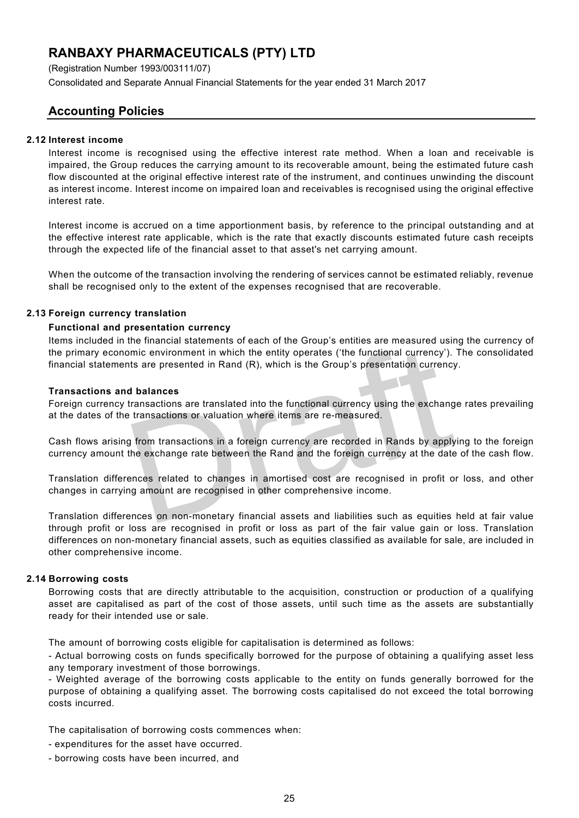(Registration Number 1993/003111/07) Consolidated and Separate Annual Financial Statements for the year ended 31 March 2017

## **Accounting Policies**

#### **2.12 Interest income**

Interest income is recognised using the effective interest rate method. When a loan and receivable is impaired, the Group reduces the carrying amount to its recoverable amount, being the estimated future cash flow discounted at the original effective interest rate of the instrument, and continues unwinding the discount as interest income. Interest income on impaired loan and receivables is recognised using the original effective interest rate.

Interest income is accrued on a time apportionment basis, by reference to the principal outstanding and at the effective interest rate applicable, which is the rate that exactly discounts estimated future cash receipts through the expected life of the financial asset to that asset's net carrying amount.

When the outcome of the transaction involving the rendering of services cannot be estimated reliably, revenue shall be recognised only to the extent of the expenses recognised that are recoverable.

#### **2.13 Foreign currency translation**

#### **Functional and presentation currency**

Items included in the financial statements of each of the Group's entities are measured using the currency of the primary economic environment in which the entity operates ('the functional currency'). The consolidated financial statements are presented in Rand (R), which is the Group's presentation currency.

#### **Transactions and balances**

Foreign currency transactions are translated into the functional currency using the exchange rates prevailing at the dates of the transactions or valuation where items are re-measured.

mic environment in which the entity operates ('the functional currency'). Its are presented in Rand (R), which is the Group's presentation currency<br> **d balances**<br>
ransactions are translated into the functional currency usi Cash flows arising from transactions in a foreign currency are recorded in Rands by applying to the foreign currency amount the exchange rate between the Rand and the foreign currency at the date of the cash flow.

Translation differences related to changes in amortised cost are recognised in profit or loss, and other changes in carrying amount are recognised in other comprehensive income.

Translation differences on non-monetary financial assets and liabilities such as equities held at fair value through profit or loss are recognised in profit or loss as part of the fair value gain or loss. Translation differences on non-monetary financial assets, such as equities classified as available for sale, are included in other comprehensive income.

#### **2.14 Borrowing costs**

Borrowing costs that are directly attributable to the acquisition, construction or production of a qualifying asset are capitalised as part of the cost of those assets, until such time as the assets are substantially ready for their intended use or sale.

The amount of borrowing costs eligible for capitalisation is determined as follows:

- Actual borrowing costs on funds specifically borrowed for the purpose of obtaining a qualifying asset less any temporary investment of those borrowings.

- Weighted average of the borrowing costs applicable to the entity on funds generally borrowed for the purpose of obtaining a qualifying asset. The borrowing costs capitalised do not exceed the total borrowing costs incurred.

The capitalisation of borrowing costs commences when:

- expenditures for the asset have occurred.
- borrowing costs have been incurred, and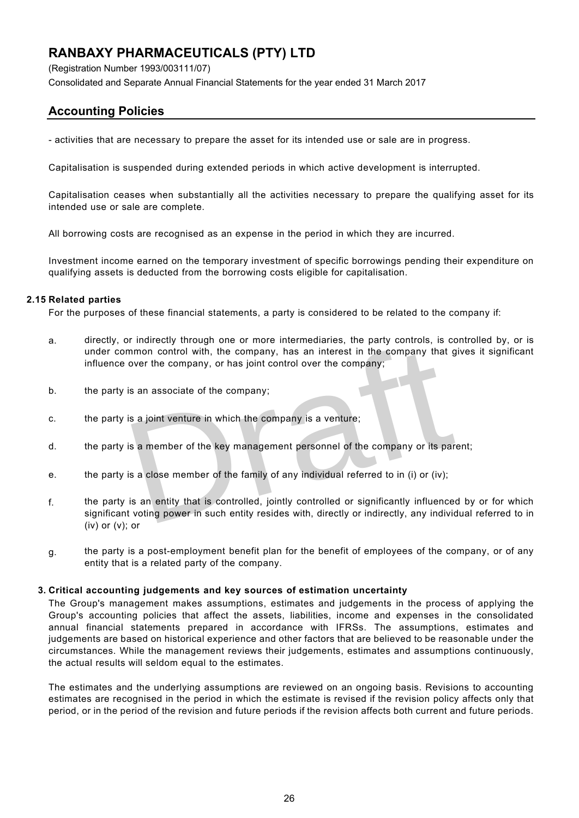(Registration Number 1993/003111/07) Consolidated and Separate Annual Financial Statements for the year ended 31 March 2017

## **Accounting Policies**

- activities that are necessary to prepare the asset for its intended use or sale are in progress.

Capitalisation is suspended during extended periods in which active development is interrupted.

Capitalisation ceases when substantially all the activities necessary to prepare the qualifying asset for its intended use or sale are complete.

All borrowing costs are recognised as an expense in the period in which they are incurred.

Investment income earned on the temporary investment of specific borrowings pending their expenditure on qualifying assets is deducted from the borrowing costs eligible for capitalisation.

#### **2.15 Related parties**

For the purposes of these financial statements, a party is considered to be related to the company if:

- a. directly, or indirectly through one or more intermediaries, the party controls, is controlled by, or is under common control with, the company, has an interest in the company that gives it significant influence over the company, or has joint control over the company;
- b. the party is an associate of the company;
- c. the party is a joint venture in which the company is a venture;
- d. the party is a member of the key management personnel of the company or its parent;
- e. the party is a close member of the family of any individual referred to in (i) or (iv);
- nmon control with, the company, has an interest in the company that g<br>over the company, or has joint control over the company;<br>s an associate of the company;<br>s a joint venture in which the company is a venture;<br>s a member f. the party is an entity that is controlled, jointly controlled or significantly influenced by or for which significant voting power in such entity resides with, directly or indirectly, any individual referred to in (iv) or (v); or
- g. the party is a post-employment benefit plan for the benefit of employees of the company, or of any entity that is a related party of the company.

#### **3. Critical accounting judgements and key sources of estimation uncertainty**

The Group's management makes assumptions, estimates and judgements in the process of applying the Group's accounting policies that affect the assets, liabilities, income and expenses in the consolidated annual financial statements prepared in accordance with IFRSs. The assumptions, estimates and judgements are based on historical experience and other factors that are believed to be reasonable under the circumstances. While the management reviews their judgements, estimates and assumptions continuously, the actual results will seldom equal to the estimates.

The estimates and the underlying assumptions are reviewed on an ongoing basis. Revisions to accounting estimates are recognised in the period in which the estimate is revised if the revision policy affects only that period, or in the period of the revision and future periods if the revision affects both current and future periods.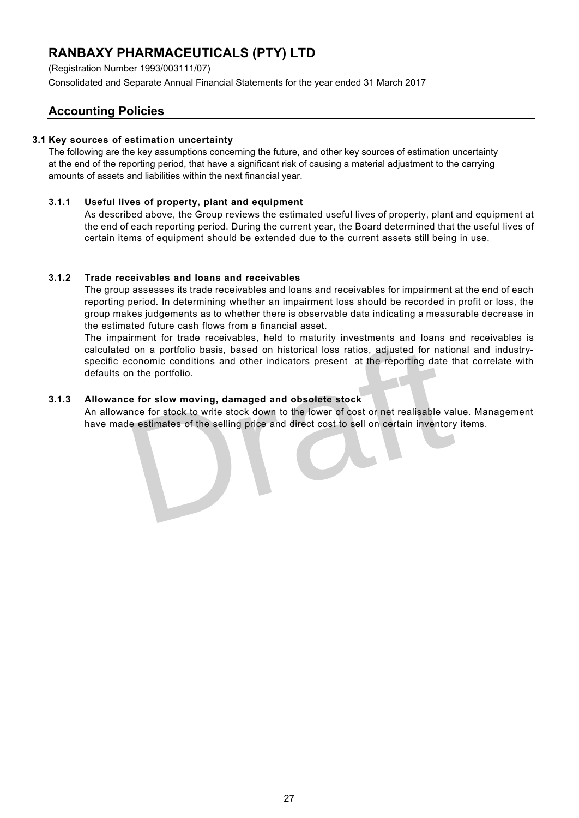(Registration Number 1993/003111/07)

Consolidated and Separate Annual Financial Statements for the year ended 31 March 2017

### **Accounting Policies**

#### **3.1 Key sources of estimation uncertainty**

The following are the key assumptions concerning the future, and other key sources of estimation uncertainty at the end of the reporting period, that have a significant risk of causing a material adjustment to the carrying amounts of assets and liabilities within the next financial year.

#### **3.1.1 3.1.1 Useful lives of property, plant and equipment**

As described above, the Group reviews the estimated useful lives of property, plant and equipment at the end of each reporting period. During the current year, the Board determined that the useful lives of certain items of equipment should be extended due to the current assets still being in use.

#### **3.1.2 3.1.2 Trade receivables and loans and receivables**

The group assesses its trade receivables and loans and receivables for impairment at the end of each reporting period. In determining whether an impairment loss should be recorded in profit or loss, the group makes judgements as to whether there is observable data indicating a measurable decrease in the estimated future cash flows from a financial asset.

on a portfolio basis, based on historical loss ratios, adjusted for nation<br>conomic conditions and other indicators present at the reporting date the<br>in the portfolio.<br>Le for slow moving, damaged and obsolete stock<br>mee for The impairment for trade receivables, held to maturity investments and loans and receivables is calculated on a portfolio basis, based on historical loss ratios, adjusted for national and industryspecific economic conditions and other indicators present at the reporting date that correlate with defaults on the portfolio.

#### **3.1.3 3.1.3 Allowance for slow moving, damaged and obsolete stock**

An allowance for stock to write stock down to the lower of cost or net realisable value. Management have made estimates of the selling price and direct cost to sell on certain inventory items.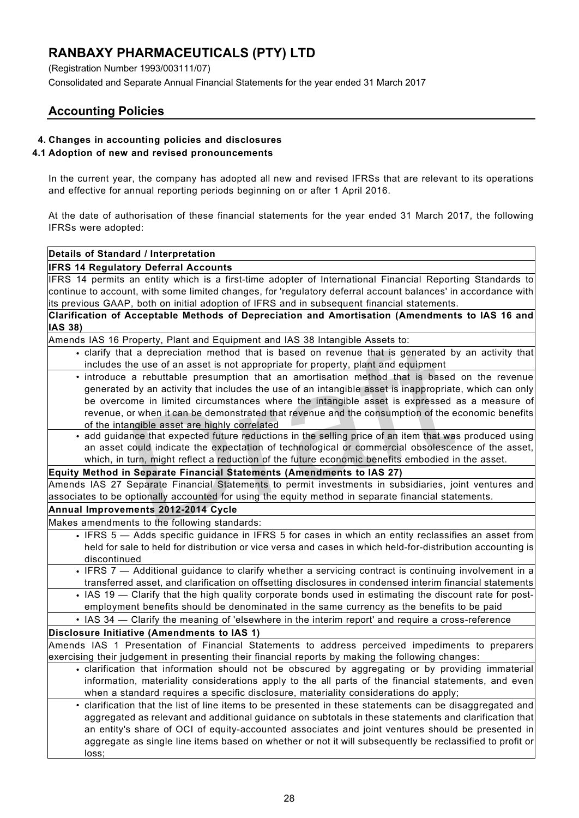(Registration Number 1993/003111/07) Consolidated and Separate Annual Financial Statements for the year ended 31 March 2017

## **Accounting Policies**

#### **4. Changes in accounting policies and disclosures**

#### **4.1 Adoption of new and revised pronouncements**

In the current year, the company has adopted all new and revised IFRSs that are relevant to its operations and effective for annual reporting periods beginning on or after 1 April 2016.

At the date of authorisation of these financial statements for the year ended 31 March 2017, the following IFRSs were adopted:

#### **Details of Standard / Interpretation**

#### **IFRS 14 Regulatory Deferral Accounts**

IFRS 14 permits an entity which is a first-time adopter of International Financial Reporting Standards to continue to account, with some limited changes, for 'regulatory deferral account balances' in accordance with its previous GAAP, both on initial adoption of IFRS and in subsequent financial statements.

**Clarification of Acceptable Methods of Depreciation and Amortisation (Amendments to IAS 16 and IAS 38)**

Amends IAS 16 Property, Plant and Equipment and IAS 38 Intangible Assets to:

- clarify that a depreciation method that is based on revenue that is generated by an activity that includes the use of an asset is not appropriate for property, plant and equipment
	- t a depreciation method that is based on revenue that is generated by<br>the use of an asset is not appropriate for property, plant and equipment<br>a rebuttable presumption that an amortisation method that is based<br>by an activi • introduce a rebuttable presumption that an amortisation method that is based on the revenue generated by an activity that includes the use of an intangible asset is inappropriate, which can only be overcome in limited circumstances where the intangible asset is expressed as a measure of revenue, or when it can be demonstrated that revenue and the consumption of the economic benefits of the intangible asset are highly correlated
	- add guidance that expected future reductions in the selling price of an item that was produced using an asset could indicate the expectation of technological or commercial obsolescence of the asset, which, in turn, might reflect a reduction of the future economic benefits embodied in the asset.

#### **Equity Method in Separate Financial Statements (Amendments to IAS 27)**

Amends IAS 27 Separate Financial Statements to permit investments in subsidiaries, joint ventures and associates to be optionally accounted for using the equity method in separate financial statements.

#### **Annual Improvements 2012-2014 Cycle**

Makes amendments to the following standards:

- IFRS 5 Adds specific guidance in IFRS 5 for cases in which an entity reclassifies an asset from held for sale to held for distribution or vice versa and cases in which held-for-distribution accounting is discontinued
- IFRS 7 Additional quidance to clarify whether a servicing contract is continuing involvement in a transferred asset, and clarification on offsetting disclosures in condensed interim financial statements
- IAS 19 Clarify that the high quality corporate bonds used in estimating the discount rate for postemployment benefits should be denominated in the same currency as the benefits to be paid

#### • IAS 34 — Clarify the meaning of 'elsewhere in the interim report' and require a cross-reference

#### **Disclosure Initiative (Amendments to IAS 1)**

Amends IAS 1 Presentation of Financial Statements to address perceived impediments to preparers exercising their judgement in presenting their financial reports by making the following changes:

- clarification that information should not be obscured by aggregating or by providing immaterial information, materiality considerations apply to the all parts of the financial statements, and even when a standard requires a specific disclosure, materiality considerations do apply;
- clarification that the list of line items to be presented in these statements can be disaggregated and aggregated as relevant and additional guidance on subtotals in these statements and clarification that an entity's share of OCI of equity-accounted associates and joint ventures should be presented in aggregate as single line items based on whether or not it will subsequently be reclassified to profit or loss;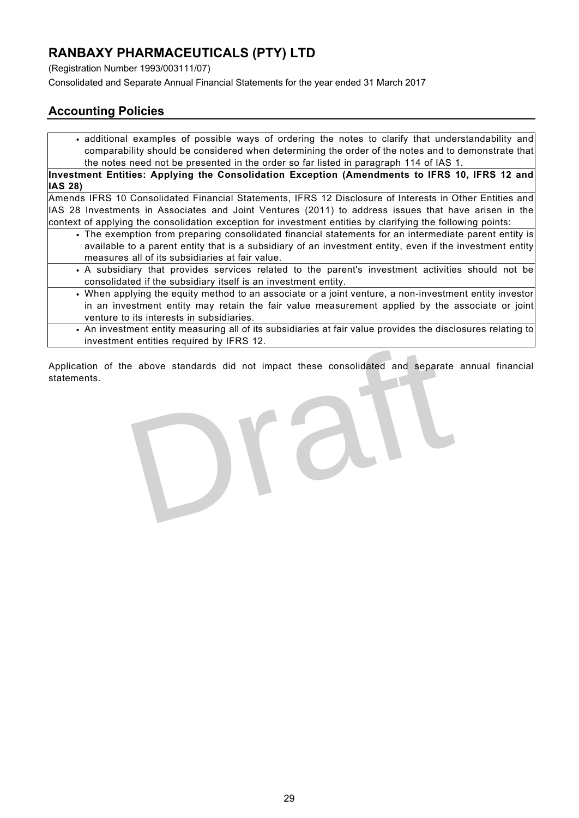(Registration Number 1993/003111/07)

Consolidated and Separate Annual Financial Statements for the year ended 31 March 2017

## **Accounting Policies**

• additional examples of possible ways of ordering the notes to clarify that understandability and comparability should be considered when determining the order of the notes and to demonstrate that the notes need not be presented in the order so far listed in paragraph 114 of IAS 1.

**Investment Entities: Applying the Consolidation Exception (Amendments to IFRS 10, IFRS 12 and IAS 28)**

Amends IFRS 10 Consolidated Financial Statements, IFRS 12 Disclosure of Interests in Other Entities and IAS 28 Investments in Associates and Joint Ventures (2011) to address issues that have arisen in the context of applying the consolidation exception for investment entities by clarifying the following points:

- The exemption from preparing consolidated financial statements for an intermediate parent entity is available to a parent entity that is a subsidiary of an investment entity, even if the investment entity measures all of its subsidiaries at fair value.
- A subsidiary that provides services related to the parent's investment activities should not be consolidated if the subsidiary itself is an investment entity.
- When applying the equity method to an associate or a joint venture, a non-investment entity investor in an investment entity may retain the fair value measurement applied by the associate or joint venture to its interests in subsidiaries.
- An investment entity measuring all of its subsidiaries at fair value provides the disclosures relating to investment entities required by IFRS 12.

above standards did not impact these consolidated and separate Application of the above standards did not impact these consolidated and separate annual financial statements.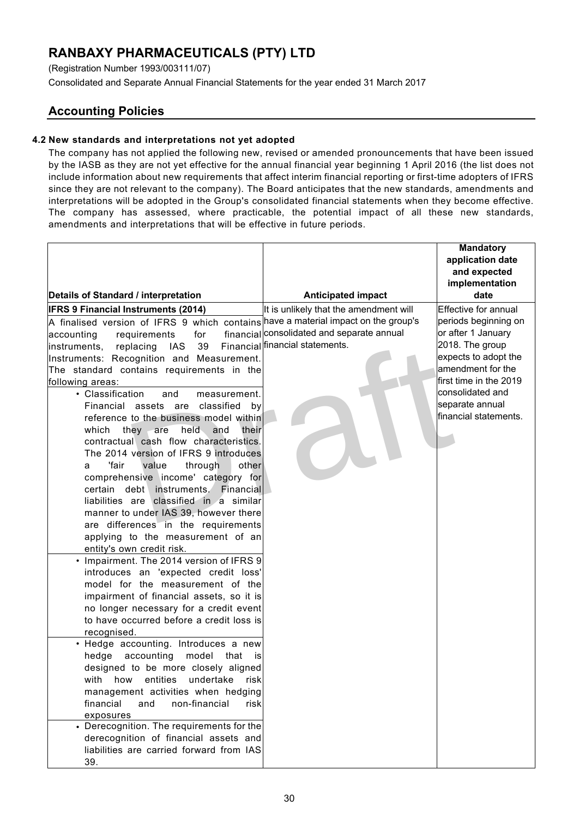(Registration Number 1993/003111/07)

Consolidated and Separate Annual Financial Statements for the year ended 31 March 2017

## **Accounting Policies**

#### **4.2 New standards and interpretations not yet adopted**

The company has not applied the following new, revised or amended pronouncements that have been issued by the IASB as they are not yet effective for the annual financial year beginning 1 April 2016 (the list does not include information about new requirements that affect interim financial reporting or first-time adopters of IFRS since they are not relevant to the company). The Board anticipates that the new standards, amendments and interpretations will be adopted in the Group's consolidated financial statements when they become effective. The company has assessed, where practicable, the potential impact of all these new standards, amendments and interpretations that will be effective in future periods.

| application date<br>and expected<br>implementation<br>Details of Standard / interpretation<br>date<br><b>Anticipated impact</b><br><b>IFRS 9 Financial Instruments (2014)</b><br><b>Effective for annual</b><br>It is unlikely that the amendment will<br>A finalised version of IFRS 9 which contains have a material impact on the group's<br>periods beginning on<br>financial consolidated and separate annual<br>or after 1 January<br>accounting<br>requirements<br>for<br>2018. The group<br>Financial financial statements.<br>replacing IAS<br>39<br>instruments,<br>expects to adopt the<br>Instruments: Recognition and Measurement.<br>amendment for the<br>The standard contains requirements in the<br>first time in the 2019<br>following areas:<br>consolidated and<br>• Classification<br>and<br>measurement.<br>separate annual<br>Financial assets are classified<br>by<br>financial statements.<br>reference to the business model within<br>held<br>which<br>they<br>are<br>and<br>their<br>contractual cash flow characteristics.<br>The 2014 version of IFRS 9 introduces<br>'fair<br>value<br>through<br>other<br>a<br>comprehensive income' category for<br>certain debt instruments. Financial<br>liabilities are classified in a similar<br>manner to under IAS 39, however there<br>are differences in the requirements<br>applying to the measurement of an<br>entity's own credit risk.<br>• Impairment. The 2014 version of IFRS 9<br>introduces an 'expected credit loss'<br>model for the measurement of the<br>impairment of financial assets, so it is<br>no longer necessary for a credit event<br>to have occurred before a credit loss is<br>recognised.<br>• Hedge accounting. Introduces a new<br>hedge accounting model that<br>is is<br>designed to be more closely aligned<br>with how entities undertake risk<br>management activities when hedging<br>financial<br>and<br>non-financial<br>risk<br>exposures<br>• Derecognition. The requirements for the<br>derecognition of financial assets and<br>liabilities are carried forward from IAS |     | <b>Mandatory</b> |
|---------------------------------------------------------------------------------------------------------------------------------------------------------------------------------------------------------------------------------------------------------------------------------------------------------------------------------------------------------------------------------------------------------------------------------------------------------------------------------------------------------------------------------------------------------------------------------------------------------------------------------------------------------------------------------------------------------------------------------------------------------------------------------------------------------------------------------------------------------------------------------------------------------------------------------------------------------------------------------------------------------------------------------------------------------------------------------------------------------------------------------------------------------------------------------------------------------------------------------------------------------------------------------------------------------------------------------------------------------------------------------------------------------------------------------------------------------------------------------------------------------------------------------------------------------------------------------------------------------------------------------------------------------------------------------------------------------------------------------------------------------------------------------------------------------------------------------------------------------------------------------------------------------------------------------------------------------------------------------------------------------------------------------------------------------------------------------------------|-----|------------------|
|                                                                                                                                                                                                                                                                                                                                                                                                                                                                                                                                                                                                                                                                                                                                                                                                                                                                                                                                                                                                                                                                                                                                                                                                                                                                                                                                                                                                                                                                                                                                                                                                                                                                                                                                                                                                                                                                                                                                                                                                                                                                                             |     |                  |
|                                                                                                                                                                                                                                                                                                                                                                                                                                                                                                                                                                                                                                                                                                                                                                                                                                                                                                                                                                                                                                                                                                                                                                                                                                                                                                                                                                                                                                                                                                                                                                                                                                                                                                                                                                                                                                                                                                                                                                                                                                                                                             |     |                  |
|                                                                                                                                                                                                                                                                                                                                                                                                                                                                                                                                                                                                                                                                                                                                                                                                                                                                                                                                                                                                                                                                                                                                                                                                                                                                                                                                                                                                                                                                                                                                                                                                                                                                                                                                                                                                                                                                                                                                                                                                                                                                                             |     |                  |
|                                                                                                                                                                                                                                                                                                                                                                                                                                                                                                                                                                                                                                                                                                                                                                                                                                                                                                                                                                                                                                                                                                                                                                                                                                                                                                                                                                                                                                                                                                                                                                                                                                                                                                                                                                                                                                                                                                                                                                                                                                                                                             |     |                  |
|                                                                                                                                                                                                                                                                                                                                                                                                                                                                                                                                                                                                                                                                                                                                                                                                                                                                                                                                                                                                                                                                                                                                                                                                                                                                                                                                                                                                                                                                                                                                                                                                                                                                                                                                                                                                                                                                                                                                                                                                                                                                                             |     |                  |
|                                                                                                                                                                                                                                                                                                                                                                                                                                                                                                                                                                                                                                                                                                                                                                                                                                                                                                                                                                                                                                                                                                                                                                                                                                                                                                                                                                                                                                                                                                                                                                                                                                                                                                                                                                                                                                                                                                                                                                                                                                                                                             |     |                  |
|                                                                                                                                                                                                                                                                                                                                                                                                                                                                                                                                                                                                                                                                                                                                                                                                                                                                                                                                                                                                                                                                                                                                                                                                                                                                                                                                                                                                                                                                                                                                                                                                                                                                                                                                                                                                                                                                                                                                                                                                                                                                                             |     |                  |
|                                                                                                                                                                                                                                                                                                                                                                                                                                                                                                                                                                                                                                                                                                                                                                                                                                                                                                                                                                                                                                                                                                                                                                                                                                                                                                                                                                                                                                                                                                                                                                                                                                                                                                                                                                                                                                                                                                                                                                                                                                                                                             |     |                  |
|                                                                                                                                                                                                                                                                                                                                                                                                                                                                                                                                                                                                                                                                                                                                                                                                                                                                                                                                                                                                                                                                                                                                                                                                                                                                                                                                                                                                                                                                                                                                                                                                                                                                                                                                                                                                                                                                                                                                                                                                                                                                                             |     |                  |
|                                                                                                                                                                                                                                                                                                                                                                                                                                                                                                                                                                                                                                                                                                                                                                                                                                                                                                                                                                                                                                                                                                                                                                                                                                                                                                                                                                                                                                                                                                                                                                                                                                                                                                                                                                                                                                                                                                                                                                                                                                                                                             |     |                  |
|                                                                                                                                                                                                                                                                                                                                                                                                                                                                                                                                                                                                                                                                                                                                                                                                                                                                                                                                                                                                                                                                                                                                                                                                                                                                                                                                                                                                                                                                                                                                                                                                                                                                                                                                                                                                                                                                                                                                                                                                                                                                                             |     |                  |
|                                                                                                                                                                                                                                                                                                                                                                                                                                                                                                                                                                                                                                                                                                                                                                                                                                                                                                                                                                                                                                                                                                                                                                                                                                                                                                                                                                                                                                                                                                                                                                                                                                                                                                                                                                                                                                                                                                                                                                                                                                                                                             |     |                  |
|                                                                                                                                                                                                                                                                                                                                                                                                                                                                                                                                                                                                                                                                                                                                                                                                                                                                                                                                                                                                                                                                                                                                                                                                                                                                                                                                                                                                                                                                                                                                                                                                                                                                                                                                                                                                                                                                                                                                                                                                                                                                                             |     |                  |
|                                                                                                                                                                                                                                                                                                                                                                                                                                                                                                                                                                                                                                                                                                                                                                                                                                                                                                                                                                                                                                                                                                                                                                                                                                                                                                                                                                                                                                                                                                                                                                                                                                                                                                                                                                                                                                                                                                                                                                                                                                                                                             |     |                  |
|                                                                                                                                                                                                                                                                                                                                                                                                                                                                                                                                                                                                                                                                                                                                                                                                                                                                                                                                                                                                                                                                                                                                                                                                                                                                                                                                                                                                                                                                                                                                                                                                                                                                                                                                                                                                                                                                                                                                                                                                                                                                                             |     |                  |
|                                                                                                                                                                                                                                                                                                                                                                                                                                                                                                                                                                                                                                                                                                                                                                                                                                                                                                                                                                                                                                                                                                                                                                                                                                                                                                                                                                                                                                                                                                                                                                                                                                                                                                                                                                                                                                                                                                                                                                                                                                                                                             |     |                  |
|                                                                                                                                                                                                                                                                                                                                                                                                                                                                                                                                                                                                                                                                                                                                                                                                                                                                                                                                                                                                                                                                                                                                                                                                                                                                                                                                                                                                                                                                                                                                                                                                                                                                                                                                                                                                                                                                                                                                                                                                                                                                                             |     |                  |
|                                                                                                                                                                                                                                                                                                                                                                                                                                                                                                                                                                                                                                                                                                                                                                                                                                                                                                                                                                                                                                                                                                                                                                                                                                                                                                                                                                                                                                                                                                                                                                                                                                                                                                                                                                                                                                                                                                                                                                                                                                                                                             |     |                  |
|                                                                                                                                                                                                                                                                                                                                                                                                                                                                                                                                                                                                                                                                                                                                                                                                                                                                                                                                                                                                                                                                                                                                                                                                                                                                                                                                                                                                                                                                                                                                                                                                                                                                                                                                                                                                                                                                                                                                                                                                                                                                                             |     |                  |
|                                                                                                                                                                                                                                                                                                                                                                                                                                                                                                                                                                                                                                                                                                                                                                                                                                                                                                                                                                                                                                                                                                                                                                                                                                                                                                                                                                                                                                                                                                                                                                                                                                                                                                                                                                                                                                                                                                                                                                                                                                                                                             |     |                  |
|                                                                                                                                                                                                                                                                                                                                                                                                                                                                                                                                                                                                                                                                                                                                                                                                                                                                                                                                                                                                                                                                                                                                                                                                                                                                                                                                                                                                                                                                                                                                                                                                                                                                                                                                                                                                                                                                                                                                                                                                                                                                                             |     |                  |
|                                                                                                                                                                                                                                                                                                                                                                                                                                                                                                                                                                                                                                                                                                                                                                                                                                                                                                                                                                                                                                                                                                                                                                                                                                                                                                                                                                                                                                                                                                                                                                                                                                                                                                                                                                                                                                                                                                                                                                                                                                                                                             |     |                  |
|                                                                                                                                                                                                                                                                                                                                                                                                                                                                                                                                                                                                                                                                                                                                                                                                                                                                                                                                                                                                                                                                                                                                                                                                                                                                                                                                                                                                                                                                                                                                                                                                                                                                                                                                                                                                                                                                                                                                                                                                                                                                                             |     |                  |
|                                                                                                                                                                                                                                                                                                                                                                                                                                                                                                                                                                                                                                                                                                                                                                                                                                                                                                                                                                                                                                                                                                                                                                                                                                                                                                                                                                                                                                                                                                                                                                                                                                                                                                                                                                                                                                                                                                                                                                                                                                                                                             |     |                  |
|                                                                                                                                                                                                                                                                                                                                                                                                                                                                                                                                                                                                                                                                                                                                                                                                                                                                                                                                                                                                                                                                                                                                                                                                                                                                                                                                                                                                                                                                                                                                                                                                                                                                                                                                                                                                                                                                                                                                                                                                                                                                                             |     |                  |
|                                                                                                                                                                                                                                                                                                                                                                                                                                                                                                                                                                                                                                                                                                                                                                                                                                                                                                                                                                                                                                                                                                                                                                                                                                                                                                                                                                                                                                                                                                                                                                                                                                                                                                                                                                                                                                                                                                                                                                                                                                                                                             |     |                  |
|                                                                                                                                                                                                                                                                                                                                                                                                                                                                                                                                                                                                                                                                                                                                                                                                                                                                                                                                                                                                                                                                                                                                                                                                                                                                                                                                                                                                                                                                                                                                                                                                                                                                                                                                                                                                                                                                                                                                                                                                                                                                                             |     |                  |
|                                                                                                                                                                                                                                                                                                                                                                                                                                                                                                                                                                                                                                                                                                                                                                                                                                                                                                                                                                                                                                                                                                                                                                                                                                                                                                                                                                                                                                                                                                                                                                                                                                                                                                                                                                                                                                                                                                                                                                                                                                                                                             |     |                  |
|                                                                                                                                                                                                                                                                                                                                                                                                                                                                                                                                                                                                                                                                                                                                                                                                                                                                                                                                                                                                                                                                                                                                                                                                                                                                                                                                                                                                                                                                                                                                                                                                                                                                                                                                                                                                                                                                                                                                                                                                                                                                                             |     |                  |
|                                                                                                                                                                                                                                                                                                                                                                                                                                                                                                                                                                                                                                                                                                                                                                                                                                                                                                                                                                                                                                                                                                                                                                                                                                                                                                                                                                                                                                                                                                                                                                                                                                                                                                                                                                                                                                                                                                                                                                                                                                                                                             |     |                  |
|                                                                                                                                                                                                                                                                                                                                                                                                                                                                                                                                                                                                                                                                                                                                                                                                                                                                                                                                                                                                                                                                                                                                                                                                                                                                                                                                                                                                                                                                                                                                                                                                                                                                                                                                                                                                                                                                                                                                                                                                                                                                                             |     |                  |
|                                                                                                                                                                                                                                                                                                                                                                                                                                                                                                                                                                                                                                                                                                                                                                                                                                                                                                                                                                                                                                                                                                                                                                                                                                                                                                                                                                                                                                                                                                                                                                                                                                                                                                                                                                                                                                                                                                                                                                                                                                                                                             |     |                  |
|                                                                                                                                                                                                                                                                                                                                                                                                                                                                                                                                                                                                                                                                                                                                                                                                                                                                                                                                                                                                                                                                                                                                                                                                                                                                                                                                                                                                                                                                                                                                                                                                                                                                                                                                                                                                                                                                                                                                                                                                                                                                                             |     |                  |
|                                                                                                                                                                                                                                                                                                                                                                                                                                                                                                                                                                                                                                                                                                                                                                                                                                                                                                                                                                                                                                                                                                                                                                                                                                                                                                                                                                                                                                                                                                                                                                                                                                                                                                                                                                                                                                                                                                                                                                                                                                                                                             |     |                  |
|                                                                                                                                                                                                                                                                                                                                                                                                                                                                                                                                                                                                                                                                                                                                                                                                                                                                                                                                                                                                                                                                                                                                                                                                                                                                                                                                                                                                                                                                                                                                                                                                                                                                                                                                                                                                                                                                                                                                                                                                                                                                                             |     |                  |
|                                                                                                                                                                                                                                                                                                                                                                                                                                                                                                                                                                                                                                                                                                                                                                                                                                                                                                                                                                                                                                                                                                                                                                                                                                                                                                                                                                                                                                                                                                                                                                                                                                                                                                                                                                                                                                                                                                                                                                                                                                                                                             |     |                  |
|                                                                                                                                                                                                                                                                                                                                                                                                                                                                                                                                                                                                                                                                                                                                                                                                                                                                                                                                                                                                                                                                                                                                                                                                                                                                                                                                                                                                                                                                                                                                                                                                                                                                                                                                                                                                                                                                                                                                                                                                                                                                                             |     |                  |
|                                                                                                                                                                                                                                                                                                                                                                                                                                                                                                                                                                                                                                                                                                                                                                                                                                                                                                                                                                                                                                                                                                                                                                                                                                                                                                                                                                                                                                                                                                                                                                                                                                                                                                                                                                                                                                                                                                                                                                                                                                                                                             |     |                  |
|                                                                                                                                                                                                                                                                                                                                                                                                                                                                                                                                                                                                                                                                                                                                                                                                                                                                                                                                                                                                                                                                                                                                                                                                                                                                                                                                                                                                                                                                                                                                                                                                                                                                                                                                                                                                                                                                                                                                                                                                                                                                                             |     |                  |
|                                                                                                                                                                                                                                                                                                                                                                                                                                                                                                                                                                                                                                                                                                                                                                                                                                                                                                                                                                                                                                                                                                                                                                                                                                                                                                                                                                                                                                                                                                                                                                                                                                                                                                                                                                                                                                                                                                                                                                                                                                                                                             |     |                  |
|                                                                                                                                                                                                                                                                                                                                                                                                                                                                                                                                                                                                                                                                                                                                                                                                                                                                                                                                                                                                                                                                                                                                                                                                                                                                                                                                                                                                                                                                                                                                                                                                                                                                                                                                                                                                                                                                                                                                                                                                                                                                                             |     |                  |
|                                                                                                                                                                                                                                                                                                                                                                                                                                                                                                                                                                                                                                                                                                                                                                                                                                                                                                                                                                                                                                                                                                                                                                                                                                                                                                                                                                                                                                                                                                                                                                                                                                                                                                                                                                                                                                                                                                                                                                                                                                                                                             | 39. |                  |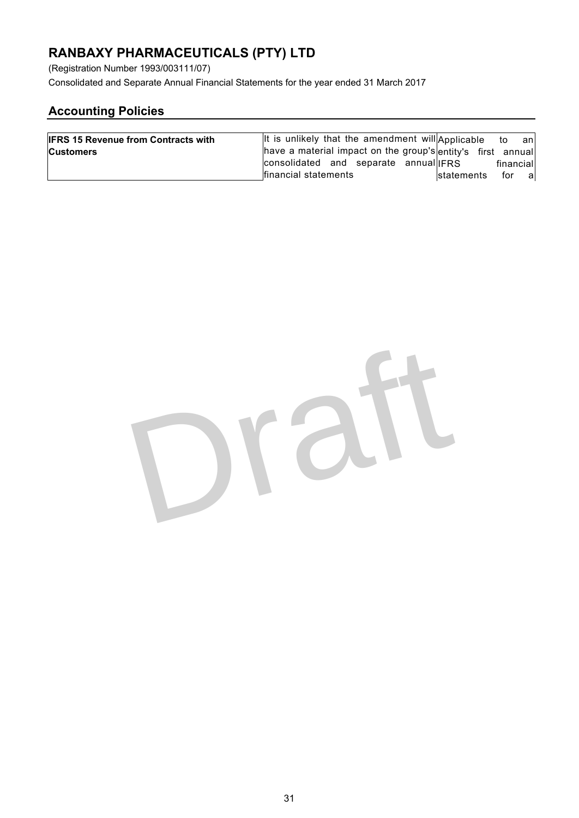(Registration Number 1993/003111/07) Consolidated and Separate Annual Financial Statements for the year ended 31 March 2017

| <b>IFRS 15 Revenue from Contracts with</b> | It is unlikely that the amendment will Applicable           | to<br>anl    |
|--------------------------------------------|-------------------------------------------------------------|--------------|
| <b>Customers</b>                           | have a material impact on the group's entity's first annual |              |
|                                            | consolidated and separate annual FRS                        | financiall   |
|                                            | financial statements<br>Istatements                         | for<br>al al |

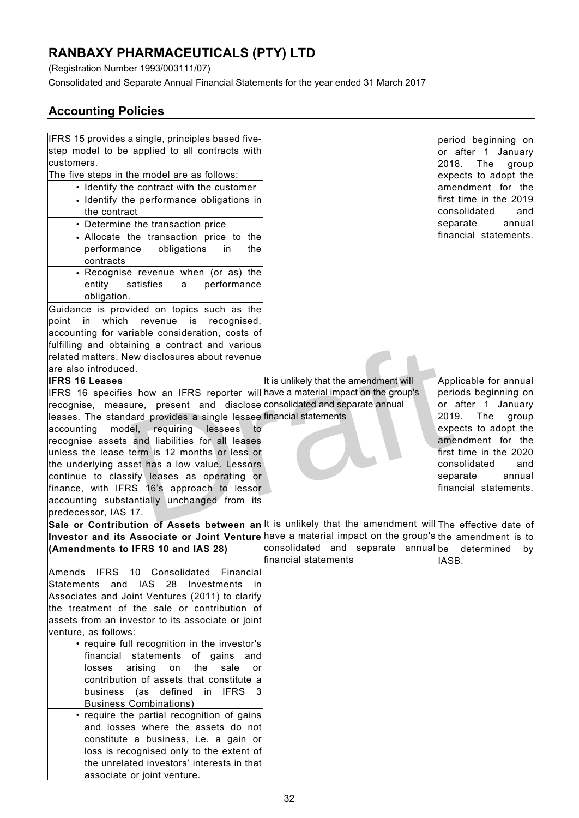(Registration Number 1993/003111/07)

Consolidated and Separate Annual Financial Statements for the year ended 31 March 2017

<u>IFRS financial control of the state of the state of the state of the state of the state of the state of the state of the state of the state of the state of the state of the state of the state of the state of the state of </u>

| IFRS 15 provides a single, principles based five-<br>step model to be applied to all contracts with<br>lcustomers.<br>The five steps in the model are as follows:<br>• Identify the contract with the customer<br>• Identify the performance obligations in<br>the contract<br>• Determine the transaction price |                                        | period beginning on<br>or after 1 January<br>2018.<br>The<br>group<br>expects to adopt the<br>amendment for the<br>first time in the 2019<br>consolidated<br>and<br>separate<br>annual<br>lfinancial statements. |
|------------------------------------------------------------------------------------------------------------------------------------------------------------------------------------------------------------------------------------------------------------------------------------------------------------------|----------------------------------------|------------------------------------------------------------------------------------------------------------------------------------------------------------------------------------------------------------------|
| • Allocate the transaction price to the<br>performance<br>obligations<br>in<br>the<br>contracts<br>• Recognise revenue when (or as) the<br>entity<br>satisfies<br>performance<br>a                                                                                                                               |                                        |                                                                                                                                                                                                                  |
| obligation.<br>Guidance is provided on topics such as the<br>which<br>in<br>revenue<br> point <br>is<br>recognised,<br>accounting for variable consideration, costs of<br>fulfilling and obtaining a contract and various<br>related matters. New disclosures about revenue<br>are also introduced.              |                                        |                                                                                                                                                                                                                  |
| <b>IFRS 16 Leases</b>                                                                                                                                                                                                                                                                                            |                                        |                                                                                                                                                                                                                  |
| IFRS 16 specifies how an IFRS reporter will have a material impact on the group's                                                                                                                                                                                                                                | It is unlikely that the amendment will | Applicable for annual<br>periods beginning on                                                                                                                                                                    |
| recognise, measure, present and disclose consolidated and separate annual                                                                                                                                                                                                                                        |                                        | or after 1 January                                                                                                                                                                                               |
| leases. The standard provides a single lessee financial statements                                                                                                                                                                                                                                               |                                        | 2019.<br>The<br>group                                                                                                                                                                                            |
| model,<br>requiring<br>lessees<br>accounting<br>to                                                                                                                                                                                                                                                               |                                        | expects to adopt the                                                                                                                                                                                             |
| recognise assets and liabilities for all leases                                                                                                                                                                                                                                                                  |                                        | amendment for the                                                                                                                                                                                                |
| unless the lease term is 12 months or less or                                                                                                                                                                                                                                                                    |                                        | first time in the 2020                                                                                                                                                                                           |
| the underlying asset has a low value. Lessors                                                                                                                                                                                                                                                                    |                                        | lconsolidated<br>and                                                                                                                                                                                             |
| continue to classify leases as operating or                                                                                                                                                                                                                                                                      |                                        | separate<br>annual                                                                                                                                                                                               |
| finance, with IFRS 16's approach to lessor                                                                                                                                                                                                                                                                       |                                        | financial statements.                                                                                                                                                                                            |
| accounting substantially unchanged from its                                                                                                                                                                                                                                                                      |                                        |                                                                                                                                                                                                                  |
| predecessor, IAS 17.                                                                                                                                                                                                                                                                                             |                                        |                                                                                                                                                                                                                  |
| Sale or Contribution of Assets between and it is unlikely that the amendment will The effective date of                                                                                                                                                                                                          |                                        |                                                                                                                                                                                                                  |
| Investor and its Associate or Joint Venture have a material impact on the group's the amendment is to                                                                                                                                                                                                            |                                        |                                                                                                                                                                                                                  |
| (Amendments to IFRS 10 and IAS 28)                                                                                                                                                                                                                                                                               | consolidated and separate annual be    | determined<br>by                                                                                                                                                                                                 |
|                                                                                                                                                                                                                                                                                                                  | financial statements                   | IASB.                                                                                                                                                                                                            |
| Consolidated<br>Amends IFRS<br>10<br>Financial                                                                                                                                                                                                                                                                   |                                        |                                                                                                                                                                                                                  |
| and IAS<br>28<br>Statements<br>Investments<br>in.                                                                                                                                                                                                                                                                |                                        |                                                                                                                                                                                                                  |
| Associates and Joint Ventures (2011) to clarify                                                                                                                                                                                                                                                                  |                                        |                                                                                                                                                                                                                  |
| the treatment of the sale or contribution of                                                                                                                                                                                                                                                                     |                                        |                                                                                                                                                                                                                  |
| assets from an investor to its associate or joint                                                                                                                                                                                                                                                                |                                        |                                                                                                                                                                                                                  |
| venture, as follows:                                                                                                                                                                                                                                                                                             |                                        |                                                                                                                                                                                                                  |
| • require full recognition in the investor's                                                                                                                                                                                                                                                                     |                                        |                                                                                                                                                                                                                  |
| financial statements of gains and                                                                                                                                                                                                                                                                                |                                        |                                                                                                                                                                                                                  |
| the<br>sale<br>losses<br>arising<br>on<br>or                                                                                                                                                                                                                                                                     |                                        |                                                                                                                                                                                                                  |
| contribution of assets that constitute a                                                                                                                                                                                                                                                                         |                                        |                                                                                                                                                                                                                  |
| business (as defined in IFRS 3                                                                                                                                                                                                                                                                                   |                                        |                                                                                                                                                                                                                  |
| <b>Business Combinations)</b>                                                                                                                                                                                                                                                                                    |                                        |                                                                                                                                                                                                                  |
| • require the partial recognition of gains                                                                                                                                                                                                                                                                       |                                        |                                                                                                                                                                                                                  |
| and losses where the assets do not                                                                                                                                                                                                                                                                               |                                        |                                                                                                                                                                                                                  |
| constitute a business, i.e. a gain or                                                                                                                                                                                                                                                                            |                                        |                                                                                                                                                                                                                  |
| loss is recognised only to the extent of                                                                                                                                                                                                                                                                         |                                        |                                                                                                                                                                                                                  |
| the unrelated investors' interests in that                                                                                                                                                                                                                                                                       |                                        |                                                                                                                                                                                                                  |
| associate or joint venture.                                                                                                                                                                                                                                                                                      |                                        |                                                                                                                                                                                                                  |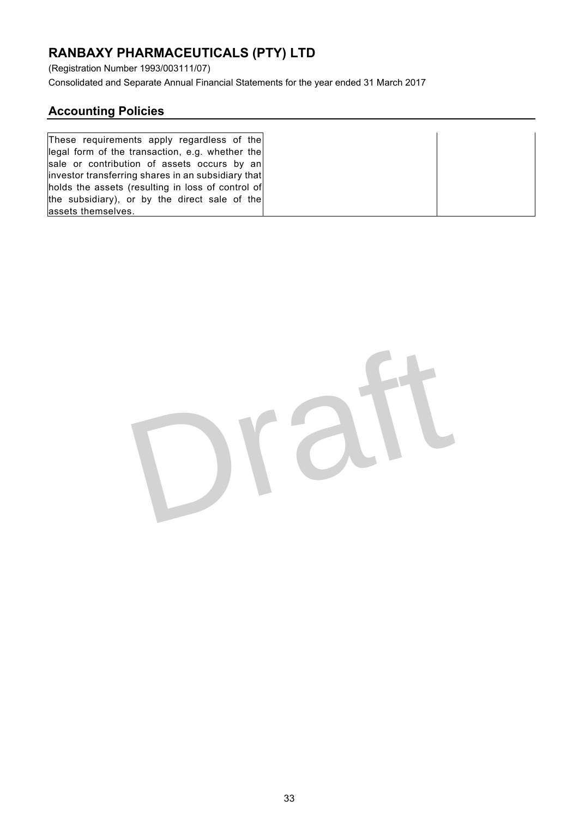(Registration Number 1993/003111/07)

Consolidated and Separate Annual Financial Statements for the year ended 31 March 2017

| These requirements apply regardless of the                  |  |
|-------------------------------------------------------------|--|
| $\parallel$ legal form of the transaction, e.g. whether the |  |
| sale or contribution of assets occurs by an                 |  |
| investor transferring shares in an subsidiary that          |  |
| holds the assets (resulting in loss of control of           |  |
| the subsidiary), or by the direct sale of the               |  |
| lassets themselves.                                         |  |

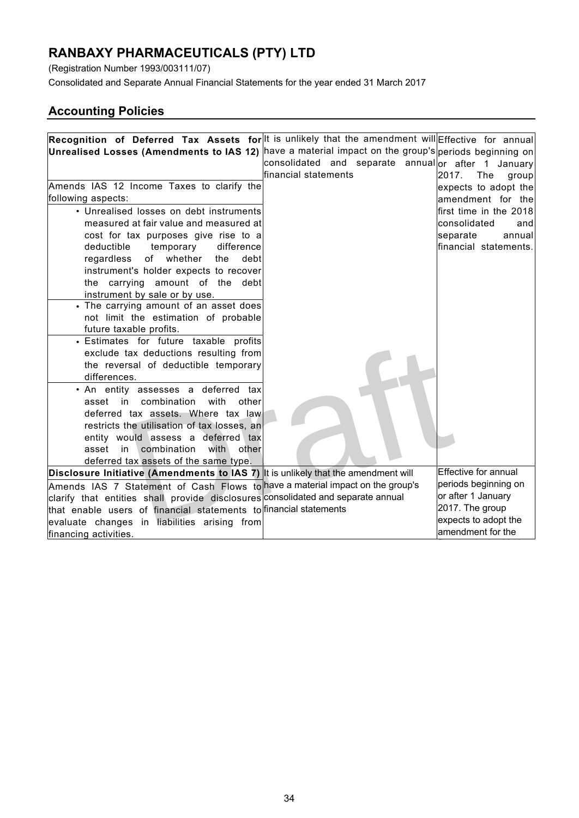(Registration Number 1993/003111/07)

Consolidated and Separate Annual Financial Statements for the year ended 31 March 2017

| Recognition of Deferred Tax Assets for t is unlikely that the amendment will Effective for annual   |                                                     |                          |
|-----------------------------------------------------------------------------------------------------|-----------------------------------------------------|--------------------------|
| Unrealised Losses (Amendments to IAS 12) have a material impact on the group's periods beginning on |                                                     |                          |
|                                                                                                     | consolidated and separate annual or after 1 January |                          |
|                                                                                                     | lfinancial statements                               | 2017.<br>The<br>group    |
| Amends IAS 12 Income Taxes to clarify the                                                           |                                                     | expects to adopt the     |
| following aspects:                                                                                  |                                                     | amendment for the        |
| • Unrealised losses on debt instruments                                                             |                                                     | lfirst time in the 2018l |
| measured at fair value and measured at                                                              |                                                     | consolidated<br>and      |
| cost for tax purposes give rise to a                                                                |                                                     | separate<br>annuall      |
| deductible<br>temporary<br>difference                                                               |                                                     | financial statements.    |
| of whether<br>debt<br>regardless<br>the                                                             |                                                     |                          |
| instrument's holder expects to recover                                                              |                                                     |                          |
| the carrying amount of the debt                                                                     |                                                     |                          |
| instrument by sale or by use.                                                                       |                                                     |                          |
| • The carrying amount of an asset does                                                              |                                                     |                          |
| not limit the estimation of probable                                                                |                                                     |                          |
| future taxable profits.                                                                             |                                                     |                          |
| • Estimates for future taxable profits                                                              |                                                     |                          |
| exclude tax deductions resulting from                                                               |                                                     |                          |
| the reversal of deductible temporary                                                                |                                                     |                          |
| differences.                                                                                        |                                                     |                          |
| . An entity assesses a deferred tax                                                                 |                                                     |                          |
| with<br>asset in combination<br>other                                                               |                                                     |                          |
| deferred tax assets. Where tax law                                                                  |                                                     |                          |
| restricts the utilisation of tax losses, an                                                         |                                                     |                          |
| entity would assess a deferred tax                                                                  |                                                     |                          |
| combination<br>with<br>asset<br>in<br>other                                                         |                                                     |                          |
| deferred tax assets of the same type.                                                               |                                                     |                          |
| Disclosure Initiative (Amendments to IAS 7) It is unlikely that the amendment will                  |                                                     | Effective for annual     |
| Amends IAS 7 Statement of Cash Flows to have a material impact on the group's                       |                                                     | periods beginning on     |
| clarify that entities shall provide disclosures consolidated and separate annual                    |                                                     | or after 1 January       |
| that enable users of financial statements to financial statements                                   |                                                     | 2017. The group          |
| evaluate changes in liabilities arising from                                                        |                                                     | expects to adopt the     |
| financing activities.                                                                               |                                                     | amendment for the        |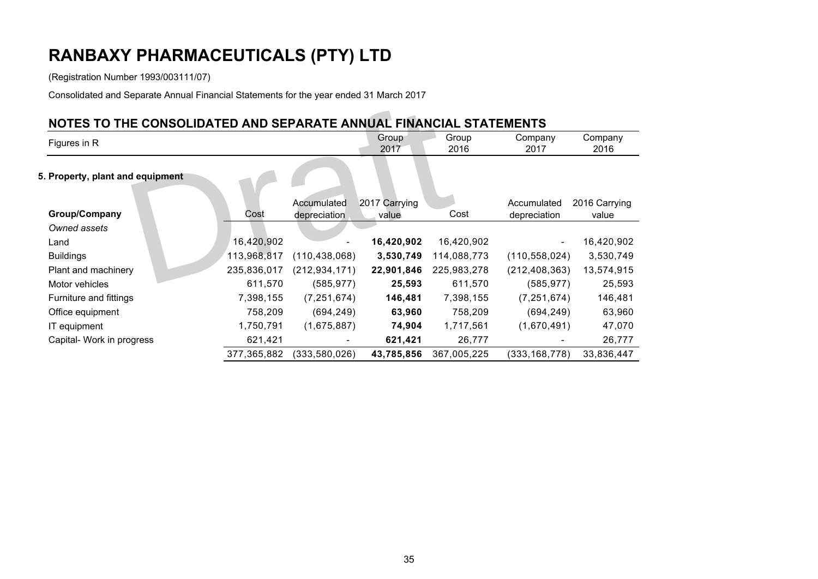(Registration Number 1993/003111/07)

Consolidated and Separate Annual Financial Statements for the year ended 31 March 2017

## **NOTES TO THE CONSOLIDATED AND SEPARATE ANNUAL FINANCIAL STATEMENTS**

| Figures in R                     |             |                 | Group         | Group       | Company         | Company       |
|----------------------------------|-------------|-----------------|---------------|-------------|-----------------|---------------|
|                                  |             |                 | 2017          | 2016        | 2017            | 2016          |
| 5. Property, plant and equipment |             |                 |               |             |                 |               |
|                                  |             | Accumulated     | 2017 Carrying |             | Accumulated     | 2016 Carrying |
| Group/Company                    | Cost        | depreciation    | value         | Cost        | depreciation    | value         |
| Owned assets                     |             |                 |               |             |                 |               |
| Land                             | 16,420,902  |                 | 16,420,902    | 16,420,902  |                 | 16,420,902    |
| <b>Buildings</b>                 | 113,968,817 | (110, 438, 068) | 3,530,749     | 114,088,773 | (110, 558, 024) | 3,530,749     |
| Plant and machinery              | 235,836,017 | (212, 934, 171) | 22,901,846    | 225,983,278 | (212, 408, 363) | 13,574,915    |
| Motor vehicles                   | 611,570     | (585, 977)      | 25,593        | 611,570     | (585, 977)      | 25,593        |
| Furniture and fittings           | 7,398,155   | (7, 251, 674)   | 146,481       | 7,398,155   | (7, 251, 674)   | 146,481       |
| Office equipment                 | 758,209     | (694, 249)      | 63,960        | 758,209     | (694, 249)      | 63,960        |
| IT equipment                     | 1,750,791   | (1,675,887)     | 74,904        | 1,717,561   | (1,670,491)     | 47,070        |
| Capital- Work in progress        | 621,421     |                 | 621,421       | 26,777      |                 | 26,777        |
|                                  | 377,365,882 | (333,580,026)   | 43,785,856    | 367,005,225 | (333, 168, 778) | 33,836,447    |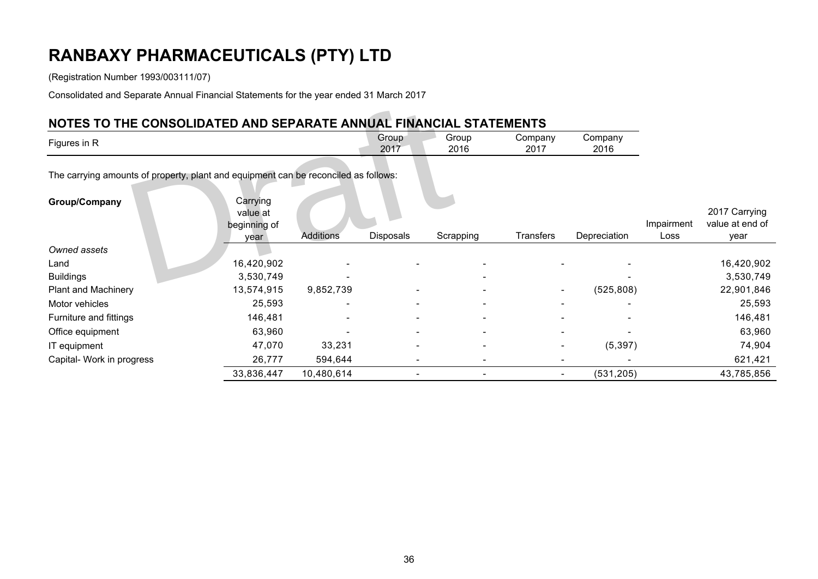(Registration Number 1993/003111/07)

Consolidated and Separate Annual Financial Statements for the year ended 31 March 2017

## **NOTES TO THE CONSOLIDATED AND SEPARATE ANNUAL FINANCIAL STATEMENTS**

|                                                                                     |                                      |                  | Group            | Group     | Company   | Company      |            |                                  |
|-------------------------------------------------------------------------------------|--------------------------------------|------------------|------------------|-----------|-----------|--------------|------------|----------------------------------|
| Figures in R                                                                        |                                      |                  | 2017             | 2016      | 2017      | 2016         |            |                                  |
| The carrying amounts of property, plant and equipment can be reconciled as follows: |                                      |                  |                  |           |           |              |            |                                  |
| Group/Company                                                                       | Carrying<br>value at<br>beginning of |                  |                  |           |           |              | Impairment | 2017 Carrying<br>value at end of |
|                                                                                     | year                                 | <b>Additions</b> | <b>Disposals</b> | Scrapping | Transfers | Depreciation | Loss       | year                             |
| Owned assets                                                                        |                                      |                  |                  |           |           |              |            |                                  |
| Land                                                                                | 16,420,902                           |                  |                  |           |           |              |            | 16,420,902                       |
| <b>Buildings</b>                                                                    | 3,530,749                            |                  |                  |           |           |              |            | 3,530,749                        |
| <b>Plant and Machinery</b>                                                          | 13,574,915                           | 9,852,739        |                  |           |           | (525, 808)   |            | 22,901,846                       |
| Motor vehicles                                                                      | 25,593                               |                  |                  |           |           |              |            | 25,593                           |
| Furniture and fittings                                                              | 146,481                              |                  |                  |           |           |              |            | 146,481                          |
| Office equipment                                                                    | 63,960                               |                  |                  |           |           |              |            | 63,960                           |
| IT equipment                                                                        | 47,070                               | 33,231           |                  |           |           | (5, 397)     |            | 74,904                           |
| Capital- Work in progress                                                           | 26,777                               | 594,644          |                  |           |           |              |            | 621,421                          |
|                                                                                     | 33,836,447                           | 10,480,614       |                  |           |           | (531, 205)   |            | 43,785,856                       |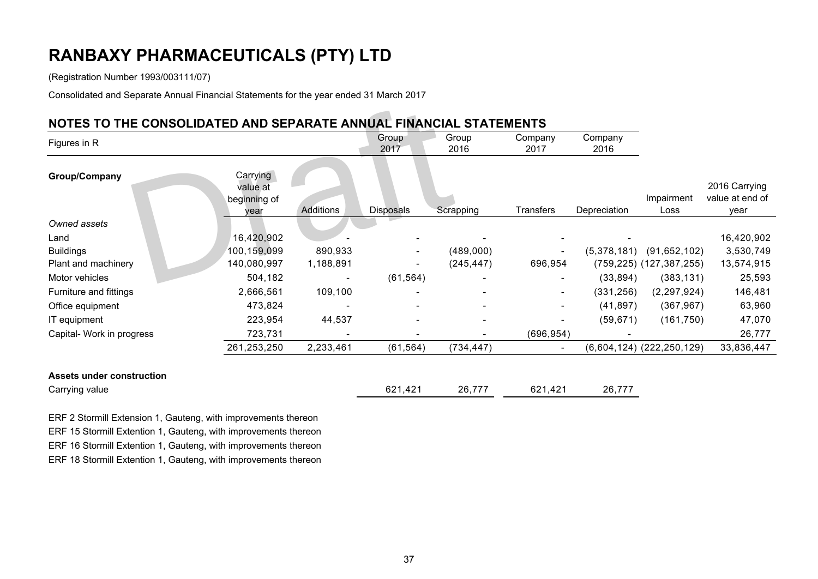(Registration Number 1993/003111/07)

Consolidated and Separate Annual Financial Statements for the year ended 31 March 2017

## **NOTES TO THE CONSOLIDATED AND SEPARATE ANNUAL FINANCIAL STATEMENTS**

| Figures in R              |                                              |                          | Group<br>2017    | Group<br>2016            | Company<br>2017          | Company<br>2016 |                                |                                          |
|---------------------------|----------------------------------------------|--------------------------|------------------|--------------------------|--------------------------|-----------------|--------------------------------|------------------------------------------|
| <b>Group/Company</b>      | Carrying<br>value at<br>beginning of<br>vear | Additions                | <b>Disposals</b> | Scrapping                | Transfers                | Depreciation    | Impairment<br>Loss             | 2016 Carrying<br>value at end of<br>year |
| Owned assets              |                                              |                          |                  |                          |                          |                 |                                |                                          |
| Land                      | 16,420,902                                   |                          |                  |                          |                          |                 |                                | 16,420,902                               |
| <b>Buildings</b>          | 100,159,099                                  | 890,933                  |                  | (489,000)                |                          | (5,378,181)     | (91, 652, 102)                 | 3,530,749                                |
| Plant and machinery       | 140,080,997                                  | 1,188,891                |                  | (245, 447)               | 696,954                  |                 | $(759, 225)$ $(127, 387, 255)$ | 13,574,915                               |
| Motor vehicles            | 504,182                                      | $\overline{\phantom{a}}$ | (61, 564)        | $\overline{\phantom{0}}$ | $\overline{\phantom{a}}$ | (33, 894)       | (383, 131)                     | 25,593                                   |
| Furniture and fittings    | 2,666,561                                    | 109,100                  |                  |                          | $\blacksquare$           | (331, 256)      | (2, 297, 924)                  | 146,481                                  |
| Office equipment          | 473,824                                      |                          |                  |                          | $\blacksquare$           | (41, 897)       | (367, 967)                     | 63,960                                   |
| IT equipment              | 223,954                                      | 44,537                   |                  | $\overline{\phantom{a}}$ | $\overline{\phantom{0}}$ | (59, 671)       | (161, 750)                     | 47,070                                   |
| Capital- Work in progress | 723,731                                      |                          |                  | $\blacksquare$           | (696, 954)               |                 |                                | 26,777                                   |
|                           | 261,253,250                                  | 2,233,461                | (61, 564)        | (734, 447)               | $\overline{\phantom{a}}$ |                 | $(6,604,124)$ $(222,250,129)$  | 33,836,447                               |
| Assets under construction |                                              |                          |                  |                          |                          |                 |                                |                                          |
| Carrying value            |                                              |                          | 621,421          | 26,777                   | 621,421                  | 26,777          |                                |                                          |

ERF 2 Stormill Extension 1, Gauteng, with improvements thereon

ERF 15 Stormill Extention 1, Gauteng, with improvements thereon

ERF 16 Stormill Extention 1, Gauteng, with improvements thereon

ERF 18 Stormill Extention 1, Gauteng, with improvements thereon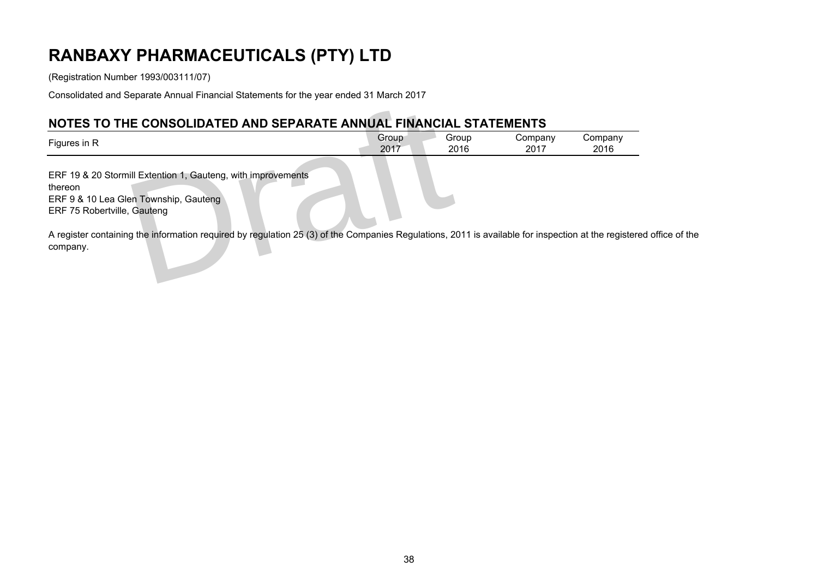(Registration Number 1993/003111/07)

Consolidated and Separate Annual Financial Statements for the year ended 31 March 2017

## **NOTES TO THE CONSOLIDATED AND SEPARATE ANNUAL FINANCIAL STATEMENTS**

| Figures in R                                                                                                                                            | Group | Group | Company | Company |
|---------------------------------------------------------------------------------------------------------------------------------------------------------|-------|-------|---------|---------|
|                                                                                                                                                         | 2017  | 2016  | 2017    | 2016    |
| ERF 19 & 20 Stormill Extention 1, Gauteng, with improvements                                                                                            |       |       |         |         |
| thereon                                                                                                                                                 |       |       |         |         |
| ERF 9 & 10 Lea Glen Township, Gauteng                                                                                                                   |       |       |         |         |
| ERF 75 Robertville, Gauteng                                                                                                                             |       |       |         |         |
| A register containing the information required by regulation 25 (3) of the Companies Regulations, 2011 is available for inspection at the registered or |       |       |         |         |
| company.                                                                                                                                                |       |       |         |         |

A register containing the information required by regulation 25 (3) of the Companies Regulations, 2011 is available for inspection at the registered office of the company.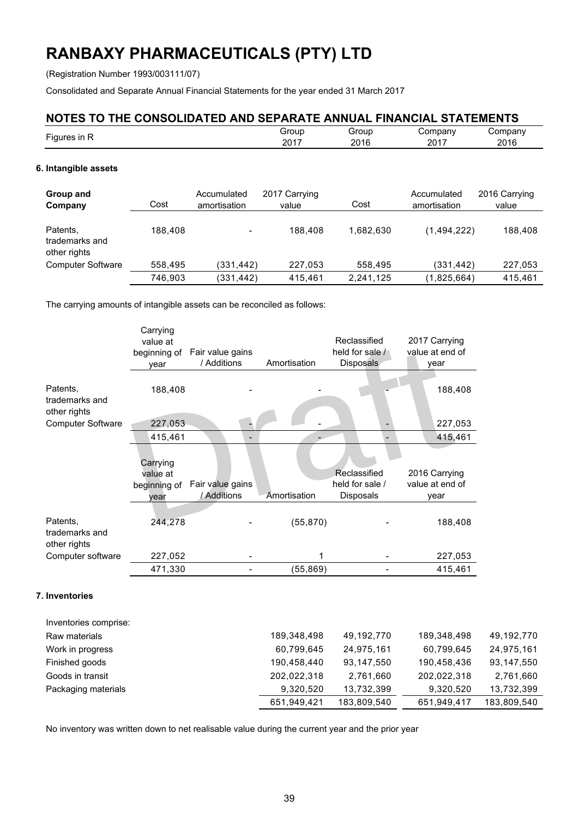(Registration Number 1993/003111/07)

Consolidated and Separate Annual Financial Statements for the year ended 31 March 2017

## **NOTES TO THE CONSOLIDATED AND SEPARATE ANNUAL FINANCIAL STATEMENTS**

| $- \cdot$<br>. . | Group           | Group | Company | Companv |
|------------------|-----------------|-------|---------|---------|
| Figures in       | .<br>20 $\cdot$ | 2016  | 2017    | 2016    |

#### **6. Intangible assets**

| Group and<br>Company                       | Cost    | Accumulated<br>amortisation | 2017 Carrying<br>value | Cost      | Accumulated<br>amortisation | 2016 Carrying<br>value |
|--------------------------------------------|---------|-----------------------------|------------------------|-----------|-----------------------------|------------------------|
| Patents,<br>trademarks and<br>other rights | 188.408 |                             | 188.408                | 1.682.630 | (1,494,222)                 | 188,408                |
| <b>Computer Software</b>                   | 558.495 | (331,442)                   | 227,053                | 558.495   | (331, 442)                  | 227,053                |
|                                            | 746.903 | (331, 442)                  | 415.461                | 2,241,125 | (1,825,664)                 | 415.461                |

**6.1** The carrying amounts of intangible assets can be reconciled as follows:

|                                            | Carrying<br>value at<br>beginning of<br>year | Fair value gains<br>/ Additions | Amortisation | Reclassified<br>held for sale /<br><b>Disposals</b> | 2017 Carrying<br>value at end of<br>year |              |
|--------------------------------------------|----------------------------------------------|---------------------------------|--------------|-----------------------------------------------------|------------------------------------------|--------------|
| Patents,<br>trademarks and                 | 188,408                                      |                                 |              |                                                     | 188,408                                  |              |
| other rights<br><b>Computer Software</b>   | 227,053                                      | ٠                               |              |                                                     | 227,053                                  |              |
|                                            | 415,461                                      | -                               |              | $\overline{\phantom{0}}$                            | 415,461                                  |              |
|                                            | Carrying                                     |                                 |              |                                                     |                                          |              |
|                                            | value at                                     |                                 |              | Reclassified                                        | 2016 Carrying                            |              |
|                                            | beginning of                                 | Fair value gains<br>/ Additions | Amortisation | held for sale /<br>Disposals                        | value at end of                          |              |
|                                            | vear                                         |                                 |              |                                                     | year                                     |              |
| Patents,<br>trademarks and<br>other rights | 244,278                                      |                                 | (55, 870)    |                                                     | 188,408                                  |              |
| Computer software                          | 227,052                                      |                                 |              |                                                     | 227,053                                  |              |
|                                            | 471,330                                      |                                 | (55, 869)    |                                                     | 415,461                                  |              |
| 7. Inventories                             |                                              |                                 |              |                                                     |                                          |              |
| Inventories comprise:                      |                                              |                                 |              |                                                     |                                          |              |
| Raw materials                              |                                              |                                 | 189,348,498  | 49,192,770                                          | 189,348,498                              | 49,192,770   |
| Work in progress                           |                                              |                                 | 60,799,645   | 24,975,161                                          | 60,799,645                               | 24,975,161   |
| Finished goods                             |                                              |                                 | 190,458,440  | 93,147,550                                          | 190,458,436                              | 93, 147, 550 |
| Goods in transit                           |                                              |                                 | 202,022,318  | 2,761,660                                           | 202,022,318                              | 2,761,660    |
| Packaging materials                        |                                              |                                 | 9,320,520    | 13,732,399                                          | 9,320,520                                | 13,732,399   |
|                                            |                                              |                                 | 651,949,421  | 183,809,540                                         | 651,949,417                              | 183,809,540  |
|                                            |                                              |                                 |              |                                                     |                                          |              |

No inventory was written down to net realisable value during the current year and the prior year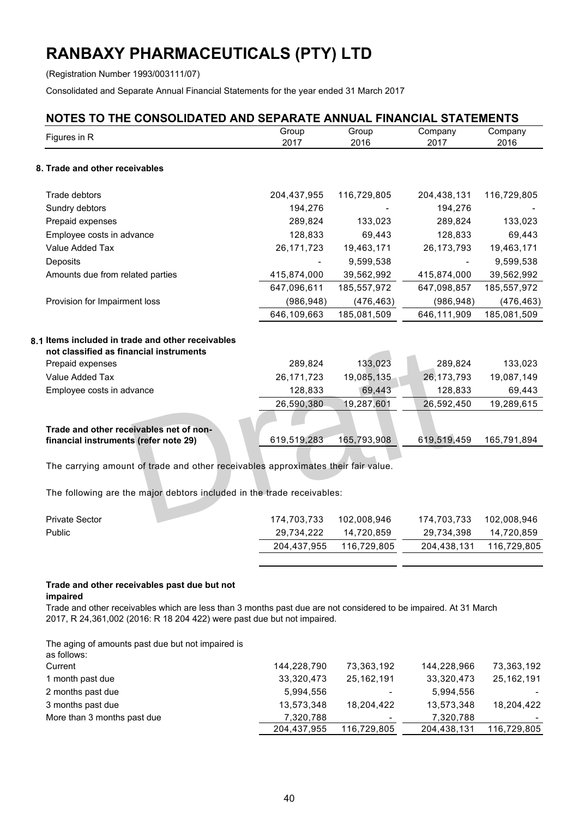(Registration Number 1993/003111/07)

Consolidated and Separate Annual Financial Statements for the year ended 31 March 2017

## **NOTES TO THE CONSOLIDATED AND SEPARATE ANNUAL FINANCIAL STATEMENTS**

| Figures in R                                                                                 | Group        | Group       | Company      | Company     |
|----------------------------------------------------------------------------------------------|--------------|-------------|--------------|-------------|
|                                                                                              | 2017         | 2016        | 2017         | 2016        |
| 8. Trade and other receivables                                                               |              |             |              |             |
| Trade debtors                                                                                | 204,437,955  | 116,729,805 | 204,438,131  | 116,729,805 |
| Sundry debtors                                                                               | 194,276      |             | 194,276      |             |
| Prepaid expenses                                                                             | 289,824      | 133,023     | 289,824      | 133,023     |
| Employee costs in advance                                                                    | 128,833      | 69,443      | 128,833      | 69,443      |
| Value Added Tax                                                                              | 26, 171, 723 | 19,463,171  | 26, 173, 793 | 19,463,171  |
| Deposits                                                                                     |              | 9,599,538   |              | 9,599,538   |
| Amounts due from related parties                                                             | 415,874,000  | 39,562,992  | 415,874,000  | 39,562,992  |
|                                                                                              | 647,096,611  | 185,557,972 | 647,098,857  | 185,557,972 |
| Provision for Impairment loss                                                                | (986, 948)   | (476, 463)  | (986, 948)   | (476,463)   |
|                                                                                              | 646,109,663  | 185,081,509 | 646,111,909  | 185,081,509 |
|                                                                                              |              |             |              |             |
| 8.1 Items included in trade and other receivables<br>not classified as financial instruments |              |             |              |             |
| Prepaid expenses                                                                             | 289,824      | 133,023     | 289,824      | 133,023     |
| Value Added Tax                                                                              | 26, 171, 723 | 19,085,135  | 26,173,793   | 19,087,149  |
| Employee costs in advance                                                                    | 128,833      | 69,443      | 128,833      | 69,443      |
|                                                                                              | 26,590,380   | 19,287,601  | 26,592,450   | 19,289,615  |
|                                                                                              |              |             |              |             |
| Trade and other receivables net of non-                                                      |              |             |              |             |
| financial instruments (refer note 29)                                                        | 619,519,283  | 165,793,908 | 619,519,459  | 165,791,894 |
|                                                                                              |              |             |              |             |
| The carrying amount of trade and other receivables approximates their fair value.            |              |             |              |             |
| The following are the major debtors included in the trade receivables:                       |              |             |              |             |
| <b>Private Sector</b>                                                                        | 174,703,733  | 102,008,946 | 174,703,733  | 102,008,946 |

| <b>Private Sector</b> | 174.703.733 | 102.008.946 | 174,703,733 | 102.008.946             |
|-----------------------|-------------|-------------|-------------|-------------------------|
| Public                | 29.734.222  | 14.720.859  | 29.734.398  | 14.720.859              |
|                       | 204,437,955 | 116.729.805 |             | 204.438.131 116.729.805 |

#### **Trade and other receivables past due but not impaired**

Trade and other receivables which are less than 3 months past due are not considered to be impaired. At 31 March 2017, R 24,361,002 (2016: R 18 204 422) were past due but not impaired.

The aging of amounts past due but not impaired is

| as follows:                 |             |             |             |             |
|-----------------------------|-------------|-------------|-------------|-------------|
| Current                     | 144,228,790 | 73,363,192  | 144,228,966 | 73,363,192  |
| 1 month past due            | 33,320,473  | 25,162,191  | 33,320,473  | 25,162,191  |
| 2 months past due           | 5,994,556   |             | 5.994.556   |             |
| 3 months past due           | 13,573,348  | 18.204.422  | 13,573,348  | 18.204.422  |
| More than 3 months past due | 7,320,788   |             | 7,320,788   |             |
|                             | 204,437,955 | 116,729,805 | 204,438,131 | 116.729.805 |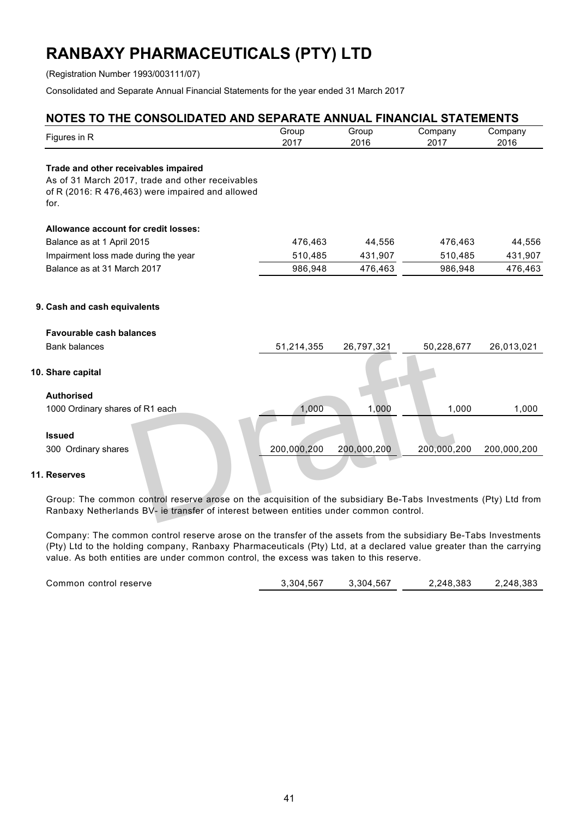(Registration Number 1993/003111/07)

Consolidated and Separate Annual Financial Statements for the year ended 31 March 2017

## **NOTES TO THE CONSOLIDATED AND SEPARATE ANNUAL FINANCIAL STATEMENTS**

| Figures in R                                                                                                                                                                                              | Group<br>2017 | Group<br>2016 | Company<br>2017 | Company<br>2016 |
|-----------------------------------------------------------------------------------------------------------------------------------------------------------------------------------------------------------|---------------|---------------|-----------------|-----------------|
| Trade and other receivables impaired<br>As of 31 March 2017, trade and other receivables<br>of R (2016: R 476,463) were impaired and allowed<br>for.                                                      |               |               |                 |                 |
| Allowance account for credit losses:                                                                                                                                                                      |               |               |                 |                 |
| Balance as at 1 April 2015                                                                                                                                                                                | 476,463       | 44,556        | 476,463         | 44,556          |
| Impairment loss made during the year                                                                                                                                                                      | 510,485       | 431,907       | 510,485         | 431,907         |
| Balance as at 31 March 2017                                                                                                                                                                               | 986,948       | 476,463       | 986,948         | 476,463         |
| 9. Cash and cash equivalents<br><b>Favourable cash balances</b>                                                                                                                                           |               |               |                 |                 |
| <b>Bank balances</b>                                                                                                                                                                                      | 51,214,355    | 26,797,321    | 50,228,677      | 26,013,021      |
| 10. Share capital                                                                                                                                                                                         |               |               |                 |                 |
| <b>Authorised</b>                                                                                                                                                                                         |               |               |                 |                 |
| 1000 Ordinary shares of R1 each                                                                                                                                                                           | 1,000         | 1,000         | 1,000           | 1,000           |
| <b>Issued</b><br>300 Ordinary shares                                                                                                                                                                      | 200,000,200   | 200,000,200   | 200,000,200     | 200,000,200     |
| 11. Reserves                                                                                                                                                                                              |               |               |                 |                 |
| Group: The common control reserve arose on the acquisition of the subsidiary Be-Tabs Investments (Pty) Ltd from<br>Ranbaxy Netherlands BV- ie transfer of interest between entities under common control. |               |               |                 |                 |

#### **11. Reserves**

Company: The common control reserve arose on the transfer of the assets from the subsidiary Be-Tabs Investments (Pty) Ltd to the holding company, Ranbaxy Pharmaceuticals (Pty) Ltd, at a declared value greater than the carrying value. As both entities are under common control, the excess was taken to this reserve.

| Common control reserve | 3.304.567 | 3.304.567 | 2.248.383 | 2.248.383 |
|------------------------|-----------|-----------|-----------|-----------|
|                        |           |           |           |           |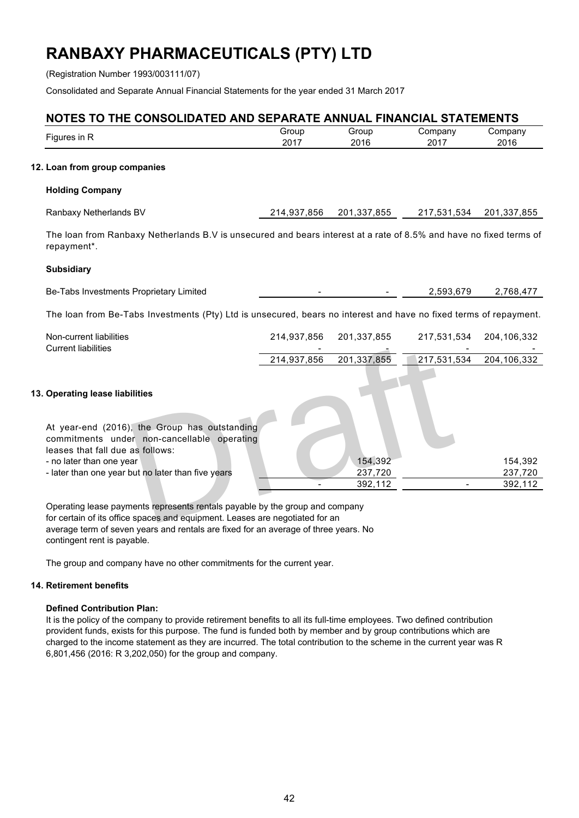(Registration Number 1993/003111/07)

Consolidated and Separate Annual Financial Statements for the year ended 31 March 2017

### **NOTES TO THE CONSOLIDATED AND SEPARATE ANNUAL FINANCIAL STATEMENTS**

| Figures in R                                                                                                                                                 | Group<br>2017 | Group<br>2016      | Company<br>2017 | Company<br>2016    |
|--------------------------------------------------------------------------------------------------------------------------------------------------------------|---------------|--------------------|-----------------|--------------------|
| 12. Loan from group companies                                                                                                                                |               |                    |                 |                    |
| <b>Holding Company</b>                                                                                                                                       |               |                    |                 |                    |
| Ranbaxy Netherlands BV                                                                                                                                       | 214,937,856   | 201,337,855        | 217,531,534     | 201,337,855        |
| The loan from Ranbaxy Netherlands B.V is unsecured and bears interest at a rate of 8.5% and have no fixed terms of<br>repayment*.                            |               |                    |                 |                    |
| <b>Subsidiary</b>                                                                                                                                            |               |                    |                 |                    |
| Be-Tabs Investments Proprietary Limited                                                                                                                      |               |                    | 2,593,679       | 2,768,477          |
| The loan from Be-Tabs Investments (Pty) Ltd is unsecured, bears no interest and have no fixed terms of repayment.                                            |               |                    |                 |                    |
| Non-current liabilities<br><b>Current liabilities</b>                                                                                                        | 214,937,856   | 201,337,855        | 217,531,534     | 204,106,332        |
|                                                                                                                                                              | 214,937,856   | 201,337,855        | 217,531,534     | 204,106,332        |
| 13. Operating lease liabilities                                                                                                                              |               |                    |                 |                    |
| At year-end (2016), the Group has outstanding<br>commitments under non-cancellable operating<br>leases that fall due as follows:                             |               |                    |                 |                    |
| - no later than one year                                                                                                                                     |               | 154,392            |                 | 154,392            |
| - later than one year but no later than five years                                                                                                           |               | 237,720<br>392,112 |                 | 237,720<br>392,112 |
| Operating lease payments represents rentals payable by the group and company<br>for certain of its office spaces and equipment. Leases are negotiated for an |               |                    |                 |                    |

Operating lease payments represents rentals payable by the group and company for certain of its office spaces and equipment. Leases are negotiated for an average term of seven years and rentals are fixed for an average of three years. No contingent rent is payable.

The group and company have no other commitments for the current year.

#### **14. Retirement benefits**

#### **Defined Contribution Plan:**

It is the policy of the company to provide retirement benefits to all its full-time employees. Two defined contribution provident funds, exists for this purpose. The fund is funded both by member and by group contributions which are charged to the income statement as they are incurred. The total contribution to the scheme in the current year was R 6,801,456 (2016: R 3,202,050) for the group and company.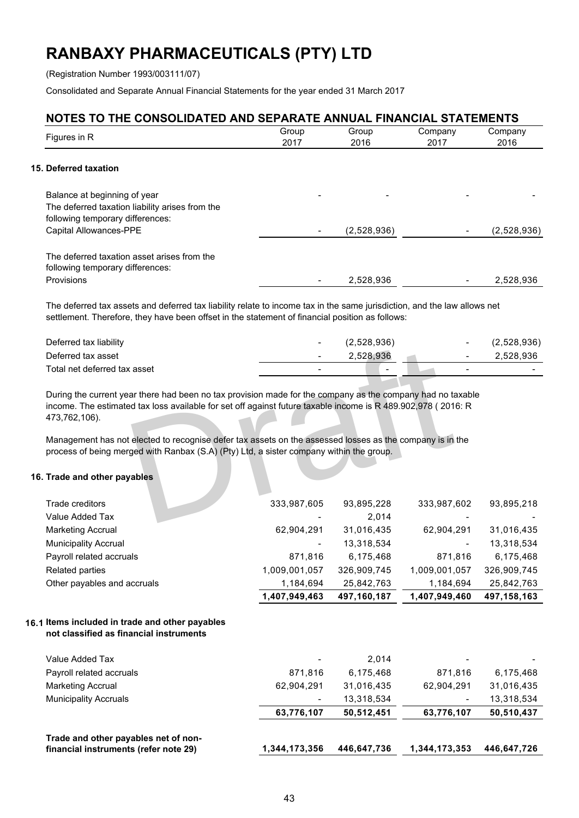(Registration Number 1993/003111/07)

Consolidated and Separate Annual Financial Statements for the year ended 31 March 2017

### **NOTES TO THE CONSOLIDATED AND SEPARATE ANNUAL FINANCIAL STATEMENTS**

| Figures in R                                    | Group | Group       | Company | Company     |
|-------------------------------------------------|-------|-------------|---------|-------------|
|                                                 | 2017  | 2016        | 2017    | 2016        |
| 15. Deferred taxation                           |       |             |         |             |
| Balance at beginning of year                    |       |             |         |             |
| The deferred taxation liability arises from the |       |             |         |             |
| following temporary differences:                |       |             |         |             |
| <b>Capital Allowances-PPE</b>                   |       | (2,528,936) |         | (2,528,936) |
| The deferred taxation asset arises from the     |       |             |         |             |
| following temporary differences:                |       |             |         |             |
| Provisions                                      |       | 2,528,936   |         | 2,528,936   |

The deferred tax assets and deferred tax liability relate to income tax in the same jurisdiction, and the law allows net settlement. Therefore, they have been offset in the statement of financial position as follows:

| Deferred tax liability       |        | (2,528,936)              | $\overline{\phantom{0}}$ | (2,528,936)              |
|------------------------------|--------|--------------------------|--------------------------|--------------------------|
| Deferred tax asset           | $\sim$ | 2,528,936                | $\sim$                   | 2,528,936                |
| Total net deferred tax asset |        | $\overline{\phantom{0}}$ | $\,$                     | $\overline{\phantom{0}}$ |

#### **16. Trade and other payables**

| Deferred tax asset                                                                                           |               | 2,528,936   |               | 2,528,936     |
|--------------------------------------------------------------------------------------------------------------|---------------|-------------|---------------|---------------|
| Total net deferred tax asset                                                                                 |               |             |               |               |
|                                                                                                              |               |             |               |               |
| During the current year there had been no tax provision made for the company as the company had no taxable   |               |             |               |               |
| income. The estimated tax loss available for set off against future taxable income is R 489.902,978 (2016: R |               |             |               |               |
| 473,762,106).                                                                                                |               |             |               |               |
| Management has not elected to recognise defer tax assets on the assessed losses as the company is in the     |               |             |               |               |
| process of being merged with Ranbax (S.A) (Pty) Ltd, a sister company within the group.                      |               |             |               |               |
|                                                                                                              |               |             |               |               |
| 3. Trade and other payables                                                                                  |               |             |               |               |
|                                                                                                              |               |             |               |               |
| Trade creditors                                                                                              | 333,987,605   | 93,895,228  | 333,987,602   | 93,895,218    |
| Value Added Tax                                                                                              |               | 2,014       |               |               |
| <b>Marketing Accrual</b>                                                                                     | 62,904,291    | 31,016,435  | 62,904,291    | 31,016,435    |
| <b>Municipality Accrual</b>                                                                                  |               | 13,318,534  |               | 13,318,534    |
| Payroll related accruals                                                                                     | 871,816       | 6,175,468   | 871,816       | 6,175,468     |
| Related parties                                                                                              | 1,009,001,057 | 326,909,745 | 1,009,001,057 | 326,909,745   |
| Other payables and accruals                                                                                  | 1,184,694     | 25,842,763  | 1,184,694     | 25,842,763    |
|                                                                                                              | 1,407,949,463 | 497,160,187 | 1,407,949,460 | 497, 158, 163 |

#### **16.1 Items included in trade and other payables not classified as financial instruments**

| Trade and other payables net of non-<br>financial instruments (refer note 29) | 1,344,173,356            | 446,647,736 | 1,344,173,353            | 446,647,726 |
|-------------------------------------------------------------------------------|--------------------------|-------------|--------------------------|-------------|
|                                                                               | 63,776,107               | 50,512,451  | 63,776,107               | 50,510,437  |
| <b>Municipality Accruals</b>                                                  | $\overline{\phantom{0}}$ | 13,318,534  | $\overline{\phantom{0}}$ | 13,318,534  |
| <b>Marketing Accrual</b>                                                      | 62,904,291               | 31,016,435  | 62,904,291               | 31,016,435  |
| Payroll related accruals                                                      | 871.816                  | 6.175.468   | 871.816                  | 6,175,468   |
| Value Added Tax                                                               | $\overline{\phantom{0}}$ | 2.014       | $\overline{\phantom{0}}$ |             |
|                                                                               |                          |             |                          |             |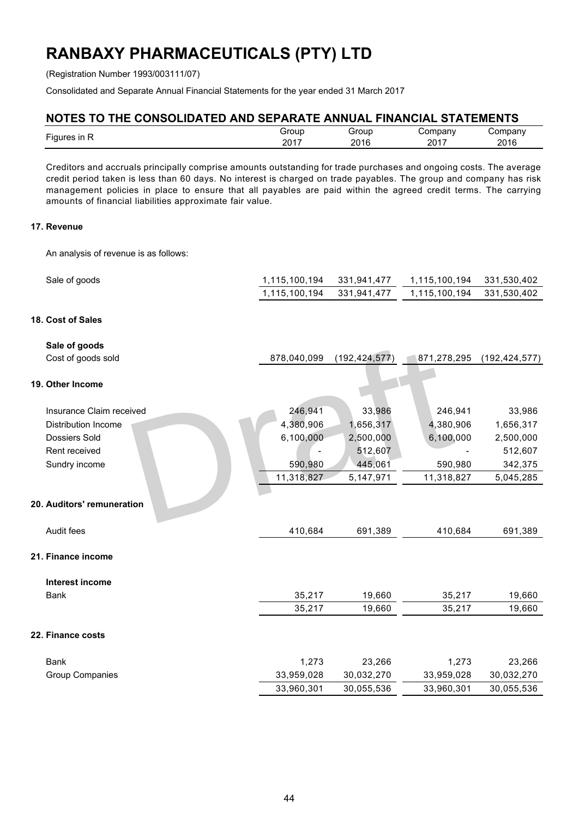(Registration Number 1993/003111/07)

Consolidated and Separate Annual Financial Statements for the year ended 31 March 2017

### **NOTES TO THE CONSOLIDATED AND SEPARATE ANNUAL FINANCIAL STATEMENTS**

| $- \cdot$<br><b>Figures</b> in<br>. . | Grour<br>$\ddotsc$ | Grour<br>$\sim$ | $\sim$ 0.000 $\sim$<br>.npanv | ∶ompanv |
|---------------------------------------|--------------------|-----------------|-------------------------------|---------|
|                                       | ว∩1<br>2U.         | 2016            | $201^{\circ}$                 | 2016    |

Creditors and accruals principally comprise amounts outstanding for trade purchases and ongoing costs. The average credit period taken is less than 60 days. No interest is charged on trade payables. The group and company has risk management policies in place to ensure that all payables are paid within the agreed credit terms. The carrying amounts of financial liabilities approximate fair value.

#### **17. Revenue**

An analysis of revenue is as follows:

| Sale of goods              | 1,115,100,194 | 331,941,477     | 1,115,100,194 | 331,530,402     |
|----------------------------|---------------|-----------------|---------------|-----------------|
|                            | 1,115,100,194 | 331,941,477     | 1,115,100,194 | 331,530,402     |
|                            |               |                 |               |                 |
| 18. Cost of Sales          |               |                 |               |                 |
| Sale of goods              |               |                 |               |                 |
| Cost of goods sold         | 878,040,099   | (192, 424, 577) | 871,278,295   | (192, 424, 577) |
|                            |               |                 |               |                 |
| 19. Other Income           |               |                 |               |                 |
|                            |               |                 |               |                 |
| Insurance Claim received   | 246,941       | 33,986          | 246,941       | 33,986          |
| Distribution Income        | 4,380,906     | 1,656,317       | 4,380,906     | 1,656,317       |
| <b>Dossiers Sold</b>       | 6,100,000     | 2,500,000       | 6,100,000     | 2,500,000       |
| Rent received              |               | 512,607         |               | 512,607         |
| Sundry income              | 590,980       | 445,061         | 590,980       | 342,375         |
|                            | 11,318,827    | 5,147,971       | 11,318,827    | 5,045,285       |
|                            |               |                 |               |                 |
| 20. Auditors' remuneration |               |                 |               |                 |
|                            |               |                 |               |                 |
| Audit fees                 | 410,684       | 691,389         | 410,684       | 691,389         |
|                            |               |                 |               |                 |
| 21. Finance income         |               |                 |               |                 |
| Interest income            |               |                 |               |                 |
| <b>Bank</b>                | 35,217        | 19,660          | 35,217        | 19,660          |
|                            | 35,217        | 19,660          | 35,217        | 19,660          |
|                            |               |                 |               |                 |
| 22. Finance costs          |               |                 |               |                 |
| Bank                       | 1,273         | 23,266          | 1,273         | 23,266          |
| <b>Group Companies</b>     | 33,959,028    | 30,032,270      | 33,959,028    | 30,032,270      |
|                            | 33,960,301    | 30,055,536      | 33,960,301    | 30,055,536      |
|                            |               |                 |               |                 |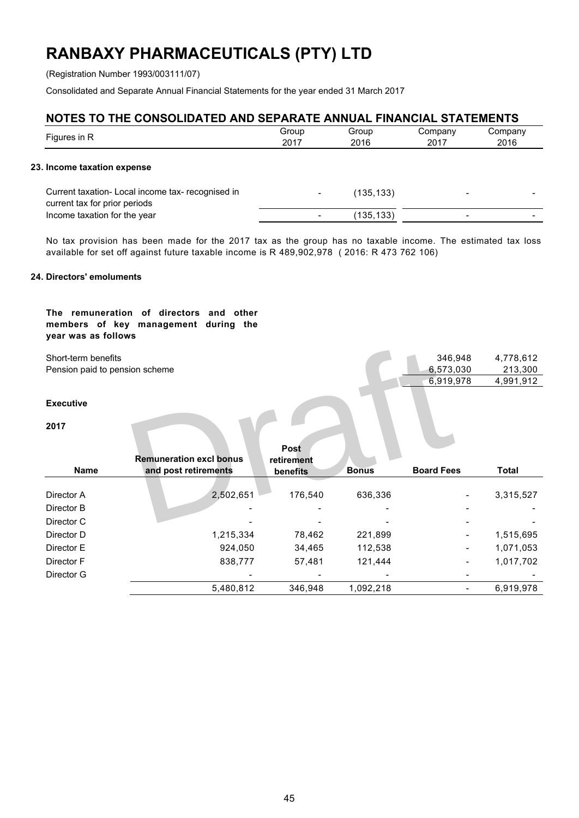(Registration Number 1993/003111/07)

Consolidated and Separate Annual Financial Statements for the year ended 31 March 2017

### **NOTES TO THE CONSOLIDATED AND SEPARATE ANNUAL FINANCIAL STATEMENTS**

| Figures in R                                                                       | Group<br>2017 | Group<br>2016 | Company<br>2017          | Company<br>2016 |
|------------------------------------------------------------------------------------|---------------|---------------|--------------------------|-----------------|
| 23. Income taxation expense                                                        |               |               |                          |                 |
| Current taxation- Local income tax- recognised in<br>current tax for prior periods |               | (135, 133)    |                          |                 |
| Income taxation for the year                                                       | $\,$          | (135,133)     | $\overline{\phantom{a}}$ |                 |

No tax provision has been made for the 2017 tax as the group has no taxable income. The estimated tax loss available for set off against future taxable income is R 489,902,978 ( 2016: R 473 762 106)

#### **24. Directors' emoluments**

| year was as follows                                   | The remuneration of directors and other<br>members of key management during the |                    |              |                      |                      |
|-------------------------------------------------------|---------------------------------------------------------------------------------|--------------------|--------------|----------------------|----------------------|
| Short-term benefits<br>Pension paid to pension scheme |                                                                                 |                    |              | 346,948<br>6,573,030 | 4,778,612<br>213,300 |
|                                                       |                                                                                 |                    |              | 6,919,978            | 4,991,912            |
| <b>Executive</b>                                      |                                                                                 |                    |              |                      |                      |
| 2017                                                  |                                                                                 |                    |              |                      |                      |
|                                                       | <b>Remuneration excl bonus</b>                                                  | Post<br>retirement |              |                      |                      |
| <b>Name</b>                                           | and post retirements                                                            | benefits           | <b>Bonus</b> | <b>Board Fees</b>    | Total                |
| Director A<br>Director B                              | 2,502,651                                                                       | 176,540            | 636,336      |                      | 3,315,527            |
| Director C                                            |                                                                                 |                    |              |                      |                      |

Director D 1,215,334 78,462 221,899 - 1,515,695 Director E 924,050 34,465 112,538 - 1,071,053 Director F 838,777 57,481 121,444 - 1,017,702 Director G - - - - -

5,480,812 346,948 1,092,218 - 6,919,978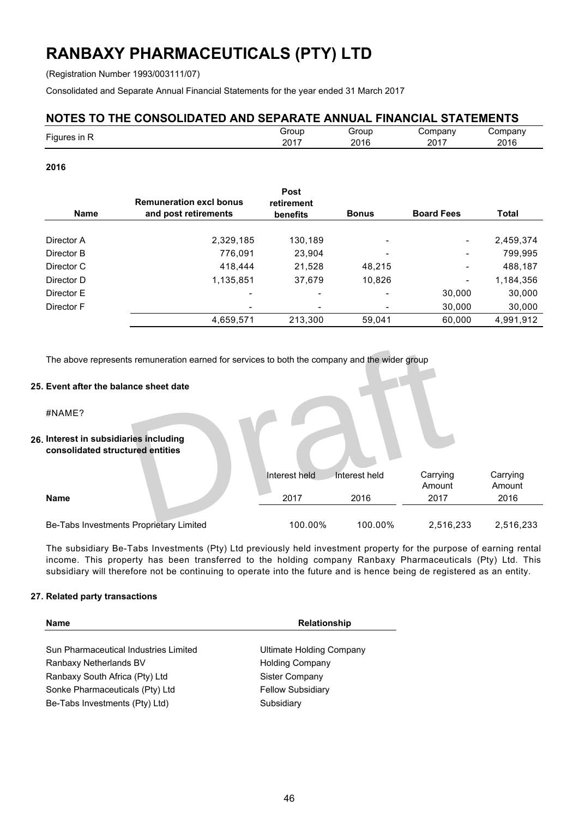(Registration Number 1993/003111/07)

Consolidated and Separate Annual Financial Statements for the year ended 31 March 2017

## **NOTES TO THE CONSOLIDATED AND SEPARATE ANNUAL FINANCIAL STATEMENTS**

| $-$        | roupض | ourت        | ompanyٹ | آCompany |
|------------|-------|-------------|---------|----------|
| Figures in | 2017  | 2016<br>ZV. | 2017    | 2016     |
|            |       |             |         |          |

**2016**

|             | <b>Remuneration excl bonus</b> | <b>Post</b><br>retirement |                |                          |           |
|-------------|--------------------------------|---------------------------|----------------|--------------------------|-----------|
| <b>Name</b> | and post retirements           | benefits                  | <b>Bonus</b>   | <b>Board Fees</b>        | Total     |
| Director A  | 2,329,185                      | 130,189                   | $\blacksquare$ | $\blacksquare$           | 2,459,374 |
| Director B  | 776,091                        | 23,904                    |                |                          | 799,995   |
| Director C  | 418.444                        | 21,528                    | 48.215         | $\overline{\phantom{a}}$ | 488,187   |
| Director D  | 1,135,851                      | 37,679                    | 10,826         |                          | 1,184,356 |
| Director E  |                                | $\,$                      |                | 30,000                   | 30,000    |
| Director F  | $\overline{\phantom{0}}$       | $\overline{\phantom{0}}$  | $\,$           | 30,000                   | 30,000    |
|             | 4,659,571                      | 213,300                   | 59,041         | 60,000                   | 4,991,912 |

#### **25. Event after the balance sheet date**

#NAME?

**26. Interest in subsidiaries including consolidated structured entities**

| The above represents remuneration earned for services to both the company and the wider group |               |               |                    |                    |
|-----------------------------------------------------------------------------------------------|---------------|---------------|--------------------|--------------------|
| Event after the balance sheet date                                                            |               |               |                    |                    |
| #NAME?                                                                                        |               |               |                    |                    |
| Interest in subsidiaries including<br>consolidated structured entities                        |               |               |                    |                    |
|                                                                                               | Interest held | Interest held | Carrying<br>Amount | Carrying<br>Amount |
| <b>Name</b>                                                                                   | 2017          | 2016          | 2017               | 2016               |
| Be-Tabs Investments Proprietary Limited                                                       | 100.00%       | 100.00%       | 2,516,233          | 2,516,233          |

The subsidiary Be-Tabs Investments (Pty) Ltd previously held investment property for the purpose of earning rental income. This property has been transferred to the holding company Ranbaxy Pharmaceuticals (Pty) Ltd. This subsidiary will therefore not be continuing to operate into the future and is hence being de registered as an entity.

#### **27. Related party transactions**

| <b>Name</b>                           | <b>Relationship</b>      |
|---------------------------------------|--------------------------|
| Sun Pharmaceutical Industries Limited | Ultimate Holding Company |
| Ranbaxy Netherlands BV                | <b>Holding Company</b>   |
| Ranbaxy South Africa (Pty) Ltd        | <b>Sister Company</b>    |
| Sonke Pharmaceuticals (Pty) Ltd       | <b>Fellow Subsidiary</b> |
| Be-Tabs Investments (Pty) Ltd)        | Subsidiary               |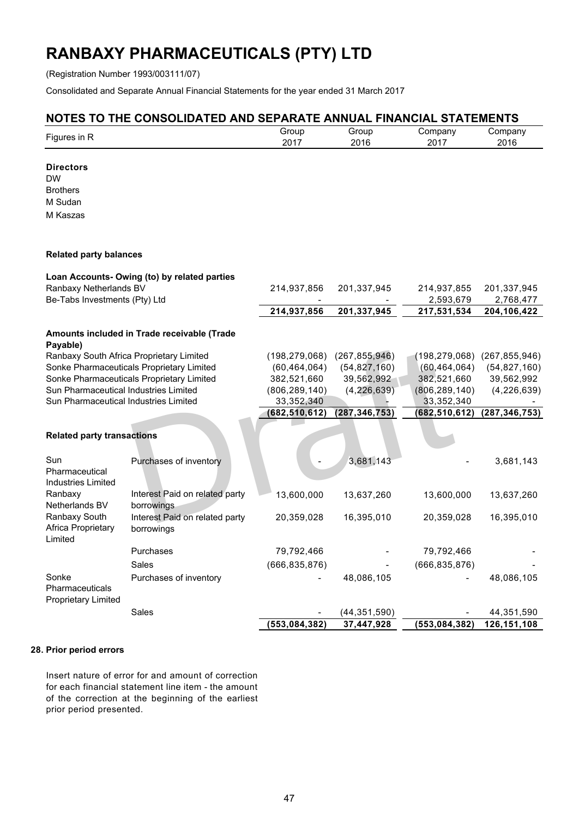(Registration Number 1993/003111/07)

Consolidated and Separate Annual Financial Statements for the year ended 31 March 2017

### **NOTES TO THE CONSOLIDATED AND SEPARATE ANNUAL FINANCIAL STATEMENTS**

| Figures in R                                                                                                                                                                                                                     |                                              | Group<br>2017                                                                   | Group<br>2016                                                    | Company<br>2017                                                                 | Company<br>2016                                                |
|----------------------------------------------------------------------------------------------------------------------------------------------------------------------------------------------------------------------------------|----------------------------------------------|---------------------------------------------------------------------------------|------------------------------------------------------------------|---------------------------------------------------------------------------------|----------------------------------------------------------------|
| <b>Directors</b><br><b>DW</b><br><b>Brothers</b><br>M Sudan<br>M Kaszas                                                                                                                                                          |                                              |                                                                                 |                                                                  |                                                                                 |                                                                |
| <b>Related party balances</b>                                                                                                                                                                                                    |                                              |                                                                                 |                                                                  |                                                                                 |                                                                |
| Ranbaxy Netherlands BV<br>Be-Tabs Investments (Pty) Ltd                                                                                                                                                                          | Loan Accounts-Owing (to) by related parties  | 214,937,856<br>214,937,856                                                      | 201,337,945<br>201,337,945                                       | 214,937,855<br>2,593,679<br>217,531,534                                         | 201,337,945<br>2,768,477<br>204,106,422                        |
|                                                                                                                                                                                                                                  | Amounts included in Trade receivable (Trade  |                                                                                 |                                                                  |                                                                                 |                                                                |
| Payable)<br>Ranbaxy South Africa Proprietary Limited<br>Sonke Pharmaceuticals Proprietary Limited<br>Sonke Pharmaceuticals Proprietary Limited<br>Sun Pharmaceutical Industries Limited<br>Sun Pharmaceutical Industries Limited |                                              | (198,279,068)<br>(60, 464, 064)<br>382,521,660<br>(806, 289, 140)<br>33,352,340 | (267, 855, 946)<br>(54, 827, 160)<br>39,562,992<br>(4, 226, 639) | (198,279,068)<br>(60, 464, 064)<br>382,521,660<br>(806, 289, 140)<br>33,352,340 | (267, 855, 946)<br>(54, 827, 160)<br>39,562,992<br>(4,226,639) |
|                                                                                                                                                                                                                                  |                                              | (682, 510, 612)                                                                 | (287, 346, 753)                                                  | (682, 510, 612)                                                                 | (287, 346, 753)                                                |
| <b>Related party transactions</b>                                                                                                                                                                                                |                                              |                                                                                 |                                                                  |                                                                                 |                                                                |
| Sun<br>Pharmaceutical<br><b>Industries Limited</b>                                                                                                                                                                               | Purchases of inventory                       |                                                                                 | 3,681,143                                                        |                                                                                 | 3,681,143                                                      |
| Ranbaxy<br>Netherlands BV                                                                                                                                                                                                        | Interest Paid on related party<br>borrowings | 13,600,000                                                                      | 13,637,260                                                       | 13,600,000                                                                      | 13,637,260                                                     |
| Ranbaxy South<br>Africa Proprietary<br>Limited                                                                                                                                                                                   | Interest Paid on related party<br>borrowings | 20,359,028                                                                      | 16,395,010                                                       | 20,359,028                                                                      | 16,395,010                                                     |
|                                                                                                                                                                                                                                  | Purchases                                    | 79,792,466                                                                      |                                                                  | 79,792,466                                                                      |                                                                |
|                                                                                                                                                                                                                                  | Sales                                        | (666, 835, 876)                                                                 |                                                                  | (666, 835, 876)                                                                 |                                                                |
| Sonke<br>Pharmaceuticals<br><b>Proprietary Limited</b>                                                                                                                                                                           | Purchases of inventory                       |                                                                                 | 48,086,105                                                       |                                                                                 | 48,086,105                                                     |
|                                                                                                                                                                                                                                  | Sales                                        |                                                                                 | (44,351,590)                                                     |                                                                                 | 44,351,590                                                     |
|                                                                                                                                                                                                                                  |                                              | (553, 084, 382)                                                                 | 37,447,928                                                       | (553, 084, 382)                                                                 | 126, 151, 108                                                  |

#### **28. Prior period errors**

Insert nature of error for and amount of correction for each financial statement line item - the amount of the correction at the beginning of the earliest prior period presented.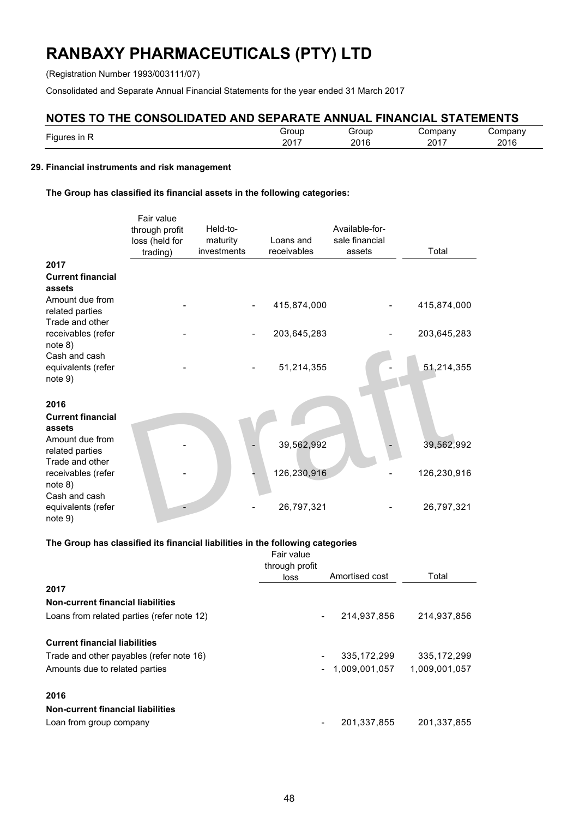(Registration Number 1993/003111/07)

Consolidated and Separate Annual Financial Statements for the year ended 31 March 2017

### **NOTES TO THE CONSOLIDATED AND SEPARATE ANNUAL FINANCIAL STATEMENTS**

| $-$<br><b>Figures</b> in | Brour<br>$\sim$ | irour<br>$\sim$ $\sim$ | 'annann'<br>npany | じompany<br>$\sim$ |
|--------------------------|-----------------|------------------------|-------------------|-------------------|
|                          | 201             | 2016<br>∠∪             | 2011<br>ZU.       | 2016<br>– ∪       |

#### **29. Financial instruments and risk management**

#### **The Group has classified its financial assets in the following categories:**

|                          | Fair value     |             |             |                |             |
|--------------------------|----------------|-------------|-------------|----------------|-------------|
|                          | through profit | Held-to-    |             | Available-for- |             |
|                          | loss (held for | maturity    | Loans and   | sale financial |             |
|                          | trading)       | investments | receivables | assets         | Total       |
| 2017                     |                |             |             |                |             |
| <b>Current financial</b> |                |             |             |                |             |
|                          |                |             |             |                |             |
| assets                   |                |             |             |                |             |
| Amount due from          |                |             | 415,874,000 |                | 415,874,000 |
| related parties          |                |             |             |                |             |
| Trade and other          |                |             |             |                |             |
| receivables (refer       |                |             | 203,645,283 |                | 203,645,283 |
| note 8)                  |                |             |             |                |             |
| Cash and cash            |                |             |             |                |             |
| equivalents (refer       |                |             | 51,214,355  |                | 51,214,355  |
| note 9)                  |                |             |             |                |             |
|                          |                |             |             |                |             |
| 2016                     |                |             |             |                |             |
| <b>Current financial</b> |                |             |             |                |             |
|                          |                |             |             |                |             |
| assets                   |                |             |             |                |             |
| Amount due from          |                |             | 39,562,992  |                | 39,562,992  |
| related parties          |                |             |             |                |             |
| Trade and other          |                |             |             |                |             |
| receivables (refer       |                |             | 126,230,916 |                | 126,230,916 |
| note 8)                  |                |             |             |                |             |
| Cash and cash            |                |             |             |                |             |
| equivalents (refer       |                |             | 26,797,321  |                | 26,797,321  |
| note 9)                  |                |             |             |                |             |

#### **The Group has classified its financial liabilities in the following categories**

| ווס וטווטזיווואַ טמנ |  |
|----------------------|--|
| Fair value           |  |

|                                            | through profit |                |                |               |
|--------------------------------------------|----------------|----------------|----------------|---------------|
|                                            | loss           |                | Amortised cost | Total         |
| 2017                                       |                |                |                |               |
| Non-current financial liabilities          |                |                |                |               |
| Loans from related parties (refer note 12) |                | $\blacksquare$ | 214.937.856    | 214.937.856   |
| <b>Current financial liabilities</b>       |                |                |                |               |
| Trade and other payables (refer note 16)   |                |                | 335, 172, 299  | 335.172.299   |
| Amounts due to related parties             |                |                | 1,009,001,057  | 1,009,001,057 |
| 2016<br>Non-current financial liabilities  |                |                |                |               |
| Loan from group company                    |                |                | 201,337,855    | 201.337.855   |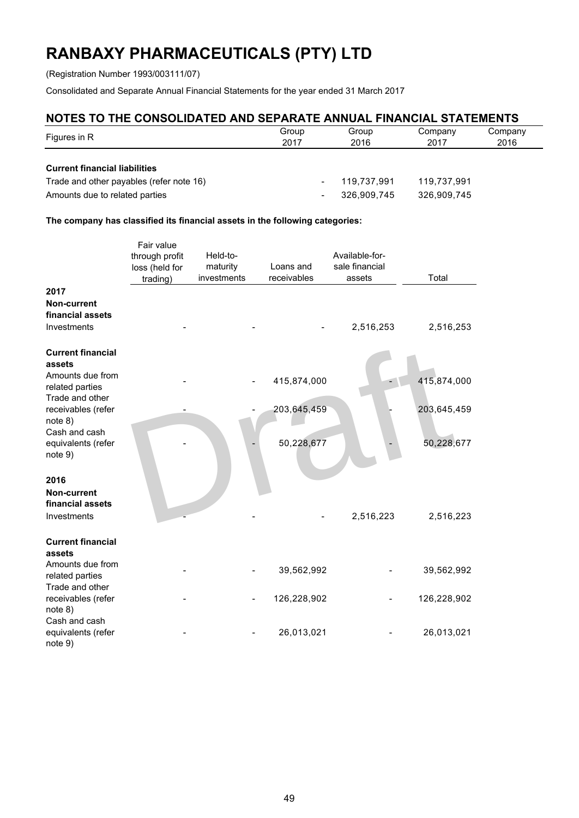(Registration Number 1993/003111/07)

Consolidated and Separate Annual Financial Statements for the year ended 31 March 2017

### **NOTES TO THE CONSOLIDATED AND SEPARATE ANNUAL FINANCIAL STATEMENTS**

| Figures in R                             | Group<br>2017  | Group<br>2016 | Company<br>2017 | Company<br>2016 |
|------------------------------------------|----------------|---------------|-----------------|-----------------|
|                                          |                |               |                 |                 |
| <b>Current financial liabilities</b>     |                |               |                 |                 |
| Trade and other payables (refer note 16) | $\blacksquare$ | 119,737,991   | 119.737.991     |                 |
| Amounts due to related parties           | $\blacksquare$ | 326,909,745   | 326,909,745     |                 |

**The company has classified its financial assets in the following categories:**

|                                        | Fair value<br>through profit<br>loss (held for<br>trading) | Held-to-<br>maturity<br>investments | Loans and<br>receivables | Available-for-<br>sale financial<br>assets | Total       |
|----------------------------------------|------------------------------------------------------------|-------------------------------------|--------------------------|--------------------------------------------|-------------|
| 2017                                   |                                                            |                                     |                          |                                            |             |
| <b>Non-current</b><br>financial assets |                                                            |                                     |                          |                                            |             |
| Investments                            |                                                            |                                     |                          | 2,516,253                                  | 2,516,253   |
|                                        |                                                            |                                     |                          |                                            |             |
| <b>Current financial</b>               |                                                            |                                     |                          |                                            |             |
| assets                                 |                                                            |                                     |                          |                                            |             |
| Amounts due from<br>related parties    |                                                            |                                     | 415,874,000              |                                            | 415,874,000 |
| Trade and other                        |                                                            |                                     |                          |                                            |             |
| receivables (refer                     |                                                            |                                     | 203,645,459              |                                            | 203,645,459 |
| note 8)                                |                                                            |                                     |                          |                                            |             |
| Cash and cash                          |                                                            |                                     |                          |                                            |             |
| equivalents (refer<br>note 9)          |                                                            |                                     | 50,228,677               |                                            | 50,228,677  |
|                                        |                                                            |                                     |                          |                                            |             |
| 2016                                   |                                                            |                                     |                          |                                            |             |
| Non-current                            |                                                            |                                     |                          |                                            |             |
| financial assets                       |                                                            |                                     |                          |                                            |             |
| Investments                            |                                                            |                                     |                          | 2,516,223                                  | 2,516,223   |
| <b>Current financial</b>               |                                                            |                                     |                          |                                            |             |
| assets                                 |                                                            |                                     |                          |                                            |             |
| Amounts due from                       |                                                            |                                     |                          |                                            |             |
| related parties                        |                                                            |                                     | 39,562,992               |                                            | 39,562,992  |
| Trade and other                        |                                                            |                                     |                          |                                            |             |
| receivables (refer                     |                                                            |                                     | 126,228,902              |                                            | 126,228,902 |
| note 8)                                |                                                            |                                     |                          |                                            |             |
| Cash and cash<br>equivalents (refer    |                                                            |                                     | 26,013,021               |                                            | 26,013,021  |
| note 9)                                |                                                            |                                     |                          |                                            |             |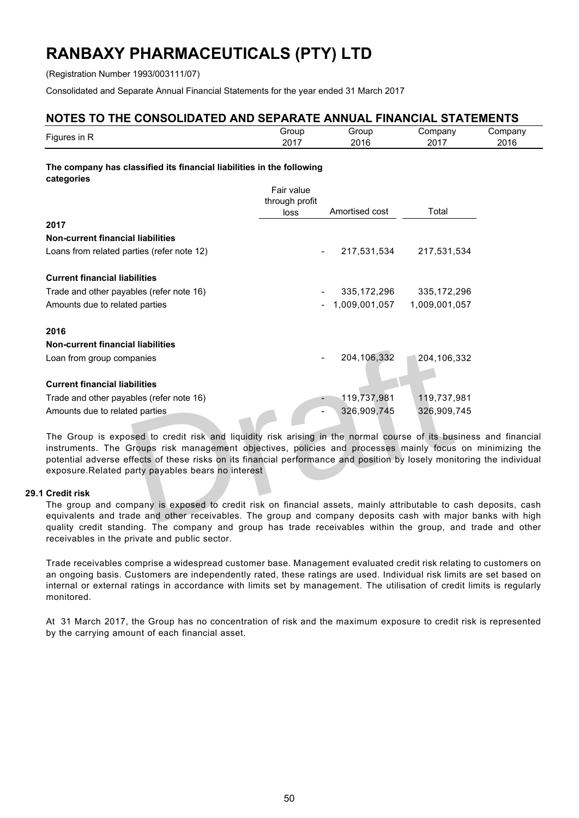(Registration Number 1993/003111/07)

Consolidated and Separate Annual Financial Statements for the year ended 31 March 2017

### **NOTES TO THE CONSOLIDATED AND SEPARATE ANNUAL FINANCIAL STATEMENTS**

| $- \cdot$           | Group | Group | Companyٽ | じompanv |
|---------------------|-------|-------|----------|---------|
| <b>Figures in R</b> | 2017  | 2016  | $-201$   | 2016    |

#### **The company has classified its financial liabilities in the following categories**

|                                                                                                                                                                                                                                                                                                                                                                     | Fair value     |                |               |
|---------------------------------------------------------------------------------------------------------------------------------------------------------------------------------------------------------------------------------------------------------------------------------------------------------------------------------------------------------------------|----------------|----------------|---------------|
|                                                                                                                                                                                                                                                                                                                                                                     | through profit |                |               |
|                                                                                                                                                                                                                                                                                                                                                                     | loss           | Amortised cost | Total         |
| 2017                                                                                                                                                                                                                                                                                                                                                                |                |                |               |
| <b>Non-current financial liabilities</b>                                                                                                                                                                                                                                                                                                                            |                |                |               |
| Loans from related parties (refer note 12)                                                                                                                                                                                                                                                                                                                          |                | 217,531,534    | 217,531,534   |
| <b>Current financial liabilities</b>                                                                                                                                                                                                                                                                                                                                |                |                |               |
| Trade and other payables (refer note 16)                                                                                                                                                                                                                                                                                                                            |                | 335, 172, 296  | 335, 172, 296 |
| Amounts due to related parties                                                                                                                                                                                                                                                                                                                                      |                | 1,009,001,057  | 1,009,001,057 |
| 2016                                                                                                                                                                                                                                                                                                                                                                |                |                |               |
| Non-current financial liabilities                                                                                                                                                                                                                                                                                                                                   |                |                |               |
| Loan from group companies                                                                                                                                                                                                                                                                                                                                           |                | 204, 106, 332  | 204,106,332   |
| <b>Current financial liabilities</b>                                                                                                                                                                                                                                                                                                                                |                |                |               |
| Trade and other payables (refer note 16)                                                                                                                                                                                                                                                                                                                            |                | 119,737,981    | 119,737,981   |
| Amounts due to related parties                                                                                                                                                                                                                                                                                                                                      |                | 326,909,745    | 326,909,745   |
| The Group is exposed to credit risk and liquidity risk arising in the normal course of its business<br>instruments. The Groups risk management objectives, policies and processes mainly focus on r<br>potential adverse effects of these risks on its financial performance and position by losely monitoring<br>exposure.Related party payables bears no interest |                |                |               |
| <b>Credit risk</b><br>The group and company is exposed to credit risk on financial assets, mainly attributable to cash of                                                                                                                                                                                                                                           |                |                |               |
| equivalents and trade and other receivables. The group and company deposits cash with major ba                                                                                                                                                                                                                                                                      |                |                |               |

The Group is exposed to credit risk and liquidity risk arising in the normal course of its business and financial instruments. The Groups risk management objectives, policies and processes mainly focus on minimizing the potential adverse effects of these risks on its financial performance and position by losely monitoring the individual exposure.Related party payables bears no interest

#### **29.1 Credit risk**

The group and company is exposed to credit risk on financial assets, mainly attributable to cash deposits, cash equivalents and trade and other receivables. The group and company deposits cash with major banks with high quality credit standing. The company and group has trade receivables within the group, and trade and other receivables in the private and public sector.

Trade receivables comprise a widespread customer base. Management evaluated credit risk relating to customers on an ongoing basis. Customers are independently rated, these ratings are used. Individual risk limits are set based on internal or external ratings in accordance with limits set by management. The utilisation of credit limits is regularly monitored.

At 31 March 2017, the Group has no concentration of risk and the maximum exposure to credit risk is represented by the carrying amount of each financial asset.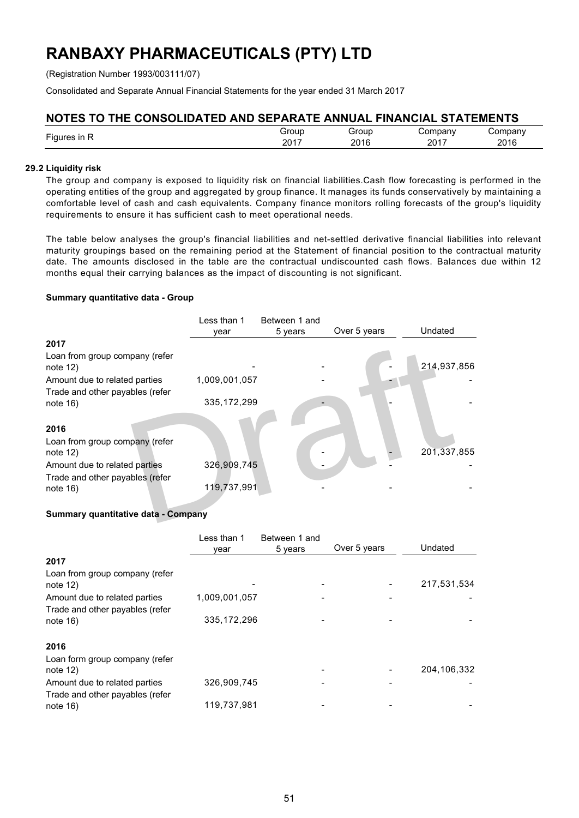(Registration Number 1993/003111/07)

Consolidated and Separate Annual Financial Statements for the year ended 31 March 2017

### **NOTES TO THE CONSOLIDATED AND SEPARATE ANNUAL FINANCIAL STATEMENTS**

| $- \cdot$     |       | Group          | شompanv     | Companv |
|---------------|-------|----------------|-------------|---------|
|               | Grour | $\sim$ $\sim$  |             |         |
| ır<br>-idures | 201   | 001C<br>20 I U | 2017<br>– ∪ | 2016    |

#### **29.2 Liquidity risk**

The group and company is exposed to liquidity risk on financial liabilities.Cash flow forecasting is performed in the operating entities of the group and aggregated by group finance. It manages its funds conservatively by maintaining a comfortable level of cash and cash equivalents. Company finance monitors rolling forecasts of the group's liquidity requirements to ensure it has sufficient cash to meet operational needs.

The table below analyses the group's financial liabilities and net-settled derivative financial liabilities into relevant maturity groupings based on the remaining period at the Statement of financial position to the contractual maturity date. The amounts disclosed in the table are the contractual undiscounted cash flows. Balances due within 12 months equal their carrying balances as the impact of discounting is not significant.

#### **Summary quantitative data - Group**

|                                                                                                                          | Less than 1                | Between 1 and |              |             |
|--------------------------------------------------------------------------------------------------------------------------|----------------------------|---------------|--------------|-------------|
|                                                                                                                          | year                       | 5 years       | Over 5 years | Undated     |
| 2017                                                                                                                     |                            |               |              |             |
| Loan from group company (refer<br>note $12$ )                                                                            |                            |               |              | 214,937,856 |
| Amount due to related parties                                                                                            | 1,009,001,057              |               |              |             |
| Trade and other payables (refer<br>note $16$ )                                                                           | 335, 172, 299              |               |              |             |
| 2016<br>Loan from group company (refer<br>note $12)$<br>Amount due to related parties<br>Trade and other payables (refer | 326,909,745<br>119,737,991 |               |              | 201,337,855 |
| note $16$ )<br>Summary quantitative data - Company                                                                       |                            |               |              |             |

#### **Summary quantitative data - Company**

|                                                                  | Less than 1<br>vear | Between 1 and<br>5 years | Over 5 years | Undated     |
|------------------------------------------------------------------|---------------------|--------------------------|--------------|-------------|
| 2017                                                             |                     |                          |              |             |
| Loan from group company (refer<br>note $12$ )                    |                     |                          |              | 217,531,534 |
| Amount due to related parties<br>Trade and other payables (refer | 1,009,001,057       |                          |              |             |
| note $16$ )                                                      | 335, 172, 296       |                          |              |             |
| 2016                                                             |                     |                          |              |             |
| Loan form group company (refer<br>note $12$ )                    |                     |                          |              | 204,106,332 |
| Amount due to related parties                                    | 326,909,745         |                          |              |             |
| Trade and other payables (refer<br>note $16$ )                   | 119,737,981         |                          |              |             |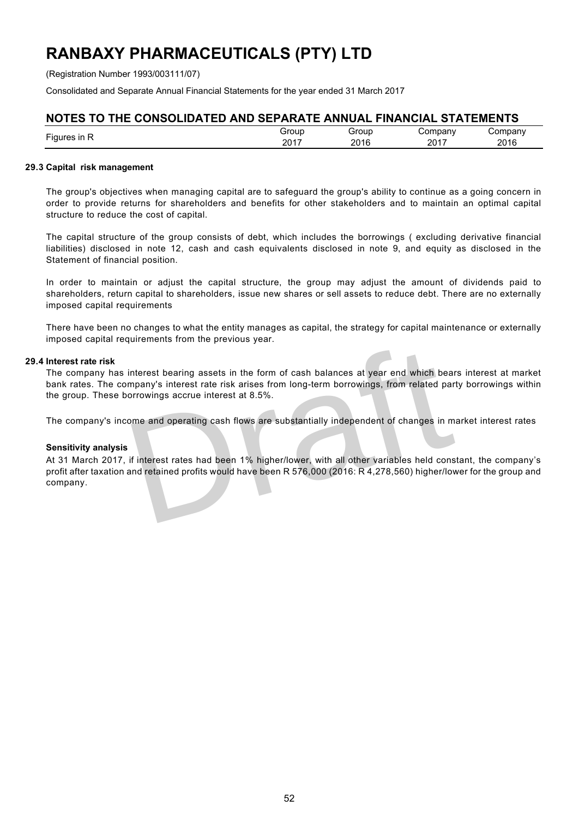(Registration Number 1993/003111/07)

Consolidated and Separate Annual Financial Statements for the year ended 31 March 2017

### **NOTES TO THE CONSOLIDATED AND SEPARATE ANNUAL FINANCIAL STATEMENTS**

| $- \cdot$      | irour         | Grour         | ∴ompanv | こompanv      |
|----------------|---------------|---------------|---------|--------------|
| <b>IQUITES</b> | $\sim$ $\sim$ | $\sim$ $\sim$ |         |              |
| ın             | 2017          | 2016          | 2017    | 001C<br>ZUID |

#### **29.3 Capital risk management**

The group's objectives when managing capital are to safeguard the group's ability to continue as a going concern in order to provide returns for shareholders and benefits for other stakeholders and to maintain an optimal capital structure to reduce the cost of capital.

The capital structure of the group consists of debt, which includes the borrowings ( excluding derivative financial liabilities) disclosed in note 12, cash and cash equivalents disclosed in note 9, and equity as disclosed in the Statement of financial position.

In order to maintain or adjust the capital structure, the group may adjust the amount of dividends paid to shareholders, return capital to shareholders, issue new shares or sell assets to reduce debt. There are no externally imposed capital requirements

There have been no changes to what the entity manages as capital, the strategy for capital maintenance or externally imposed capital requirements from the previous year.

#### **29.4 Interest rate risk**

The company has interest bearing assets in the form of cash balances at year end which bears interest at market bank rates. The company's interest rate risk arises from long-term borrowings, from related party borrowings within the group. These borrowings accrue interest at 8.5%.

The company's income and operating cash flows are substantially independent of changes in market interest rates

#### **Sensitivity analysis**

nterest bearing assets in the form of cash balances at year end which bear<br>mpany's interest rate risk arises from long-term borrowings, from related part<br>prrowings accrue interest at 8.5%.<br>Dragged and operating cash flows At 31 March 2017, if interest rates had been 1% higher/lower, with all other variables held constant, the company's profit after taxation and retained profits would have been R 576,000 (2016: R 4,278,560) higher/lower for the group and company.